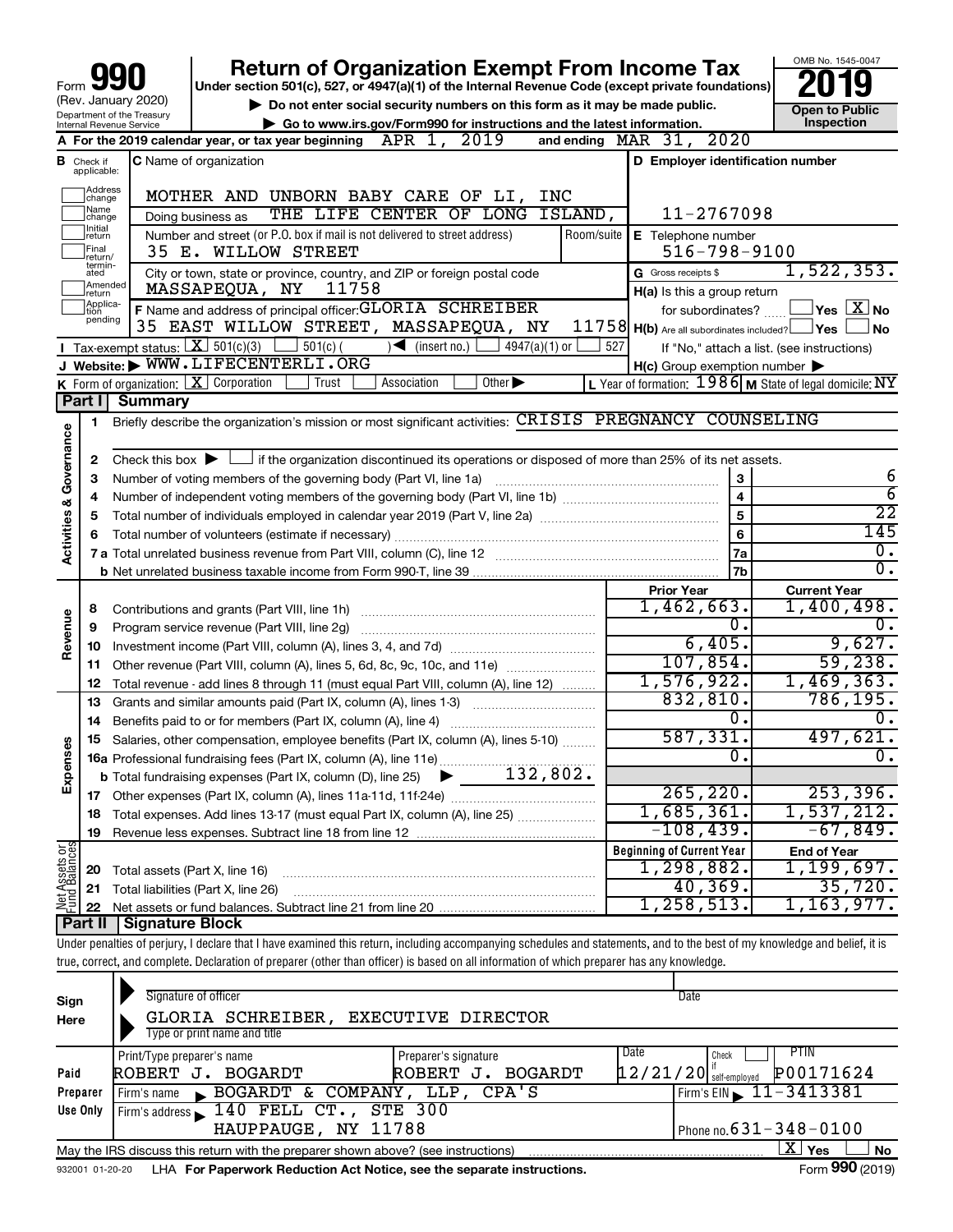|                         |                               |                                             | <b>Return of Organization Exempt From Income Tax</b>                                                                                                                       |            |                                                        | OMB No. 1545-0047                                         |  |  |  |
|-------------------------|-------------------------------|---------------------------------------------|----------------------------------------------------------------------------------------------------------------------------------------------------------------------------|------------|--------------------------------------------------------|-----------------------------------------------------------|--|--|--|
| Form                    |                               | (Rev. January 2020)                         | Under section 501(c), 527, or 4947(a)(1) of the Internal Revenue Code (except private foundations)                                                                         |            |                                                        |                                                           |  |  |  |
|                         |                               | Department of the Treasury                  | Do not enter social security numbers on this form as it may be made public.<br>Go to www.irs.gov/Form990 for instructions and the latest information.                      |            |                                                        | <b>Open to Public</b><br>Inspection                       |  |  |  |
|                         |                               | Internal Revenue Service                    | A For the 2019 calendar year, or tax year beginning $APR$ 1,<br>2019                                                                                                       |            | 2020<br>and ending $\n  MAR\n  31,$                    |                                                           |  |  |  |
|                         |                               |                                             | <b>C</b> Name of organization                                                                                                                                              |            | D Employer identification number                       |                                                           |  |  |  |
|                         | <b>B</b> Check if applicable: |                                             |                                                                                                                                                                            |            |                                                        |                                                           |  |  |  |
|                         | Address<br>change             |                                             | MOTHER AND UNBORN BABY CARE OF LI,<br>INC                                                                                                                                  |            |                                                        |                                                           |  |  |  |
|                         | Name<br>change                |                                             | THE LIFE CENTER OF LONG<br>Doing business as                                                                                                                               | ISLAND,    | 11-2767098                                             |                                                           |  |  |  |
|                         | Initial<br> return            |                                             | Number and street (or P.O. box if mail is not delivered to street address)                                                                                                 | Room/suite | E Telephone number                                     |                                                           |  |  |  |
|                         | Final<br>return/              |                                             | 35 E. WILLOW STREET                                                                                                                                                        |            | $516 - 798 - 9100$                                     |                                                           |  |  |  |
|                         | termin-<br>ated               |                                             | City or town, state or province, country, and ZIP or foreign postal code                                                                                                   |            | G Gross receipts \$                                    | 1,522,353.                                                |  |  |  |
|                         | Amended<br>return             |                                             | MASSAPEQUA, NY<br>11758                                                                                                                                                    |            | H(a) Is this a group return                            |                                                           |  |  |  |
|                         | Applica-<br>tion<br>pending   |                                             | F Name and address of principal officer: GLORIA SCHREIBER                                                                                                                  |            | for subordinates?                                      | $\sqrt{\ }$ Yes $\sqrt{\ \text{X}}$ No                    |  |  |  |
|                         |                               |                                             | 35 EAST WILLOW STREET, MASSAPEQUA, NY                                                                                                                                      |            | $11758$ H(b) Are all subordinates included? $\Box$ Yes | <b>No</b>                                                 |  |  |  |
|                         |                               | Tax-exempt status: $X \mid 501(c)(3)$       | $501(c)$ (<br>$\sqrt{\bullet}$ (insert no.)<br>$4947(a)(1)$ or<br>J Website: WWW.LIFECENTERLI.ORG                                                                          | 527        |                                                        | If "No," attach a list. (see instructions)                |  |  |  |
|                         |                               |                                             | K Form of organization: X Corporation<br>Association<br>Other $\blacktriangleright$<br>Trust                                                                               |            | $H(c)$ Group exemption number $\blacktriangleright$    | L Year of formation: $1986$ M State of legal domicile: NY |  |  |  |
|                         | Part I                        | <b>Summary</b>                              |                                                                                                                                                                            |            |                                                        |                                                           |  |  |  |
|                         | 1                             |                                             | Briefly describe the organization's mission or most significant activities: CRISIS PREGNANCY COUNSELING                                                                    |            |                                                        |                                                           |  |  |  |
| Activities & Governance |                               |                                             |                                                                                                                                                                            |            |                                                        |                                                           |  |  |  |
|                         | 2                             | Check this box $\blacktriangleright$ $\Box$ | If the organization discontinued its operations or disposed of more than 25% of its net assets.                                                                            |            |                                                        |                                                           |  |  |  |
|                         | 3                             |                                             | Number of voting members of the governing body (Part VI, line 1a)                                                                                                          |            | 3                                                      | 6                                                         |  |  |  |
|                         | 4                             |                                             |                                                                                                                                                                            |            | $\overline{\mathbf{4}}$                                | $\overline{6}$                                            |  |  |  |
|                         | 5                             |                                             |                                                                                                                                                                            |            | $\overline{5}$                                         | $\overline{22}$                                           |  |  |  |
|                         | 6                             |                                             | Total number of volunteers (estimate if necessary)                                                                                                                         |            | $6\phantom{a}$                                         | 145                                                       |  |  |  |
|                         |                               |                                             |                                                                                                                                                                            |            | 7a                                                     | О.                                                        |  |  |  |
|                         |                               |                                             |                                                                                                                                                                            |            | 7b                                                     | $\overline{0}$ .                                          |  |  |  |
|                         |                               |                                             |                                                                                                                                                                            |            | <b>Prior Year</b><br>1,462,663.                        | <b>Current Year</b>                                       |  |  |  |
|                         | 8                             |                                             |                                                                                                                                                                            |            | Ο.                                                     | 1,400,498.<br>ο.                                          |  |  |  |
| Revenue                 | 9<br>10                       |                                             | Program service revenue (Part VIII, line 2g)                                                                                                                               |            | 6,405.                                                 | 9,627.                                                    |  |  |  |
|                         | 11                            |                                             |                                                                                                                                                                            |            | 107,854.                                               | 59,238.                                                   |  |  |  |
|                         | 12                            |                                             | Total revenue - add lines 8 through 11 (must equal Part VIII, column (A), line 12)                                                                                         |            | 1,576,922.                                             | 1,469,363.                                                |  |  |  |
|                         | 13                            |                                             | Grants and similar amounts paid (Part IX, column (A), lines 1-3)                                                                                                           |            | 832, 810.                                              | 786,195.                                                  |  |  |  |
|                         | 14                            |                                             | Benefits paid to or for members (Part IX, column (A), line 4)                                                                                                              |            | Ο.                                                     | О.                                                        |  |  |  |
| ŵ.                      | 15                            |                                             | Salaries, other compensation, employee benefits (Part IX, column (A), lines 5-10)                                                                                          |            | 587, 331.                                              | 497,621.                                                  |  |  |  |
| Expense                 |                               |                                             | 16a Professional fundraising fees (Part IX, column (A), line 11e)                                                                                                          |            | $\overline{0}$ .                                       | $0$ .                                                     |  |  |  |
|                         |                               |                                             | 132,802.<br><b>b</b> Total fundraising expenses (Part IX, column (D), line 25)                                                                                             |            |                                                        |                                                           |  |  |  |
|                         | 17                            |                                             |                                                                                                                                                                            |            | 265, 220.                                              | 253,396.                                                  |  |  |  |
|                         | 18                            |                                             | Total expenses. Add lines 13-17 (must equal Part IX, column (A), line 25)                                                                                                  |            | 1,685,361.                                             | 1,537,212.                                                |  |  |  |
|                         | 19                            |                                             |                                                                                                                                                                            |            | $-108, 439.$                                           | $-67,849.$                                                |  |  |  |
| Net Assets or           |                               |                                             |                                                                                                                                                                            |            | <b>Beginning of Current Year</b>                       | <b>End of Year</b>                                        |  |  |  |
|                         | 20                            | Total assets (Part X, line 16)              |                                                                                                                                                                            |            | 1,298,882.                                             | 1,199,697.                                                |  |  |  |
|                         | 21                            |                                             | Total liabilities (Part X, line 26)                                                                                                                                        |            | 40, 369.<br>1, 258, 513.                               | 35,720.<br>1, 163, 977.                                   |  |  |  |
|                         | 22<br>Part II                 | Signature Block                             |                                                                                                                                                                            |            |                                                        |                                                           |  |  |  |
|                         |                               |                                             | Under penalties of perjury, I declare that I have examined this return, including accompanying schedules and statements, and to the best of my knowledge and belief, it is |            |                                                        |                                                           |  |  |  |
|                         |                               |                                             | true, correct, and complete. Declaration of preparer (other than officer) is based on all information of which preparer has any knowledge.                                 |            |                                                        |                                                           |  |  |  |
|                         |                               |                                             |                                                                                                                                                                            |            |                                                        |                                                           |  |  |  |
| Sign                    |                               |                                             | Signature of officer<br>Date                                                                                                                                               |            |                                                        |                                                           |  |  |  |
| Here                    |                               |                                             | GLORIA SCHREIBER, EXECUTIVE DIRECTOR                                                                                                                                       |            |                                                        |                                                           |  |  |  |
|                         |                               |                                             | Type or print name and title                                                                                                                                               |            |                                                        |                                                           |  |  |  |
|                         |                               | Print/Type preparer's name                  | Preparer's signature                                                                                                                                                       |            | Date<br>Check                                          | PTIN                                                      |  |  |  |
| Paid                    |                               |                                             | ROBERT J. BOGARDT<br>ROBERT J. BOGARDT                                                                                                                                     |            | $12/21/20$ if self-employed                            | P00171624                                                 |  |  |  |
|                         | Preparer                      | Firm's name                                 | BOGARDT & COMPANY, LLP,<br>CPA'S                                                                                                                                           |            |                                                        | Firm's EIN $\sqrt{11-3413381}$                            |  |  |  |
|                         | Use Only                      |                                             | Firm's address 140 FELL CT., STE 300                                                                                                                                       |            |                                                        |                                                           |  |  |  |

| Use Only        | $1$ Firm's address $\blacktriangleright$ 140 FELL CT., STE 300                    |                                 |
|-----------------|-----------------------------------------------------------------------------------|---------------------------------|
|                 | HAUPPAUGE, NY 11788                                                               | I Phone no. $631 - 348 - 0100$  |
|                 | May the IRS discuss this return with the preparer shown above? (see instructions) | $X \mid Y_{\mathsf{es}}$<br>No. |
| 932001 01-20-20 | LHA For Paperwork Reduction Act Notice, see the separate instructions.            | Form 990 (2019)                 |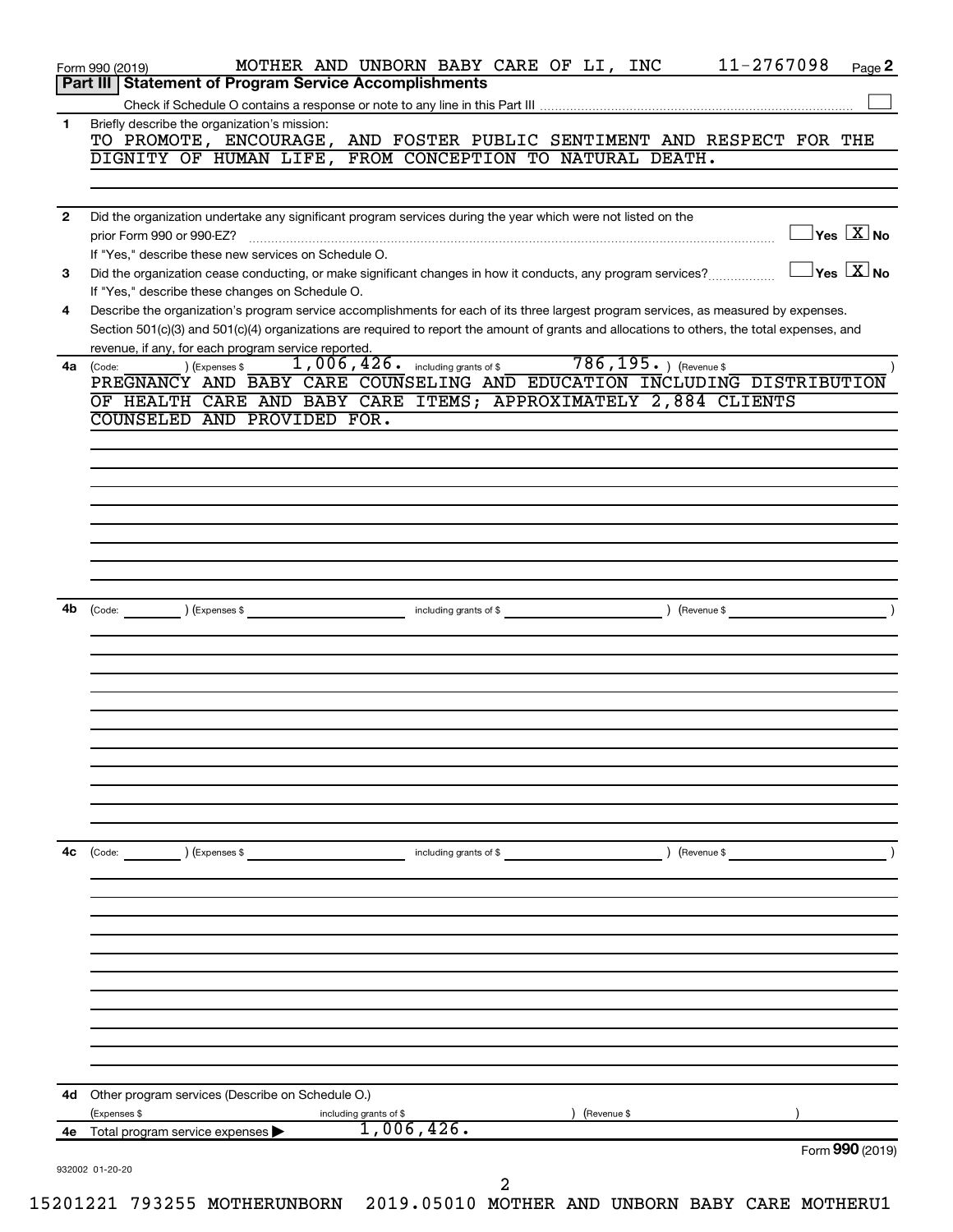|                | Part III   Statement of Program Service Accomplishments                                                                                                                                                     |
|----------------|-------------------------------------------------------------------------------------------------------------------------------------------------------------------------------------------------------------|
| 1              | Briefly describe the organization's mission:                                                                                                                                                                |
|                | TO PROMOTE, ENCOURAGE, AND FOSTER PUBLIC SENTIMENT AND RESPECT FOR THE                                                                                                                                      |
|                | DIGNITY OF HUMAN LIFE, FROM CONCEPTION TO NATURAL DEATH.                                                                                                                                                    |
|                |                                                                                                                                                                                                             |
| $\overline{2}$ | Did the organization undertake any significant program services during the year which were not listed on the                                                                                                |
|                | $\overline{\ }$ Yes $\overline{\ \ \ }$ No                                                                                                                                                                  |
| 3              | If "Yes," describe these new services on Schedule O.<br>$\exists$ Yes $\boxed{\text{X}}$ No<br>Did the organization cease conducting, or make significant changes in how it conducts, any program services? |
|                | If "Yes," describe these changes on Schedule O.                                                                                                                                                             |
| 4              | Describe the organization's program service accomplishments for each of its three largest program services, as measured by expenses.                                                                        |
|                | Section 501(c)(3) and 501(c)(4) organizations are required to report the amount of grants and allocations to others, the total expenses, and                                                                |
| 4a             | revenue, if any, for each program service reported.<br>$786, 195.$ (Revenue \$)<br>1,006,426. including grants of \$<br>) (Expenses \$<br>(Code:                                                            |
|                | PREGNANCY AND BABY CARE COUNSELING AND EDUCATION INCLUDING DISTRIBUTION                                                                                                                                     |
|                | OF HEALTH CARE AND BABY CARE ITEMS; APPROXIMATELY 2,884 CLIENTS                                                                                                                                             |
|                | COUNSELED AND PROVIDED FOR.                                                                                                                                                                                 |
|                |                                                                                                                                                                                                             |
|                |                                                                                                                                                                                                             |
|                |                                                                                                                                                                                                             |
|                |                                                                                                                                                                                                             |
|                |                                                                                                                                                                                                             |
|                |                                                                                                                                                                                                             |
|                |                                                                                                                                                                                                             |
| 4b             | including grants of \$<br>$\int$ (Revenue \$<br>(Code: ) (Expenses \$                                                                                                                                       |
|                |                                                                                                                                                                                                             |
|                |                                                                                                                                                                                                             |
|                |                                                                                                                                                                                                             |
|                |                                                                                                                                                                                                             |
|                |                                                                                                                                                                                                             |
|                |                                                                                                                                                                                                             |
|                |                                                                                                                                                                                                             |
|                |                                                                                                                                                                                                             |
|                |                                                                                                                                                                                                             |
|                |                                                                                                                                                                                                             |
| 4с             | including grants of \$ (Revenue \$)<br>$\left(\text{Code:}\right)$ $\left(\text{Expenses $}\right)$                                                                                                         |
|                |                                                                                                                                                                                                             |
|                |                                                                                                                                                                                                             |
|                |                                                                                                                                                                                                             |
|                |                                                                                                                                                                                                             |
|                |                                                                                                                                                                                                             |
|                |                                                                                                                                                                                                             |
|                |                                                                                                                                                                                                             |
|                |                                                                                                                                                                                                             |
|                |                                                                                                                                                                                                             |
|                |                                                                                                                                                                                                             |
| 4d             |                                                                                                                                                                                                             |
|                | Other program services (Describe on Schedule O.)<br>(Expenses \$<br>) (Revenue \$<br>including grants of \$                                                                                                 |
| 4е             | 1,006,426.<br>Total program service expenses<br>Form 990 (2019)                                                                                                                                             |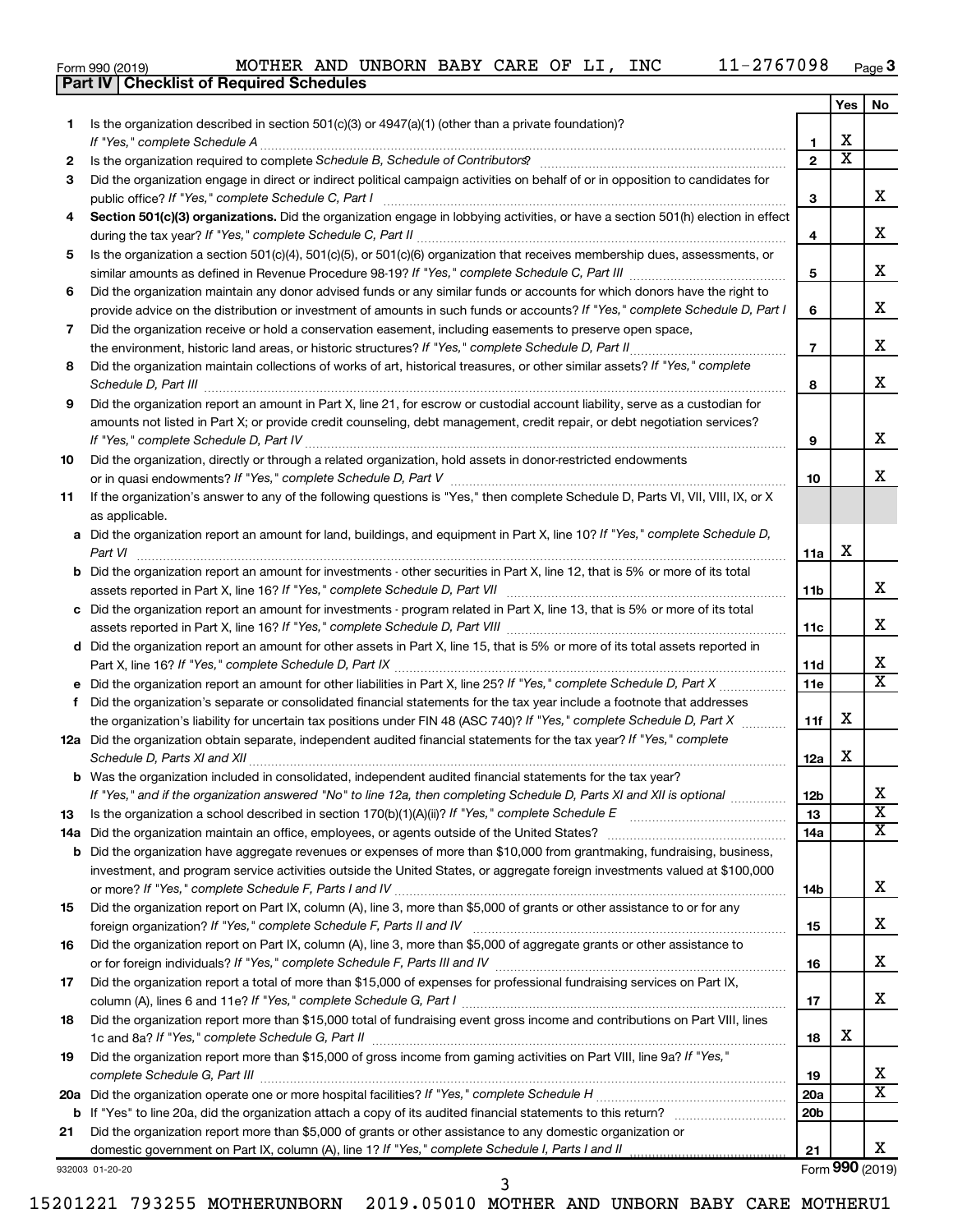|  | Form 990 (2019) |  |
|--|-----------------|--|

|    |                                                                                                                                                                                                                   |                 | Yes                     | No                      |
|----|-------------------------------------------------------------------------------------------------------------------------------------------------------------------------------------------------------------------|-----------------|-------------------------|-------------------------|
| 1. | Is the organization described in section 501(c)(3) or 4947(a)(1) (other than a private foundation)?                                                                                                               |                 |                         |                         |
|    | If "Yes," complete Schedule A                                                                                                                                                                                     | 1               | х                       |                         |
| 2  | Is the organization required to complete Schedule B, Schedule of Contributors? [11] The organization required to complete Schedule B, Schedule of Contributors?                                                   | $\mathbf{2}$    | $\overline{\textbf{x}}$ |                         |
| 3  | Did the organization engage in direct or indirect political campaign activities on behalf of or in opposition to candidates for                                                                                   |                 |                         |                         |
|    | public office? If "Yes," complete Schedule C, Part I                                                                                                                                                              | 3               |                         | x                       |
| 4  | Section 501(c)(3) organizations. Did the organization engage in lobbying activities, or have a section 501(h) election in effect                                                                                  |                 |                         |                         |
|    |                                                                                                                                                                                                                   | 4               |                         | x                       |
| 5  | Is the organization a section 501(c)(4), 501(c)(5), or 501(c)(6) organization that receives membership dues, assessments, or                                                                                      |                 |                         |                         |
|    |                                                                                                                                                                                                                   | 5               |                         | x                       |
| 6  | Did the organization maintain any donor advised funds or any similar funds or accounts for which donors have the right to                                                                                         |                 |                         | x                       |
|    | provide advice on the distribution or investment of amounts in such funds or accounts? If "Yes," complete Schedule D, Part I                                                                                      | 6               |                         |                         |
| 7  | Did the organization receive or hold a conservation easement, including easements to preserve open space,<br>the environment, historic land areas, or historic structures? If "Yes," complete Schedule D, Part II | $\overline{7}$  |                         | x                       |
| 8  | Did the organization maintain collections of works of art, historical treasures, or other similar assets? If "Yes," complete                                                                                      |                 |                         |                         |
|    |                                                                                                                                                                                                                   | 8               |                         | x                       |
| 9  | Did the organization report an amount in Part X, line 21, for escrow or custodial account liability, serve as a custodian for                                                                                     |                 |                         |                         |
|    | amounts not listed in Part X; or provide credit counseling, debt management, credit repair, or debt negotiation services?                                                                                         |                 |                         |                         |
|    |                                                                                                                                                                                                                   | 9               |                         | x                       |
| 10 | Did the organization, directly or through a related organization, hold assets in donor-restricted endowments                                                                                                      |                 |                         |                         |
|    |                                                                                                                                                                                                                   | 10              |                         | x                       |
| 11 | If the organization's answer to any of the following questions is "Yes," then complete Schedule D, Parts VI, VII, VIII, IX, or X                                                                                  |                 |                         |                         |
|    | as applicable.                                                                                                                                                                                                    |                 |                         |                         |
|    | a Did the organization report an amount for land, buildings, and equipment in Part X, line 10? If "Yes," complete Schedule D,                                                                                     |                 |                         |                         |
|    | Part VI                                                                                                                                                                                                           | 11a             | х                       |                         |
|    | <b>b</b> Did the organization report an amount for investments - other securities in Part X, line 12, that is 5% or more of its total                                                                             |                 |                         |                         |
|    |                                                                                                                                                                                                                   | 11b             |                         | x                       |
|    | c Did the organization report an amount for investments - program related in Part X, line 13, that is 5% or more of its total                                                                                     |                 |                         |                         |
|    |                                                                                                                                                                                                                   | 11c             |                         | x.                      |
|    | d Did the organization report an amount for other assets in Part X, line 15, that is 5% or more of its total assets reported in                                                                                   |                 |                         |                         |
|    |                                                                                                                                                                                                                   | 11d             |                         | х                       |
|    | e Did the organization report an amount for other liabilities in Part X, line 25? If "Yes," complete Schedule D, Part X                                                                                           | 11e             |                         | X                       |
| f  | Did the organization's separate or consolidated financial statements for the tax year include a footnote that addresses                                                                                           |                 |                         |                         |
|    | the organization's liability for uncertain tax positions under FIN 48 (ASC 740)? If "Yes," complete Schedule D, Part X                                                                                            | 11f             | х                       |                         |
|    | 12a Did the organization obtain separate, independent audited financial statements for the tax year? If "Yes," complete<br>Schedule D, Parts XI and XII                                                           |                 | x                       |                         |
|    | <b>b</b> Was the organization included in consolidated, independent audited financial statements for the tax year?                                                                                                | 12a             |                         |                         |
|    | If "Yes," and if the organization answered "No" to line 12a, then completing Schedule D, Parts XI and XII is optional                                                                                             | 12 <sub>b</sub> |                         | ▵                       |
| 13 | Is the organization a school described in section $170(b)(1)(A)(ii)$ ? If "Yes," complete Schedule E                                                                                                              | 13              |                         | $\overline{\textbf{X}}$ |
|    | 14a Did the organization maintain an office, employees, or agents outside of the United States?                                                                                                                   | 14a             |                         | х                       |
|    | <b>b</b> Did the organization have aggregate revenues or expenses of more than \$10,000 from grantmaking, fundraising, business,                                                                                  |                 |                         |                         |
|    | investment, and program service activities outside the United States, or aggregate foreign investments valued at \$100,000                                                                                        |                 |                         |                         |
|    |                                                                                                                                                                                                                   | 14b             |                         | х                       |
| 15 | Did the organization report on Part IX, column (A), line 3, more than \$5,000 of grants or other assistance to or for any                                                                                         |                 |                         |                         |
|    | foreign organization? If "Yes," complete Schedule F, Parts II and IV                                                                                                                                              | 15              |                         | х                       |
| 16 | Did the organization report on Part IX, column (A), line 3, more than \$5,000 of aggregate grants or other assistance to                                                                                          |                 |                         |                         |
|    |                                                                                                                                                                                                                   | 16              |                         | х                       |
| 17 | Did the organization report a total of more than \$15,000 of expenses for professional fundraising services on Part IX,                                                                                           |                 |                         |                         |
|    |                                                                                                                                                                                                                   | 17              |                         | х                       |
| 18 | Did the organization report more than \$15,000 total of fundraising event gross income and contributions on Part VIII, lines                                                                                      |                 |                         |                         |
|    |                                                                                                                                                                                                                   | 18              | х                       |                         |
| 19 | Did the organization report more than \$15,000 of gross income from gaming activities on Part VIII, line 9a? If "Yes,"                                                                                            |                 |                         | х                       |
|    |                                                                                                                                                                                                                   | 19<br>20a       |                         | х                       |
|    |                                                                                                                                                                                                                   | 20 <sub>b</sub> |                         |                         |
| 21 | Did the organization report more than \$5,000 of grants or other assistance to any domestic organization or                                                                                                       |                 |                         |                         |
|    |                                                                                                                                                                                                                   | 21              |                         | x                       |
|    |                                                                                                                                                                                                                   |                 |                         |                         |

932003 01-20-20

Form (2019) **990**

15201221 793255 MOTHERUNBORN 2019.05010 MOTHER AND UNBORN BABY CARE MOTHERU1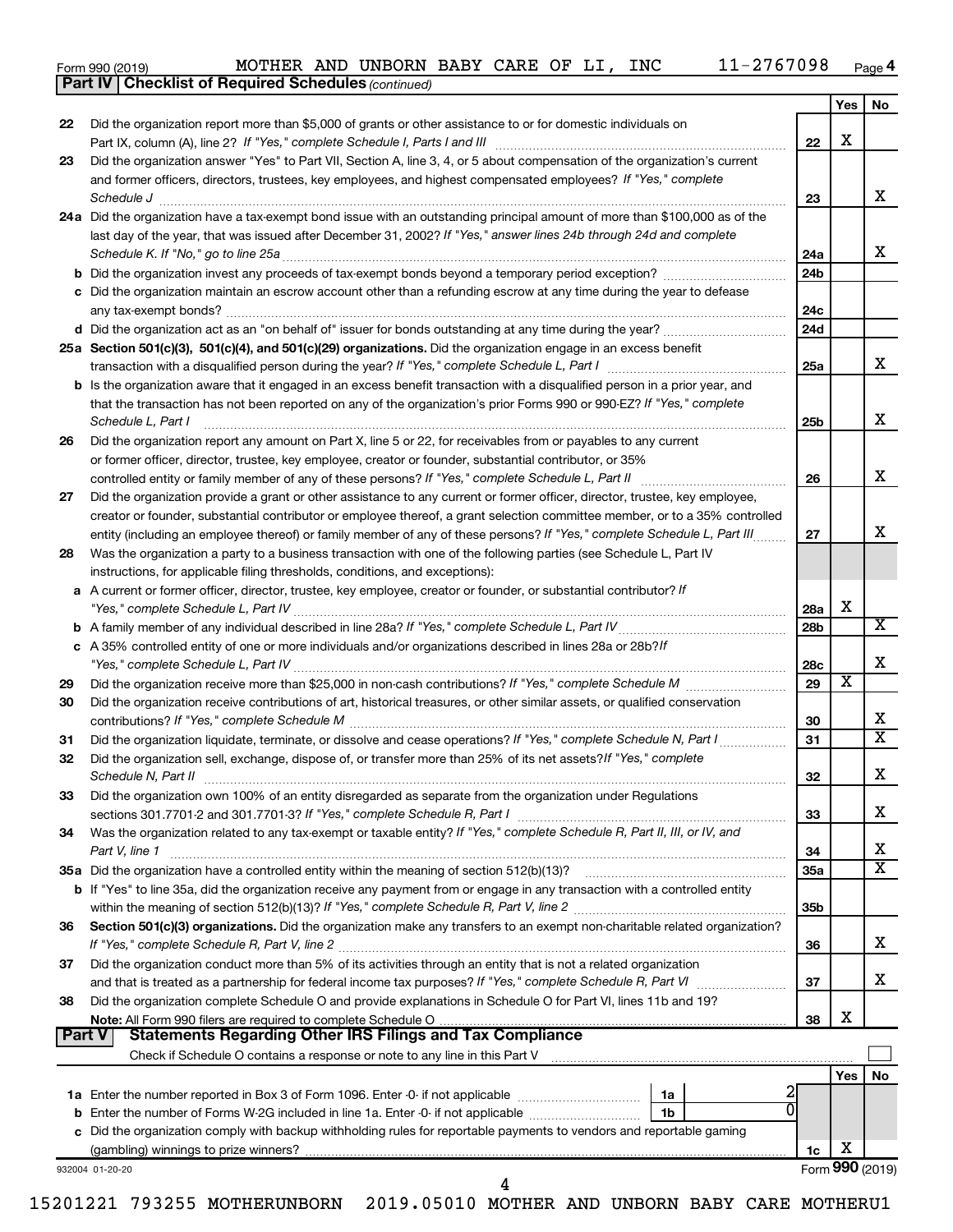|  | Form 990 (2019) |  |
|--|-----------------|--|

|               |                                                                                                                                                                                                   |                 | Yes             | No                      |
|---------------|---------------------------------------------------------------------------------------------------------------------------------------------------------------------------------------------------|-----------------|-----------------|-------------------------|
| 22            | Did the organization report more than \$5,000 of grants or other assistance to or for domestic individuals on                                                                                     |                 |                 |                         |
|               |                                                                                                                                                                                                   | 22              | X               |                         |
| 23            | Did the organization answer "Yes" to Part VII, Section A, line 3, 4, or 5 about compensation of the organization's current                                                                        |                 |                 |                         |
|               | and former officers, directors, trustees, key employees, and highest compensated employees? If "Yes," complete                                                                                    |                 |                 |                         |
|               | Schedule J                                                                                                                                                                                        | 23              |                 | x                       |
|               | 24a Did the organization have a tax-exempt bond issue with an outstanding principal amount of more than \$100,000 as of the                                                                       |                 |                 |                         |
|               | last day of the year, that was issued after December 31, 2002? If "Yes," answer lines 24b through 24d and complete                                                                                |                 |                 |                         |
|               | Schedule K. If "No," go to line 25a                                                                                                                                                               | 24a             |                 | х                       |
|               |                                                                                                                                                                                                   | 24b             |                 |                         |
|               | c Did the organization maintain an escrow account other than a refunding escrow at any time during the year to defease                                                                            |                 |                 |                         |
|               |                                                                                                                                                                                                   | 24c             |                 |                         |
|               |                                                                                                                                                                                                   | 24d             |                 |                         |
|               | 25a Section 501(c)(3), 501(c)(4), and 501(c)(29) organizations. Did the organization engage in an excess benefit                                                                                  |                 |                 |                         |
|               |                                                                                                                                                                                                   | 25a             |                 | х                       |
|               | <b>b</b> Is the organization aware that it engaged in an excess benefit transaction with a disqualified person in a prior year, and                                                               |                 |                 |                         |
|               | that the transaction has not been reported on any of the organization's prior Forms 990 or 990-EZ? If "Yes," complete                                                                             |                 |                 |                         |
|               | Schedule L, Part I                                                                                                                                                                                | 25 <sub>b</sub> |                 | х                       |
| 26            | Did the organization report any amount on Part X, line 5 or 22, for receivables from or payables to any current                                                                                   |                 |                 |                         |
|               | or former officer, director, trustee, key employee, creator or founder, substantial contributor, or 35%                                                                                           |                 |                 | X                       |
|               |                                                                                                                                                                                                   | 26              |                 |                         |
| 27            | Did the organization provide a grant or other assistance to any current or former officer, director, trustee, key employee,                                                                       |                 |                 |                         |
|               | creator or founder, substantial contributor or employee thereof, a grant selection committee member, or to a 35% controlled                                                                       | 27              |                 | х                       |
|               | entity (including an employee thereof) or family member of any of these persons? If "Yes," complete Schedule L, Part III                                                                          |                 |                 |                         |
| 28            | Was the organization a party to a business transaction with one of the following parties (see Schedule L, Part IV<br>instructions, for applicable filing thresholds, conditions, and exceptions): |                 |                 |                         |
|               | a A current or former officer, director, trustee, key employee, creator or founder, or substantial contributor? If                                                                                |                 |                 |                         |
|               |                                                                                                                                                                                                   | 28a             | X               |                         |
|               |                                                                                                                                                                                                   | 28 <sub>b</sub> |                 | X                       |
|               | c A 35% controlled entity of one or more individuals and/or organizations described in lines 28a or 28b?/f                                                                                        |                 |                 |                         |
|               |                                                                                                                                                                                                   | 28c             |                 | Х                       |
| 29            |                                                                                                                                                                                                   | 29              | х               |                         |
| 30            | Did the organization receive contributions of art, historical treasures, or other similar assets, or qualified conservation                                                                       |                 |                 |                         |
|               |                                                                                                                                                                                                   | 30              |                 | х                       |
| 31            | Did the organization liquidate, terminate, or dissolve and cease operations? If "Yes," complete Schedule N, Part I                                                                                | 31              |                 | $\overline{\texttt{x}}$ |
| 32            | Did the organization sell, exchange, dispose of, or transfer more than 25% of its net assets? If "Yes," complete                                                                                  |                 |                 |                         |
|               |                                                                                                                                                                                                   | 32              |                 | X                       |
| 33            | Did the organization own 100% of an entity disregarded as separate from the organization under Regulations                                                                                        |                 |                 |                         |
|               |                                                                                                                                                                                                   | 33              |                 | х                       |
| 34            | Was the organization related to any tax-exempt or taxable entity? If "Yes," complete Schedule R, Part II, III, or IV, and                                                                         |                 |                 |                         |
|               | Part V, line 1                                                                                                                                                                                    | 34              |                 | х                       |
|               |                                                                                                                                                                                                   | 35a             |                 | $\overline{\textbf{X}}$ |
|               | <b>b</b> If "Yes" to line 35a, did the organization receive any payment from or engage in any transaction with a controlled entity                                                                |                 |                 |                         |
|               |                                                                                                                                                                                                   | 35 <sub>b</sub> |                 |                         |
| 36            | Section 501(c)(3) organizations. Did the organization make any transfers to an exempt non-charitable related organization?                                                                        |                 |                 |                         |
|               |                                                                                                                                                                                                   | 36              |                 | х                       |
| 37            | Did the organization conduct more than 5% of its activities through an entity that is not a related organization                                                                                  |                 |                 | х                       |
|               | Did the organization complete Schedule O and provide explanations in Schedule O for Part VI, lines 11b and 19?                                                                                    | 37              |                 |                         |
| 38            | Note: All Form 990 filers are required to complete Schedule O                                                                                                                                     | 38              | х               |                         |
| <b>Part V</b> | <b>Statements Regarding Other IRS Filings and Tax Compliance</b>                                                                                                                                  |                 |                 |                         |
|               |                                                                                                                                                                                                   |                 |                 |                         |
|               |                                                                                                                                                                                                   |                 | Yes             | No                      |
|               | 1a                                                                                                                                                                                                |                 |                 |                         |
| b             | Enter the number of Forms W-2G included in line 1a. Enter -0- if not applicable<br>1b                                                                                                             |                 |                 |                         |
| c             | Did the organization comply with backup withholding rules for reportable payments to vendors and reportable gaming                                                                                |                 |                 |                         |
|               |                                                                                                                                                                                                   | 1c              | х               |                         |
|               | 932004 01-20-20                                                                                                                                                                                   |                 | Form 990 (2019) |                         |
|               | 4                                                                                                                                                                                                 |                 |                 |                         |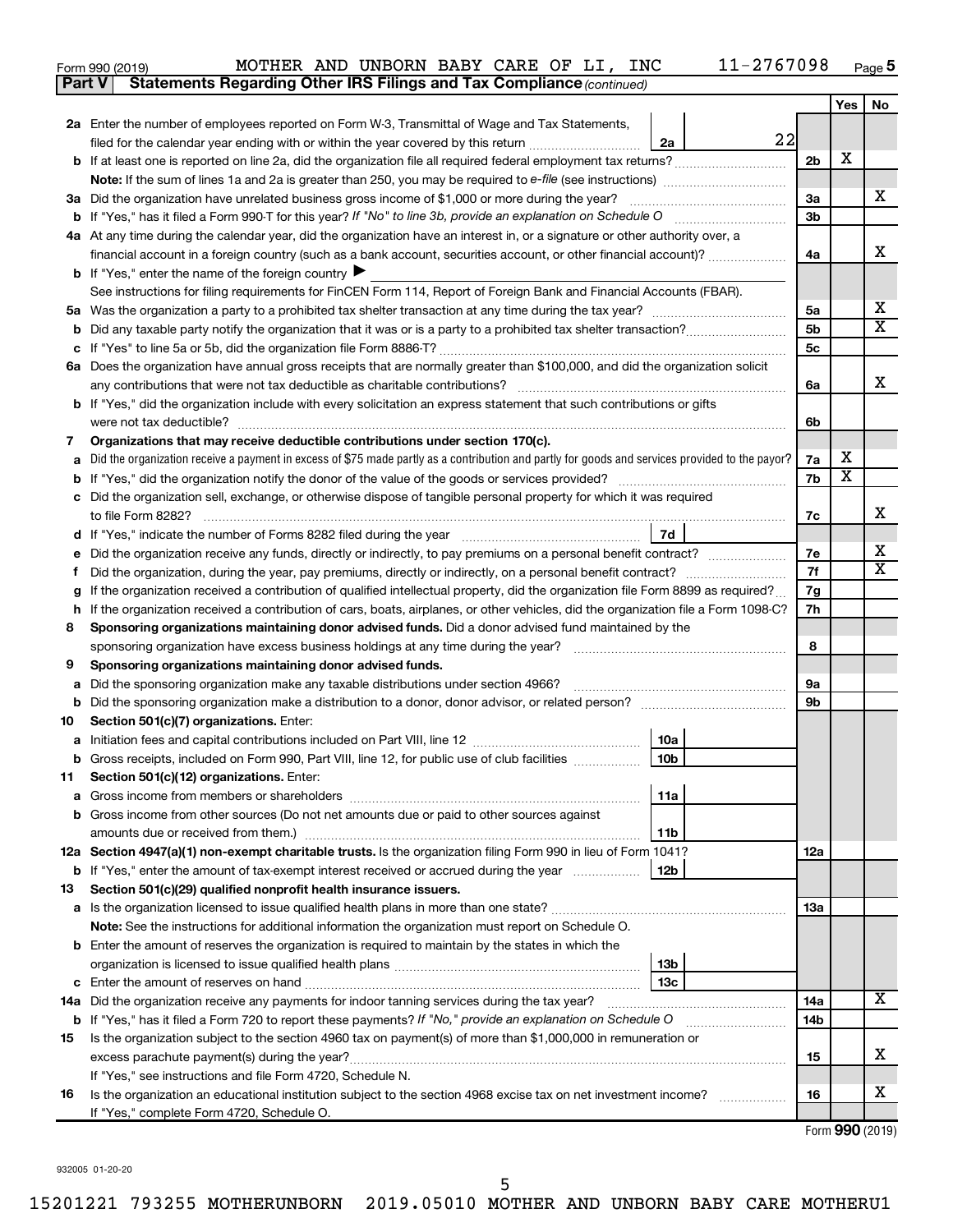| Form 990 (2019) |                                                                                     | MOTHER AND UNBORN BABY CARE OF LI, INC |  |  |  | $11 - 2767098$ | Page |
|-----------------|-------------------------------------------------------------------------------------|----------------------------------------|--|--|--|----------------|------|
|                 | <b>Part V</b> Statements Regarding Other IRS Filings and Tax Compliance (continued) |                                        |  |  |  |                |      |

|     |                                                                                                                                                                                                                                                  |    |          | Yes                     | No |  |  |  |  |  |
|-----|--------------------------------------------------------------------------------------------------------------------------------------------------------------------------------------------------------------------------------------------------|----|----------|-------------------------|----|--|--|--|--|--|
|     | 2a Enter the number of employees reported on Form W-3, Transmittal of Wage and Tax Statements,                                                                                                                                                   |    |          |                         |    |  |  |  |  |  |
|     | filed for the calendar year ending with or within the year covered by this return <i>[[[[[[[[[[[[[]]]</i> ]]<br>2a                                                                                                                               | 22 |          |                         |    |  |  |  |  |  |
|     |                                                                                                                                                                                                                                                  |    | 2b       | х                       |    |  |  |  |  |  |
|     | Note: If the sum of lines 1a and 2a is greater than 250, you may be required to e-file (see instructions) <i></i>                                                                                                                                |    |          |                         |    |  |  |  |  |  |
|     | 3a Did the organization have unrelated business gross income of \$1,000 or more during the year?                                                                                                                                                 |    |          |                         |    |  |  |  |  |  |
|     |                                                                                                                                                                                                                                                  |    |          |                         |    |  |  |  |  |  |
|     | 4a At any time during the calendar year, did the organization have an interest in, or a signature or other authority over, a                                                                                                                     |    |          |                         |    |  |  |  |  |  |
|     | financial account in a foreign country (such as a bank account, securities account, or other financial account)?                                                                                                                                 |    | 4a       |                         | x  |  |  |  |  |  |
|     | <b>b</b> If "Yes," enter the name of the foreign country $\blacktriangleright$                                                                                                                                                                   |    |          |                         |    |  |  |  |  |  |
|     | See instructions for filing requirements for FinCEN Form 114, Report of Foreign Bank and Financial Accounts (FBAR).                                                                                                                              |    |          |                         |    |  |  |  |  |  |
|     |                                                                                                                                                                                                                                                  |    | 5a       |                         | х  |  |  |  |  |  |
|     |                                                                                                                                                                                                                                                  |    | 5b       |                         | X  |  |  |  |  |  |
|     |                                                                                                                                                                                                                                                  |    | 5c       |                         |    |  |  |  |  |  |
|     | 6a Does the organization have annual gross receipts that are normally greater than \$100,000, and did the organization solicit                                                                                                                   |    |          |                         |    |  |  |  |  |  |
|     |                                                                                                                                                                                                                                                  |    | 6a       |                         | x  |  |  |  |  |  |
|     | <b>b</b> If "Yes," did the organization include with every solicitation an express statement that such contributions or gifts                                                                                                                    |    |          |                         |    |  |  |  |  |  |
|     | were not tax deductible?                                                                                                                                                                                                                         |    | 6b       |                         |    |  |  |  |  |  |
| 7   | Organizations that may receive deductible contributions under section 170(c).                                                                                                                                                                    |    |          |                         |    |  |  |  |  |  |
| а   | Did the organization receive a payment in excess of \$75 made partly as a contribution and partly for goods and services provided to the payor?                                                                                                  |    | 7a       | х                       |    |  |  |  |  |  |
|     |                                                                                                                                                                                                                                                  |    | 7b       | $\overline{\textbf{x}}$ |    |  |  |  |  |  |
|     | c Did the organization sell, exchange, or otherwise dispose of tangible personal property for which it was required                                                                                                                              |    |          |                         | x  |  |  |  |  |  |
|     |                                                                                                                                                                                                                                                  |    | 7c       |                         |    |  |  |  |  |  |
|     | 7d                                                                                                                                                                                                                                               |    | 7е       |                         | х  |  |  |  |  |  |
|     | e Did the organization receive any funds, directly or indirectly, to pay premiums on a personal benefit contract?                                                                                                                                |    |          |                         |    |  |  |  |  |  |
| f.  | Did the organization, during the year, pay premiums, directly or indirectly, on a personal benefit contract?                                                                                                                                     |    | 7f<br>7g |                         | x  |  |  |  |  |  |
|     | If the organization received a contribution of qualified intellectual property, did the organization file Form 8899 as required?<br>g                                                                                                            |    |          |                         |    |  |  |  |  |  |
| 8   | h If the organization received a contribution of cars, boats, airplanes, or other vehicles, did the organization file a Form 1098-C?                                                                                                             |    |          |                         |    |  |  |  |  |  |
|     | Sponsoring organizations maintaining donor advised funds. Did a donor advised fund maintained by the<br>sponsoring organization have excess business holdings at any time during the year?                                                       |    |          |                         |    |  |  |  |  |  |
| 9   | Sponsoring organizations maintaining donor advised funds.                                                                                                                                                                                        |    |          |                         |    |  |  |  |  |  |
| а   | Did the sponsoring organization make any taxable distributions under section 4966?                                                                                                                                                               |    | 9а       |                         |    |  |  |  |  |  |
|     |                                                                                                                                                                                                                                                  |    | 9b       |                         |    |  |  |  |  |  |
| 10  | Section 501(c)(7) organizations. Enter:                                                                                                                                                                                                          |    |          |                         |    |  |  |  |  |  |
|     | 10a                                                                                                                                                                                                                                              |    |          |                         |    |  |  |  |  |  |
|     | 10 <sub>b</sub><br>Gross receipts, included on Form 990, Part VIII, line 12, for public use of club facilities <i></i>                                                                                                                           |    |          |                         |    |  |  |  |  |  |
| 11. | Section 501(c)(12) organizations. Enter:                                                                                                                                                                                                         |    |          |                         |    |  |  |  |  |  |
|     | 11a<br><b>a</b> Gross income from members or shareholders <b>contained as a set of the set of the set of the set of the set of the set of the set of the set of the set of the set of the set of the set of the set of the set of the set of</b> |    |          |                         |    |  |  |  |  |  |
|     | <b>b</b> Gross income from other sources (Do not net amounts due or paid to other sources against                                                                                                                                                |    |          |                         |    |  |  |  |  |  |
|     | amounts due or received from them.)<br>11b                                                                                                                                                                                                       |    |          |                         |    |  |  |  |  |  |
|     | 12a Section 4947(a)(1) non-exempt charitable trusts. Is the organization filing Form 990 in lieu of Form 1041?                                                                                                                                   |    | 12a      |                         |    |  |  |  |  |  |
|     | <b>b</b> If "Yes," enter the amount of tax-exempt interest received or accrued during the year<br>12b                                                                                                                                            |    |          |                         |    |  |  |  |  |  |
| 13  | Section 501(c)(29) qualified nonprofit health insurance issuers.                                                                                                                                                                                 |    |          |                         |    |  |  |  |  |  |
|     |                                                                                                                                                                                                                                                  |    | 1За      |                         |    |  |  |  |  |  |
|     | Note: See the instructions for additional information the organization must report on Schedule O.                                                                                                                                                |    |          |                         |    |  |  |  |  |  |
|     | <b>b</b> Enter the amount of reserves the organization is required to maintain by the states in which the                                                                                                                                        |    |          |                         |    |  |  |  |  |  |
|     | 13 <sub>b</sub>                                                                                                                                                                                                                                  |    |          |                         |    |  |  |  |  |  |
|     | 13с                                                                                                                                                                                                                                              |    |          |                         |    |  |  |  |  |  |
| 14a |                                                                                                                                                                                                                                                  |    | 14a      |                         | х  |  |  |  |  |  |
|     |                                                                                                                                                                                                                                                  |    | 14b      |                         |    |  |  |  |  |  |
| 15  | Is the organization subject to the section 4960 tax on payment(s) of more than \$1,000,000 in remuneration or                                                                                                                                    |    | 15       |                         | x  |  |  |  |  |  |
|     | If "Yes," see instructions and file Form 4720, Schedule N.                                                                                                                                                                                       |    |          |                         |    |  |  |  |  |  |
| 16  | Is the organization an educational institution subject to the section 4968 excise tax on net investment income?                                                                                                                                  |    | 16       |                         | х  |  |  |  |  |  |
|     | If "Yes," complete Form 4720, Schedule O.                                                                                                                                                                                                        |    |          |                         |    |  |  |  |  |  |

Form (2019) **990**

932005 01-20-20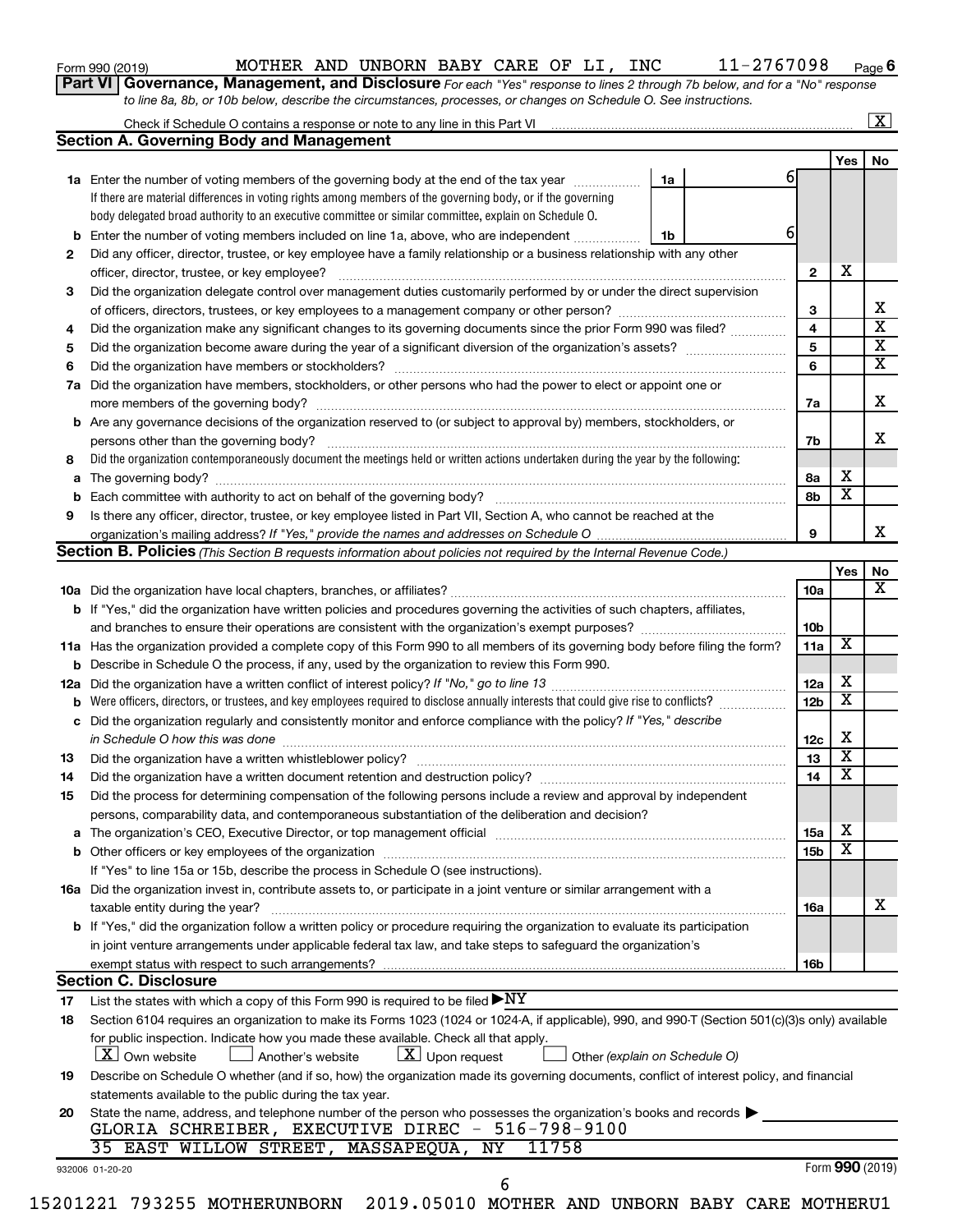| Form 990 (2019) |  |
|-----------------|--|
|-----------------|--|

## Form 990 (2019) **MOTHER AND UNBORN BABY CARE OF LI, INC**  $11-2767098$  Page

**6**

**Part VI** Governance, Management, and Disclosure For each "Yes" response to lines 2 through 7b below, and for a "No" response *to line 8a, 8b, or 10b below, describe the circumstances, processes, or changes on Schedule O. See instructions.*

|    |                                                                                                                                                                                                                                                           |                         |                         | $\overline{\mathbf{x}}$ |
|----|-----------------------------------------------------------------------------------------------------------------------------------------------------------------------------------------------------------------------------------------------------------|-------------------------|-------------------------|-------------------------|
|    | <b>Section A. Governing Body and Management</b>                                                                                                                                                                                                           |                         |                         |                         |
|    |                                                                                                                                                                                                                                                           |                         | Yes l                   | No                      |
|    | 1a<br>1a Enter the number of voting members of the governing body at the end of the tax year                                                                                                                                                              | 61                      |                         |                         |
|    | If there are material differences in voting rights among members of the governing body, or if the governing                                                                                                                                               |                         |                         |                         |
|    | body delegated broad authority to an executive committee or similar committee, explain on Schedule O.                                                                                                                                                     |                         |                         |                         |
| b  | Enter the number of voting members included on line 1a, above, who are independent<br>1b                                                                                                                                                                  | 6                       |                         |                         |
| 2  | Did any officer, director, trustee, or key employee have a family relationship or a business relationship with any other                                                                                                                                  |                         |                         |                         |
|    | officer, director, trustee, or key employee?                                                                                                                                                                                                              | $\mathbf{2}$            | х                       |                         |
| 3  | Did the organization delegate control over management duties customarily performed by or under the direct supervision                                                                                                                                     |                         |                         |                         |
|    |                                                                                                                                                                                                                                                           | 3                       |                         | x                       |
| 4  | Did the organization make any significant changes to its governing documents since the prior Form 990 was filed?                                                                                                                                          | 4                       |                         | $\overline{\text{x}}$   |
| 5  |                                                                                                                                                                                                                                                           | $\overline{\mathbf{5}}$ |                         | $\overline{\mathbf{x}}$ |
| 6  | Did the organization have members or stockholders?                                                                                                                                                                                                        | 6                       |                         | $\overline{\textbf{x}}$ |
|    | 7a Did the organization have members, stockholders, or other persons who had the power to elect or appoint one or                                                                                                                                         |                         |                         |                         |
|    |                                                                                                                                                                                                                                                           | 7a                      |                         | x                       |
|    | <b>b</b> Are any governance decisions of the organization reserved to (or subject to approval by) members, stockholders, or                                                                                                                               |                         |                         |                         |
|    | persons other than the governing body?                                                                                                                                                                                                                    | 7b                      |                         | x                       |
| 8  | Did the organization contemporaneously document the meetings held or written actions undertaken during the year by the following:                                                                                                                         |                         |                         |                         |
|    |                                                                                                                                                                                                                                                           | 8а                      | х                       |                         |
| b  |                                                                                                                                                                                                                                                           | 8b                      | $\overline{\textbf{x}}$ |                         |
| 9  | Is there any officer, director, trustee, or key employee listed in Part VII, Section A, who cannot be reached at the                                                                                                                                      |                         |                         |                         |
|    |                                                                                                                                                                                                                                                           | 9                       |                         | x                       |
|    | Section B. Policies (This Section B requests information about policies not required by the Internal Revenue Code.)                                                                                                                                       |                         |                         |                         |
|    |                                                                                                                                                                                                                                                           |                         | Yes                     | No                      |
|    |                                                                                                                                                                                                                                                           | <b>10a</b>              |                         | x                       |
|    | b If "Yes," did the organization have written policies and procedures governing the activities of such chapters, affiliates,                                                                                                                              |                         |                         |                         |
|    | and branches to ensure their operations are consistent with the organization's exempt purposes?                                                                                                                                                           | 10b                     | х                       |                         |
|    | 11a Has the organization provided a complete copy of this Form 990 to all members of its governing body before filing the form?                                                                                                                           | 11a                     |                         |                         |
|    | b Describe in Schedule O the process, if any, used by the organization to review this Form 990.                                                                                                                                                           |                         | x                       |                         |
|    |                                                                                                                                                                                                                                                           | 12a                     | $\overline{\textbf{x}}$ |                         |
| b  | Were officers, directors, or trustees, and key employees required to disclose annually interests that could give rise to conflicts?<br>Did the organization regularly and consistently monitor and enforce compliance with the policy? If "Yes," describe | 12 <sub>b</sub>         |                         |                         |
| c  | in Schedule O how this was done                                                                                                                                                                                                                           | 12c                     | х                       |                         |
| 13 |                                                                                                                                                                                                                                                           | 13                      | $\overline{\textbf{x}}$ |                         |
| 14 | Did the organization have a written document retention and destruction policy? [11] manufaction manufaction in                                                                                                                                            | 14                      | $\overline{\textbf{x}}$ |                         |
| 15 | Did the process for determining compensation of the following persons include a review and approval by independent                                                                                                                                        |                         |                         |                         |
|    | persons, comparability data, and contemporaneous substantiation of the deliberation and decision?                                                                                                                                                         |                         |                         |                         |
|    |                                                                                                                                                                                                                                                           | 15a                     | х                       |                         |
|    |                                                                                                                                                                                                                                                           | 15b                     | х                       |                         |
|    | If "Yes" to line 15a or 15b, describe the process in Schedule O (see instructions).                                                                                                                                                                       |                         |                         |                         |
|    | 16a Did the organization invest in, contribute assets to, or participate in a joint venture or similar arrangement with a                                                                                                                                 |                         |                         |                         |
|    | taxable entity during the year?                                                                                                                                                                                                                           | 16a                     |                         | x                       |
|    | b If "Yes," did the organization follow a written policy or procedure requiring the organization to evaluate its participation                                                                                                                            |                         |                         |                         |
|    | in joint venture arrangements under applicable federal tax law, and take steps to safeguard the organization's                                                                                                                                            |                         |                         |                         |
|    | exempt status with respect to such arrangements?                                                                                                                                                                                                          | 16b                     |                         |                         |
|    | <b>Section C. Disclosure</b>                                                                                                                                                                                                                              |                         |                         |                         |
| 17 | List the states with which a copy of this Form 990 is required to be filed $\blacktriangleright\text{NY}$                                                                                                                                                 |                         |                         |                         |
| 18 | Section 6104 requires an organization to make its Forms 1023 (1024 or 1024-A, if applicable), 990, and 990-T (Section 501(c)(3)s only) available                                                                                                          |                         |                         |                         |
|    | for public inspection. Indicate how you made these available. Check all that apply.                                                                                                                                                                       |                         |                         |                         |
|    | $\lfloor x \rfloor$ Upon request<br>$\lfloor X \rfloor$ Own website<br>Another's website<br>Other (explain on Schedule O)                                                                                                                                 |                         |                         |                         |
| 19 | Describe on Schedule O whether (and if so, how) the organization made its governing documents, conflict of interest policy, and financial                                                                                                                 |                         |                         |                         |
|    | statements available to the public during the tax year.                                                                                                                                                                                                   |                         |                         |                         |
| 20 | State the name, address, and telephone number of the person who possesses the organization's books and records<br>GLORIA SCHREIBER, EXECUTIVE DIREC - 516-798-9100                                                                                        |                         |                         |                         |
|    | EAST WILLOW STREET, MASSAPEQUA, NY<br>11758<br>35                                                                                                                                                                                                         |                         |                         |                         |
|    |                                                                                                                                                                                                                                                           |                         | Form 990 (2019)         |                         |
|    | 932006 01-20-20<br>6                                                                                                                                                                                                                                      |                         |                         |                         |
|    |                                                                                                                                                                                                                                                           |                         |                         |                         |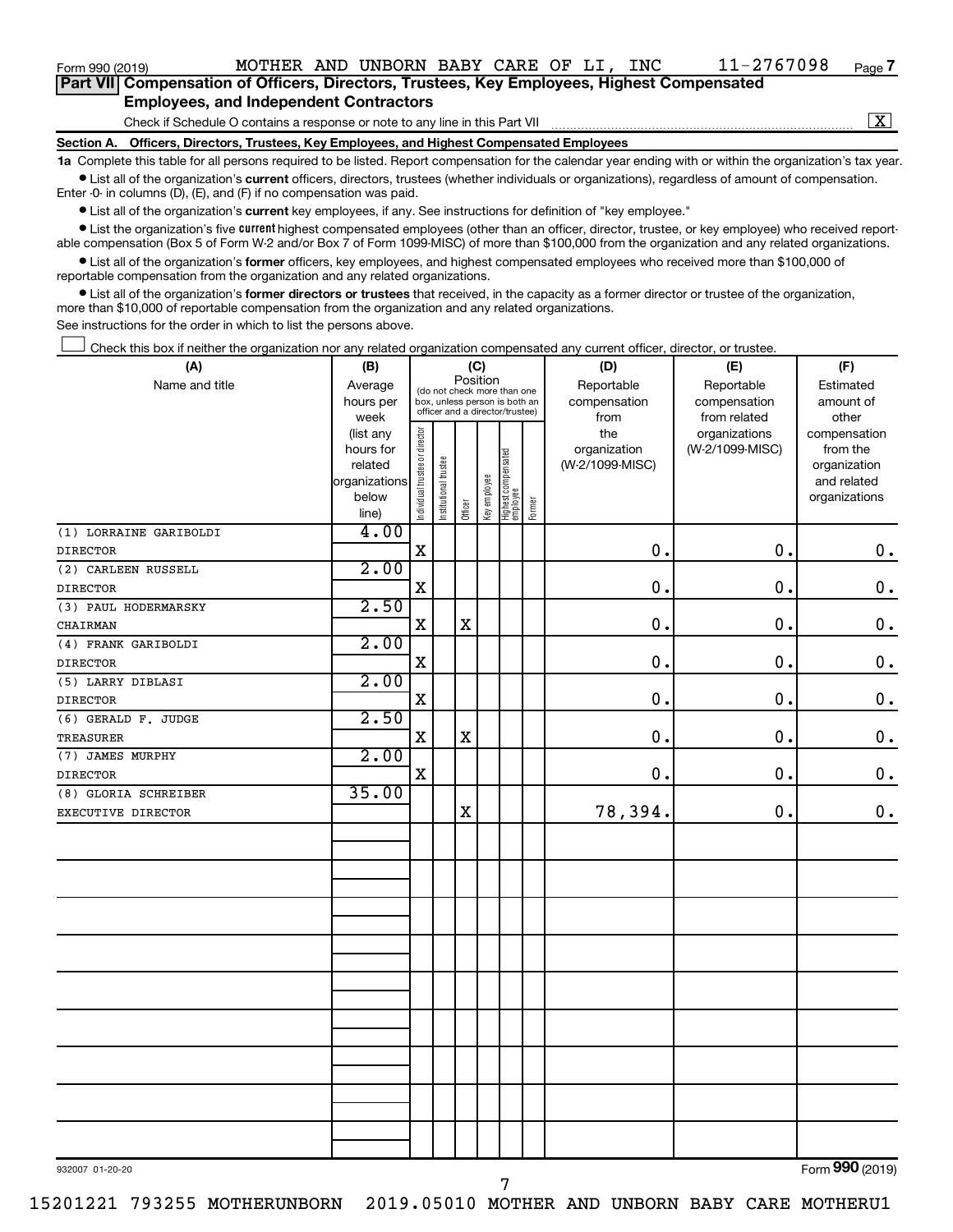| Form 990 (2019) |                                                                                            | MOTHER AND UNBORN BABY CARE OF LI, INC |  |  |  |  |  |  |  | $11 - 2767098$ | Page 7 |
|-----------------|--------------------------------------------------------------------------------------------|----------------------------------------|--|--|--|--|--|--|--|----------------|--------|
|                 | Part VII Compensation of Officers, Directors, Trustees, Key Employees, Highest Compensated |                                        |  |  |  |  |  |  |  |                |        |
|                 | <b>Employees, and Independent Contractors</b>                                              |                                        |  |  |  |  |  |  |  |                |        |

Check if Schedule O contains a response or note to any line in this Part VII

 $\boxed{\text{X}}$ 

**Section A. Officers, Directors, Trustees, Key Employees, and Highest Compensated Employees**

**1a**  Complete this table for all persons required to be listed. Report compensation for the calendar year ending with or within the organization's tax year.  $\bullet$  List all of the organization's current officers, directors, trustees (whether individuals or organizations), regardless of amount of compensation.

Enter -0- in columns (D), (E), and (F) if no compensation was paid.

**•** List all of the organization's current key employees, if any. See instructions for definition of "key employee."

• List the organization's five *current* highest compensated employees (other than an officer, director, trustee, or key employee) who received reportable compensation (Box 5 of Form W-2 and/or Box 7 of Form 1099-MISC) of more than \$100,000 from the organization and any related organizations.

 $\bullet$  List all of the organization's former officers, key employees, and highest compensated employees who received more than \$100,000 of reportable compensation from the organization and any related organizations.

**•** List all of the organization's former directors or trustees that received, in the capacity as a former director or trustee of the organization, more than \$10,000 of reportable compensation from the organization and any related organizations.

See instructions for the order in which to list the persons above.

Check this box if neither the organization nor any related organization compensated any current officer, director, or trustee.  $\Box$ 

| (A)                    | (B)                  |                                |                                                                  |             | (C)          |                                   |        | (D)                             | (E)             | (F)                      |  |
|------------------------|----------------------|--------------------------------|------------------------------------------------------------------|-------------|--------------|-----------------------------------|--------|---------------------------------|-----------------|--------------------------|--|
| Name and title         | Average              |                                | (do not check more than one                                      | Position    |              |                                   |        | Reportable                      | Reportable      | Estimated                |  |
|                        | hours per            |                                | box, unless person is both an<br>officer and a director/trustee) |             |              |                                   |        | compensation                    | compensation    | amount of                |  |
|                        | week                 |                                |                                                                  |             |              |                                   |        | from                            | from related    | other                    |  |
|                        | (list any            |                                |                                                                  |             |              |                                   |        | the                             | organizations   | compensation             |  |
|                        | hours for<br>related |                                |                                                                  |             |              |                                   |        | organization<br>(W-2/1099-MISC) | (W-2/1099-MISC) | from the<br>organization |  |
|                        | organizations        |                                |                                                                  |             |              |                                   |        |                                 |                 | and related              |  |
|                        | below                |                                |                                                                  |             |              |                                   |        |                                 |                 | organizations            |  |
|                        | line)                | Individual trustee or director | Institutional trustee                                            | Officer     | Key employee | Highest compensated<br>  employee | Former |                                 |                 |                          |  |
| (1) LORRAINE GARIBOLDI | 4.00                 |                                |                                                                  |             |              |                                   |        |                                 |                 |                          |  |
| <b>DIRECTOR</b>        |                      | $\mathbf X$                    |                                                                  |             |              |                                   |        | $\mathbf 0$ .                   | 0.              | $\mathbf 0$ .            |  |
| (2) CARLEEN RUSSELL    | 2.00                 |                                |                                                                  |             |              |                                   |        |                                 |                 |                          |  |
| <b>DIRECTOR</b>        |                      | $\rm X$                        |                                                                  |             |              |                                   |        | $\mathbf 0$ .                   | $\mathbf 0$ .   | $\mathbf 0$ .            |  |
| (3) PAUL HODERMARSKY   | 2.50                 |                                |                                                                  |             |              |                                   |        |                                 |                 |                          |  |
| CHAIRMAN               |                      | $\mathbf X$                    |                                                                  | $\mathbf X$ |              |                                   |        | $\mathbf 0$ .                   | 0.              | $\mathbf 0$ .            |  |
| (4) FRANK GARIBOLDI    | 2.00                 |                                |                                                                  |             |              |                                   |        |                                 |                 |                          |  |
| <b>DIRECTOR</b>        |                      | $\mathbf X$                    |                                                                  |             |              |                                   |        | 0.                              | 0.              | $\mathbf 0$ .            |  |
| (5) LARRY DIBLASI      | 2.00                 |                                |                                                                  |             |              |                                   |        |                                 |                 |                          |  |
| <b>DIRECTOR</b>        |                      | X                              |                                                                  |             |              |                                   |        | $\mathbf 0$                     | $\mathbf 0$ .   | $\mathbf 0$ .            |  |
| (6) GERALD F. JUDGE    | 2.50                 |                                |                                                                  |             |              |                                   |        |                                 |                 |                          |  |
| TREASURER              |                      | $\mathbf X$                    |                                                                  | X           |              |                                   |        | $\mathbf 0$                     | $\mathbf 0$     | $\mathbf 0$ .            |  |
| (7) JAMES MURPHY       | 2.00                 |                                |                                                                  |             |              |                                   |        |                                 |                 |                          |  |
| <b>DIRECTOR</b>        |                      | X                              |                                                                  |             |              |                                   |        | $\mathbf 0$ .                   | 0.              | $\mathbf 0$ .            |  |
| (8) GLORIA SCHREIBER   | 35.00                |                                |                                                                  |             |              |                                   |        |                                 |                 |                          |  |
| EXECUTIVE DIRECTOR     |                      |                                |                                                                  | $\mathbf X$ |              |                                   |        | 78,394.                         | $\mathbf 0$ .   | $\mathbf 0$ .            |  |
|                        |                      |                                |                                                                  |             |              |                                   |        |                                 |                 |                          |  |
|                        |                      |                                |                                                                  |             |              |                                   |        |                                 |                 |                          |  |
|                        |                      |                                |                                                                  |             |              |                                   |        |                                 |                 |                          |  |
|                        |                      |                                |                                                                  |             |              |                                   |        |                                 |                 |                          |  |
|                        |                      |                                |                                                                  |             |              |                                   |        |                                 |                 |                          |  |
|                        |                      |                                |                                                                  |             |              |                                   |        |                                 |                 |                          |  |
|                        |                      |                                |                                                                  |             |              |                                   |        |                                 |                 |                          |  |
|                        |                      |                                |                                                                  |             |              |                                   |        |                                 |                 |                          |  |
|                        |                      |                                |                                                                  |             |              |                                   |        |                                 |                 |                          |  |
|                        |                      |                                |                                                                  |             |              |                                   |        |                                 |                 |                          |  |
|                        |                      |                                |                                                                  |             |              |                                   |        |                                 |                 |                          |  |
|                        |                      |                                |                                                                  |             |              |                                   |        |                                 |                 |                          |  |
|                        |                      |                                |                                                                  |             |              |                                   |        |                                 |                 |                          |  |
|                        |                      |                                |                                                                  |             |              |                                   |        |                                 |                 |                          |  |
|                        |                      |                                |                                                                  |             |              |                                   |        |                                 |                 |                          |  |
|                        |                      |                                |                                                                  |             |              |                                   |        |                                 |                 |                          |  |
|                        |                      |                                |                                                                  |             |              |                                   |        |                                 |                 |                          |  |
|                        |                      |                                |                                                                  |             |              |                                   |        |                                 |                 | $\overline{\phantom{a}}$ |  |

932007 01-20-20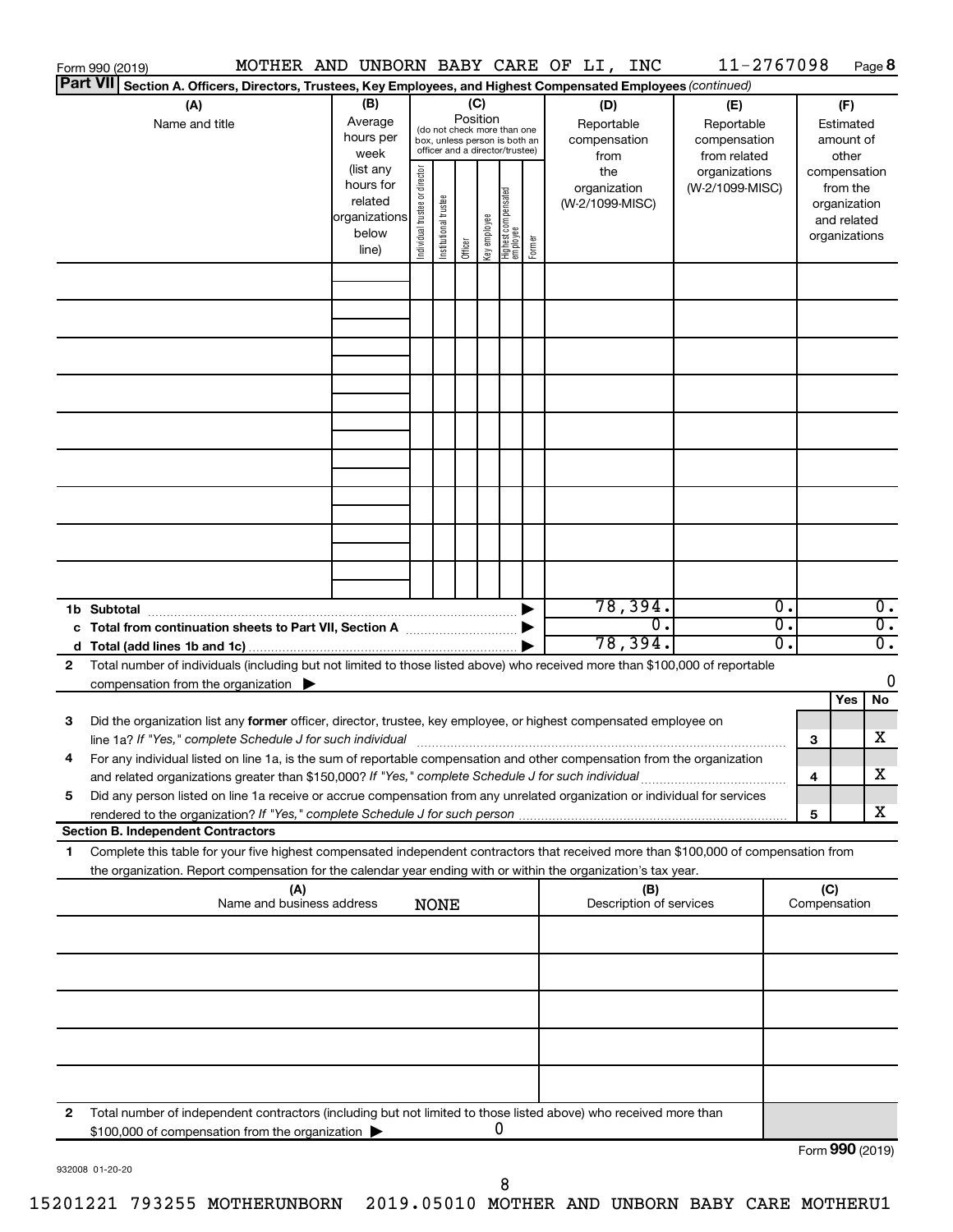|              | Form 990 (2019)                                                                                                                                                                                                                   | MOTHER AND UNBORN BABY CARE OF LI, INC |                                                                                                    |                                                                                                                                                                                               |             |         |                                 |        |                                                                                     |                                | 11-2767098                                                                            |                        |                                                                                                                    | Page 8                                          |
|--------------|-----------------------------------------------------------------------------------------------------------------------------------------------------------------------------------------------------------------------------------|----------------------------------------|----------------------------------------------------------------------------------------------------|-----------------------------------------------------------------------------------------------------------------------------------------------------------------------------------------------|-------------|---------|---------------------------------|--------|-------------------------------------------------------------------------------------|--------------------------------|---------------------------------------------------------------------------------------|------------------------|--------------------------------------------------------------------------------------------------------------------|-------------------------------------------------|
|              | Part VII Section A. Officers, Directors, Trustees, Key Employees, and Highest Compensated Employees (continued)                                                                                                                   |                                        |                                                                                                    |                                                                                                                                                                                               |             |         |                                 |        |                                                                                     |                                |                                                                                       |                        |                                                                                                                    |                                                 |
|              | (A)<br>Name and title                                                                                                                                                                                                             |                                        | (B)<br>Average<br>hours per<br>week<br>(list any<br>hours for<br>related<br>organizations<br>below | (C)<br>Position<br>(do not check more than one<br>box, unless person is both an<br>officer and a director/trustee)<br>Individual trustee or director<br>Institutional trustee<br>Key employee |             |         | Highest compensated<br>employee | Former | (D)<br>Reportable<br>compensation<br>from<br>the<br>organization<br>(W-2/1099-MISC) |                                | (E)<br>Reportable<br>compensation<br>from related<br>organizations<br>(W-2/1099-MISC) |                        | (F)<br>Estimated<br>amount of<br>other<br>compensation<br>from the<br>organization<br>and related<br>organizations |                                                 |
|              |                                                                                                                                                                                                                                   |                                        | line)                                                                                              |                                                                                                                                                                                               |             | Officer |                                 |        |                                                                                     |                                |                                                                                       |                        |                                                                                                                    |                                                 |
|              |                                                                                                                                                                                                                                   |                                        |                                                                                                    |                                                                                                                                                                                               |             |         |                                 |        |                                                                                     |                                |                                                                                       |                        |                                                                                                                    |                                                 |
|              |                                                                                                                                                                                                                                   |                                        |                                                                                                    |                                                                                                                                                                                               |             |         |                                 |        |                                                                                     |                                |                                                                                       |                        |                                                                                                                    |                                                 |
|              |                                                                                                                                                                                                                                   |                                        |                                                                                                    |                                                                                                                                                                                               |             |         |                                 |        |                                                                                     |                                |                                                                                       |                        |                                                                                                                    |                                                 |
|              |                                                                                                                                                                                                                                   |                                        |                                                                                                    |                                                                                                                                                                                               |             |         |                                 |        |                                                                                     |                                |                                                                                       |                        |                                                                                                                    |                                                 |
|              |                                                                                                                                                                                                                                   |                                        |                                                                                                    |                                                                                                                                                                                               |             |         |                                 |        |                                                                                     |                                |                                                                                       |                        |                                                                                                                    |                                                 |
|              |                                                                                                                                                                                                                                   |                                        |                                                                                                    |                                                                                                                                                                                               |             |         |                                 |        |                                                                                     |                                |                                                                                       |                        |                                                                                                                    |                                                 |
|              |                                                                                                                                                                                                                                   |                                        |                                                                                                    |                                                                                                                                                                                               |             |         |                                 |        |                                                                                     |                                |                                                                                       |                        |                                                                                                                    |                                                 |
|              |                                                                                                                                                                                                                                   |                                        |                                                                                                    |                                                                                                                                                                                               |             |         |                                 |        |                                                                                     |                                |                                                                                       |                        |                                                                                                                    |                                                 |
|              |                                                                                                                                                                                                                                   |                                        |                                                                                                    |                                                                                                                                                                                               |             |         |                                 |        |                                                                                     |                                |                                                                                       |                        |                                                                                                                    |                                                 |
|              |                                                                                                                                                                                                                                   |                                        |                                                                                                    |                                                                                                                                                                                               |             |         |                                 |        |                                                                                     |                                |                                                                                       |                        |                                                                                                                    |                                                 |
|              | 1b Subtotal                                                                                                                                                                                                                       |                                        |                                                                                                    |                                                                                                                                                                                               |             |         |                                 |        |                                                                                     | 78,394.                        |                                                                                       | Ο.                     |                                                                                                                    | $\overline{0}$ .                                |
|              |                                                                                                                                                                                                                                   |                                        |                                                                                                    |                                                                                                                                                                                               |             |         |                                 |        |                                                                                     | σ.<br>78, 394.                 |                                                                                       | $\overline{0}$ .<br>Ο. |                                                                                                                    | $\overline{0}$ .<br>$\overline{\mathfrak{o}}$ . |
| $\mathbf{2}$ | Total number of individuals (including but not limited to those listed above) who received more than \$100,000 of reportable                                                                                                      |                                        |                                                                                                    |                                                                                                                                                                                               |             |         |                                 |        |                                                                                     |                                |                                                                                       |                        |                                                                                                                    |                                                 |
|              | compensation from the organization $\blacktriangleright$                                                                                                                                                                          |                                        |                                                                                                    |                                                                                                                                                                                               |             |         |                                 |        |                                                                                     |                                |                                                                                       |                        | Yes                                                                                                                | 0<br>No                                         |
| 3            | Did the organization list any former officer, director, trustee, key employee, or highest compensated employee on                                                                                                                 |                                        |                                                                                                    |                                                                                                                                                                                               |             |         |                                 |        |                                                                                     |                                |                                                                                       |                        |                                                                                                                    |                                                 |
|              | For any individual listed on line 1a, is the sum of reportable compensation and other compensation from the organization                                                                                                          |                                        |                                                                                                    |                                                                                                                                                                                               |             |         |                                 |        |                                                                                     |                                |                                                                                       |                        | 3                                                                                                                  | X                                               |
| 5            | and related organizations greater than \$150,000? If "Yes," complete Schedule J for such individual<br>Did any person listed on line 1a receive or accrue compensation from any unrelated organization or individual for services |                                        |                                                                                                    |                                                                                                                                                                                               |             |         |                                 |        |                                                                                     |                                |                                                                                       |                        | 4                                                                                                                  | х                                               |
|              | rendered to the organization? If "Yes," complete Schedule J for such person                                                                                                                                                       |                                        |                                                                                                    |                                                                                                                                                                                               |             |         |                                 |        |                                                                                     |                                |                                                                                       |                        | 5                                                                                                                  | х                                               |
| 1            | <b>Section B. Independent Contractors</b><br>Complete this table for your five highest compensated independent contractors that received more than \$100,000 of compensation from                                                 |                                        |                                                                                                    |                                                                                                                                                                                               |             |         |                                 |        |                                                                                     |                                |                                                                                       |                        |                                                                                                                    |                                                 |
|              | the organization. Report compensation for the calendar year ending with or within the organization's tax year.                                                                                                                    |                                        |                                                                                                    |                                                                                                                                                                                               |             |         |                                 |        |                                                                                     |                                |                                                                                       |                        |                                                                                                                    |                                                 |
|              |                                                                                                                                                                                                                                   | (A)<br>Name and business address       |                                                                                                    |                                                                                                                                                                                               | <b>NONE</b> |         |                                 |        |                                                                                     | (B)<br>Description of services |                                                                                       |                        | (C)<br>Compensation                                                                                                |                                                 |
|              |                                                                                                                                                                                                                                   |                                        |                                                                                                    |                                                                                                                                                                                               |             |         |                                 |        |                                                                                     |                                |                                                                                       |                        |                                                                                                                    |                                                 |
|              |                                                                                                                                                                                                                                   |                                        |                                                                                                    |                                                                                                                                                                                               |             |         |                                 |        |                                                                                     |                                |                                                                                       |                        |                                                                                                                    |                                                 |
|              |                                                                                                                                                                                                                                   |                                        |                                                                                                    |                                                                                                                                                                                               |             |         |                                 |        |                                                                                     |                                |                                                                                       |                        |                                                                                                                    |                                                 |
|              |                                                                                                                                                                                                                                   |                                        |                                                                                                    |                                                                                                                                                                                               |             |         |                                 |        |                                                                                     |                                |                                                                                       |                        |                                                                                                                    |                                                 |
|              |                                                                                                                                                                                                                                   |                                        |                                                                                                    |                                                                                                                                                                                               |             |         |                                 |        |                                                                                     |                                |                                                                                       |                        |                                                                                                                    |                                                 |
|              |                                                                                                                                                                                                                                   |                                        |                                                                                                    |                                                                                                                                                                                               |             |         |                                 |        |                                                                                     |                                |                                                                                       |                        |                                                                                                                    |                                                 |
| 2            | Total number of independent contractors (including but not limited to those listed above) who received more than<br>\$100,000 of compensation from the organization                                                               |                                        |                                                                                                    |                                                                                                                                                                                               |             |         | 0                               |        |                                                                                     |                                |                                                                                       |                        |                                                                                                                    |                                                 |
|              |                                                                                                                                                                                                                                   |                                        |                                                                                                    |                                                                                                                                                                                               |             |         |                                 |        |                                                                                     |                                |                                                                                       |                        | Form 990 (2019)                                                                                                    |                                                 |

932008 01-20-20

Form (2019) **990**

15201221 793255 MOTHERUNBORN 2019.05010 MOTHER AND UNBORN BABY CARE MOTHERU1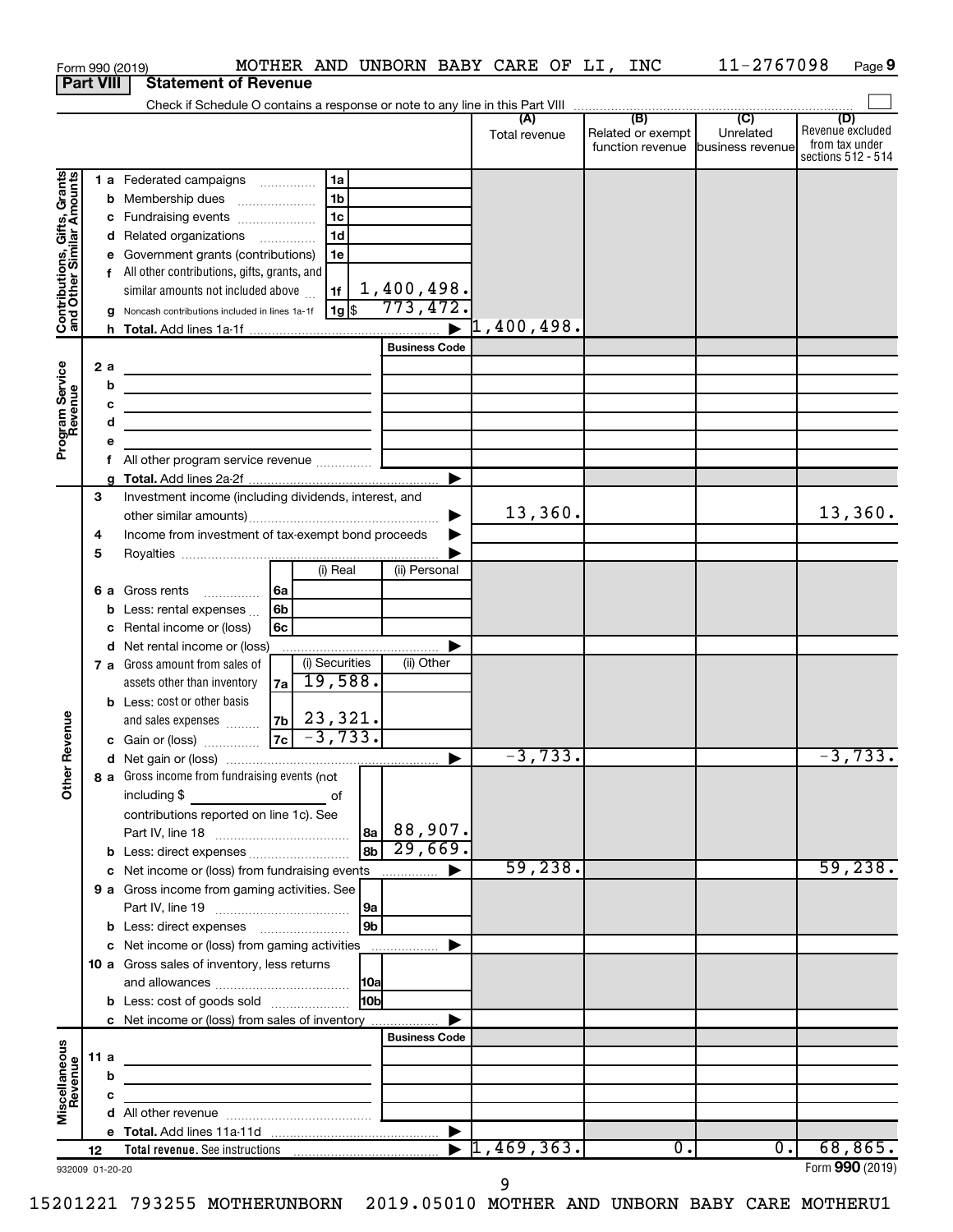|                                                           |     |         | MOTHER AND UNBORN BABY CARE OF LI,<br>Form 990 (2019)                                                                 |                        |                                  | INC                                   | 11-2767098                    | Page 9                                                          |
|-----------------------------------------------------------|-----|---------|-----------------------------------------------------------------------------------------------------------------------|------------------------|----------------------------------|---------------------------------------|-------------------------------|-----------------------------------------------------------------|
| <b>Part VIII</b>                                          |     |         | <b>Statement of Revenue</b>                                                                                           |                        |                                  |                                       |                               |                                                                 |
|                                                           |     |         |                                                                                                                       |                        |                                  |                                       |                               |                                                                 |
|                                                           |     |         |                                                                                                                       |                        | Total revenue                    | Related or exempt<br>function revenue | Unrelated<br>business revenue | (D)<br>Revenue excluded<br>from tax under<br>sections 512 - 514 |
|                                                           |     |         | 1a<br>1 a Federated campaigns                                                                                         |                        |                                  |                                       |                               |                                                                 |
| Contributions, Gifts, Grants<br>and Other Similar Amounts |     |         | 1 <sub>b</sub><br><b>b</b> Membership dues                                                                            |                        |                                  |                                       |                               |                                                                 |
|                                                           |     |         | 1 <sub>c</sub><br>c Fundraising events                                                                                |                        |                                  |                                       |                               |                                                                 |
|                                                           |     |         | 1 <sub>d</sub><br>d Related organizations                                                                             |                        |                                  |                                       |                               |                                                                 |
|                                                           |     |         | e Government grants (contributions)<br>1e                                                                             |                        |                                  |                                       |                               |                                                                 |
|                                                           |     |         | f All other contributions, gifts, grants, and                                                                         |                        |                                  |                                       |                               |                                                                 |
|                                                           |     |         | similar amounts not included above<br>1f                                                                              | 1,400,498.<br>773,472. |                                  |                                       |                               |                                                                 |
|                                                           |     |         | $1g$ \$<br>g Noncash contributions included in lines 1a-1f                                                            | $\blacktriangleright$  | 1,400,498.                       |                                       |                               |                                                                 |
|                                                           |     |         |                                                                                                                       | <b>Business Code</b>   |                                  |                                       |                               |                                                                 |
|                                                           |     |         |                                                                                                                       |                        |                                  |                                       |                               |                                                                 |
| Program Service<br>Revenue                                |     | 2a<br>b | <u> 1989 - Johann Barn, mars and de Branch Barn, mars and de Branch Barn, mars and de Branch Barn, mars and de Br</u> |                        |                                  |                                       |                               |                                                                 |
|                                                           |     | с       | <u> 1989 - Johann Barbara, martin amerikan basar dan basa dan basar dalam basa dalam basa dalam basa dalam basa </u>  |                        |                                  |                                       |                               |                                                                 |
|                                                           |     | d       | <u> 1989 - Johann Barn, mars ann an t-Amhain Aonaich an t-Aonaich an t-Aonaich ann an t-Aonaich ann an t-Aonaich</u>  |                        |                                  |                                       |                               |                                                                 |
|                                                           |     | е       | <u> 1989 - Johann Barbara, martin amerikan basar dan basar dalam basar dalam basar dalam basar dalam basar dalam</u>  |                        |                                  |                                       |                               |                                                                 |
|                                                           |     | f       | All other program service revenue                                                                                     |                        |                                  |                                       |                               |                                                                 |
|                                                           |     |         |                                                                                                                       | ▶                      |                                  |                                       |                               |                                                                 |
|                                                           | З   |         | Investment income (including dividends, interest, and                                                                 |                        |                                  |                                       |                               |                                                                 |
|                                                           |     |         |                                                                                                                       | ▶                      | 13,360.                          |                                       |                               | 13,360.                                                         |
|                                                           | 4   |         | Income from investment of tax-exempt bond proceeds                                                                    |                        |                                  |                                       |                               |                                                                 |
|                                                           | 5   |         |                                                                                                                       |                        |                                  |                                       |                               |                                                                 |
|                                                           |     |         | (i) Real                                                                                                              | (ii) Personal          |                                  |                                       |                               |                                                                 |
|                                                           |     |         | l 6a<br>6 a Gross rents                                                                                               |                        |                                  |                                       |                               |                                                                 |
|                                                           |     |         | 6 <sub>b</sub><br><b>b</b> Less: rental expenses                                                                      |                        |                                  |                                       |                               |                                                                 |
|                                                           |     |         | 6c<br>c Rental income or (loss)                                                                                       |                        |                                  |                                       |                               |                                                                 |
|                                                           |     |         | d Net rental income or (loss)<br>(i) Securities                                                                       | ▶<br>(ii) Other        |                                  |                                       |                               |                                                                 |
|                                                           |     |         | 7 a Gross amount from sales of<br>19,588.<br>7a l                                                                     |                        |                                  |                                       |                               |                                                                 |
|                                                           |     |         | assets other than inventory<br><b>b</b> Less: cost or other basis                                                     |                        |                                  |                                       |                               |                                                                 |
|                                                           |     |         | $ 7b $ 23,321.<br>and sales expenses                                                                                  |                        |                                  |                                       |                               |                                                                 |
| evenue                                                    |     |         | $-3,733.$<br><b>7c</b><br>c Gain or (loss)                                                                            |                        |                                  |                                       |                               |                                                                 |
|                                                           |     |         |                                                                                                                       |                        | $-3,733.$                        |                                       |                               | $-3,733.$                                                       |
| Other F                                                   |     |         | 8 a Gross income from fundraising events (not                                                                         |                        |                                  |                                       |                               |                                                                 |
|                                                           |     |         | including \$<br><u>of</u> of                                                                                          |                        |                                  |                                       |                               |                                                                 |
|                                                           |     |         | contributions reported on line 1c). See                                                                               |                        |                                  |                                       |                               |                                                                 |
|                                                           |     |         |                                                                                                                       | $ a_8 $ 88,907.        |                                  |                                       |                               |                                                                 |
|                                                           |     |         | b Less: direct expenses                                                                                               | $8b$ 29,669.           |                                  |                                       |                               |                                                                 |
|                                                           |     |         | c Net income or (loss) from fundraising events                                                                        | ▶                      | 59,238.                          |                                       |                               | 59,238.                                                         |
|                                                           |     |         | 9 a Gross income from gaming activities. See                                                                          |                        |                                  |                                       |                               |                                                                 |
|                                                           |     |         |                                                                                                                       |                        |                                  |                                       |                               |                                                                 |
|                                                           |     |         | l 9b                                                                                                                  |                        |                                  |                                       |                               |                                                                 |
|                                                           |     |         | c Net income or (loss) from gaming activities<br>10 a Gross sales of inventory, less returns                          | ▶                      |                                  |                                       |                               |                                                                 |
|                                                           |     |         |                                                                                                                       |                        |                                  |                                       |                               |                                                                 |
|                                                           |     |         | 10 <sub>b</sub><br><b>b</b> Less: cost of goods sold                                                                  |                        |                                  |                                       |                               |                                                                 |
|                                                           |     |         | c Net income or (loss) from sales of inventory                                                                        | ▶                      |                                  |                                       |                               |                                                                 |
|                                                           |     |         |                                                                                                                       | <b>Business Code</b>   |                                  |                                       |                               |                                                                 |
| Miscellaneous<br>Revenue                                  | 11a |         | <u> 1989 - Johann John Stein, markin fan it ferstjer fan it ferstjer fan it ferstjer fan it ferstjer fan it fers</u>  |                        |                                  |                                       |                               |                                                                 |
|                                                           |     | b       | the control of the control of the control of the control of the control of                                            |                        |                                  |                                       |                               |                                                                 |
|                                                           |     | c       | <u> 1989 - Johann Barn, mars eta bainar eta idazlea (</u>                                                             |                        |                                  |                                       |                               |                                                                 |
|                                                           |     |         |                                                                                                                       |                        |                                  |                                       |                               |                                                                 |
|                                                           |     |         |                                                                                                                       |                        |                                  |                                       |                               |                                                                 |
|                                                           | 12  |         |                                                                                                                       |                        | $\blacktriangleright$ 1,469,363. | $\overline{0}$ .                      | $\overline{0}$ .              | 68,865.                                                         |
| 932009 01-20-20                                           |     |         |                                                                                                                       |                        |                                  |                                       |                               | Form 990 (2019)                                                 |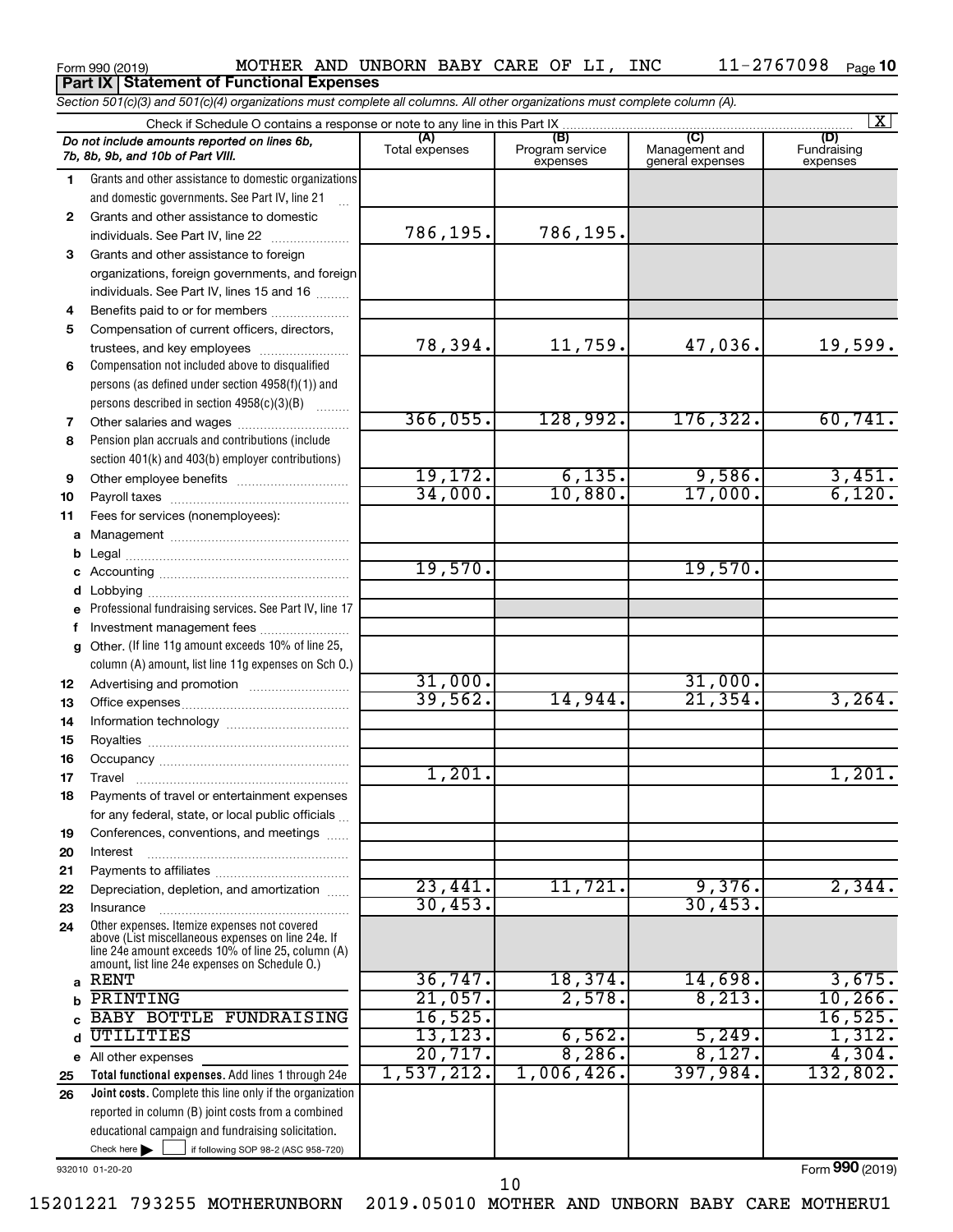|              | <b>Part IX   Statement of Functional Expenses</b>                                                                                                                                                          |                       |                                    |                                           |                                |
|--------------|------------------------------------------------------------------------------------------------------------------------------------------------------------------------------------------------------------|-----------------------|------------------------------------|-------------------------------------------|--------------------------------|
|              | Section 501(c)(3) and 501(c)(4) organizations must complete all columns. All other organizations must complete column (A).                                                                                 |                       |                                    |                                           |                                |
|              | Check if Schedule O contains a response or note to any line in this Part IX                                                                                                                                |                       |                                    |                                           | $\mathbf{X}$                   |
|              | Do not include amounts reported on lines 6b,<br>7b, 8b, 9b, and 10b of Part VIII.                                                                                                                          | (A)<br>Total expenses | (B)<br>Program service<br>expenses | (C)<br>Management and<br>general expenses | (D)<br>Fundraising<br>expenses |
| 1            | Grants and other assistance to domestic organizations                                                                                                                                                      |                       |                                    |                                           |                                |
|              | and domestic governments. See Part IV, line 21                                                                                                                                                             |                       |                                    |                                           |                                |
| $\mathbf{2}$ | Grants and other assistance to domestic                                                                                                                                                                    |                       |                                    |                                           |                                |
|              | individuals. See Part IV, line 22                                                                                                                                                                          | 786,195.              | 786,195.                           |                                           |                                |
| 3            | Grants and other assistance to foreign                                                                                                                                                                     |                       |                                    |                                           |                                |
|              | organizations, foreign governments, and foreign                                                                                                                                                            |                       |                                    |                                           |                                |
|              | individuals. See Part IV, lines 15 and 16                                                                                                                                                                  |                       |                                    |                                           |                                |
| 4            | Benefits paid to or for members                                                                                                                                                                            |                       |                                    |                                           |                                |
| 5            | Compensation of current officers, directors,                                                                                                                                                               | 78,394.               | 11,759.                            | 47,036.                                   | 19,599.                        |
| 6            | Compensation not included above to disqualified                                                                                                                                                            |                       |                                    |                                           |                                |
|              | persons (as defined under section 4958(f)(1)) and                                                                                                                                                          |                       |                                    |                                           |                                |
|              | persons described in section 4958(c)(3)(B)                                                                                                                                                                 |                       |                                    |                                           |                                |
| 7            | Other salaries and wages                                                                                                                                                                                   | 366,055.              | 128,992.                           | 176, 322.                                 | 60,741.                        |
| 8            | Pension plan accruals and contributions (include                                                                                                                                                           |                       |                                    |                                           |                                |
|              | section 401(k) and 403(b) employer contributions)                                                                                                                                                          |                       |                                    |                                           |                                |
| 9            |                                                                                                                                                                                                            | 19, 172.              | 6,135.                             | 9,586.                                    | 3,451.                         |
| 10           |                                                                                                                                                                                                            | 34,000.               | 10,880.                            | 17,000.                                   | 6,120.                         |
| 11           | Fees for services (nonemployees):                                                                                                                                                                          |                       |                                    |                                           |                                |
| а            |                                                                                                                                                                                                            |                       |                                    |                                           |                                |
| b            |                                                                                                                                                                                                            |                       |                                    |                                           |                                |
| с            |                                                                                                                                                                                                            | 19,570.               |                                    | 19,570.                                   |                                |
| d            |                                                                                                                                                                                                            |                       |                                    |                                           |                                |
|              | Professional fundraising services. See Part IV, line 17                                                                                                                                                    |                       |                                    |                                           |                                |
|              | Investment management fees                                                                                                                                                                                 |                       |                                    |                                           |                                |
| g            | Other. (If line 11g amount exceeds 10% of line 25,                                                                                                                                                         |                       |                                    |                                           |                                |
|              | column (A) amount, list line 11g expenses on Sch O.)                                                                                                                                                       |                       |                                    |                                           |                                |
| 12           |                                                                                                                                                                                                            | 31,000.<br>39,562.    | 14,944.                            | 31,000.<br>21, 354.                       |                                |
| 13           |                                                                                                                                                                                                            |                       |                                    |                                           | 3, 264.                        |
| 14           |                                                                                                                                                                                                            |                       |                                    |                                           |                                |
| 15           |                                                                                                                                                                                                            |                       |                                    |                                           |                                |
| 16           |                                                                                                                                                                                                            | 1,201.                |                                    |                                           | 1,201.                         |
| 17<br>18     | Travel<br>Payments of travel or entertainment expenses                                                                                                                                                     |                       |                                    |                                           |                                |
|              | for any federal, state, or local public officials                                                                                                                                                          |                       |                                    |                                           |                                |
| 19           | Conferences, conventions, and meetings                                                                                                                                                                     |                       |                                    |                                           |                                |
| 20           | Interest                                                                                                                                                                                                   |                       |                                    |                                           |                                |
| 21           |                                                                                                                                                                                                            |                       |                                    |                                           |                                |
| 22           | Depreciation, depletion, and amortization                                                                                                                                                                  | 23,441.               | 11,721.                            | 9,376.                                    | 2,344.                         |
| 23           | Insurance                                                                                                                                                                                                  | 30,453.               |                                    | 30, 453.                                  |                                |
| 24           | Other expenses. Itemize expenses not covered<br>above (List miscellaneous expenses on line 24e. If<br>line 24e amount exceeds 10% of line 25, column (A)<br>amount, list line 24e expenses on Schedule O.) |                       |                                    |                                           |                                |
| a            | RENT                                                                                                                                                                                                       | 36,747.               | 18,374.                            | 14,698.                                   | 3,675.                         |
| b            | PRINTING                                                                                                                                                                                                   | 21,057.               | 2,578.                             | 8,213.                                    | 10, 266.                       |
|              | <b>BABY BOTTLE FUNDRAISING</b>                                                                                                                                                                             | 16, 525.              |                                    |                                           | 16,525.                        |
| d            | UTILITIES                                                                                                                                                                                                  | 13, 123.              | 6,562.                             | 5,249.                                    | 1,312.                         |
| е            | All other expenses                                                                                                                                                                                         | 20,717.               | 8,286.                             | 8,127.                                    | 4,304.                         |
| 25           | Total functional expenses. Add lines 1 through 24e                                                                                                                                                         | 1,537,212.            | 1,006,426.                         | 397,984.                                  | 132,802.                       |
| 26           | Joint costs. Complete this line only if the organization                                                                                                                                                   |                       |                                    |                                           |                                |
|              | reported in column (B) joint costs from a combined                                                                                                                                                         |                       |                                    |                                           |                                |
|              | educational campaign and fundraising solicitation.                                                                                                                                                         |                       |                                    |                                           |                                |
|              | Check here $\blacktriangleright$<br>if following SOP 98-2 (ASC 958-720)                                                                                                                                    |                       |                                    |                                           |                                |

Form 990 (2019) MUTHER AND UNBURN BABY CARE OF LI, INC II-276 7098 Page

MOTHER AND UNBORN BABY CARE OF LI, INC 11-2767098

932010 01-20-20

Form (2019) **990**

11-2767098 Page 10

10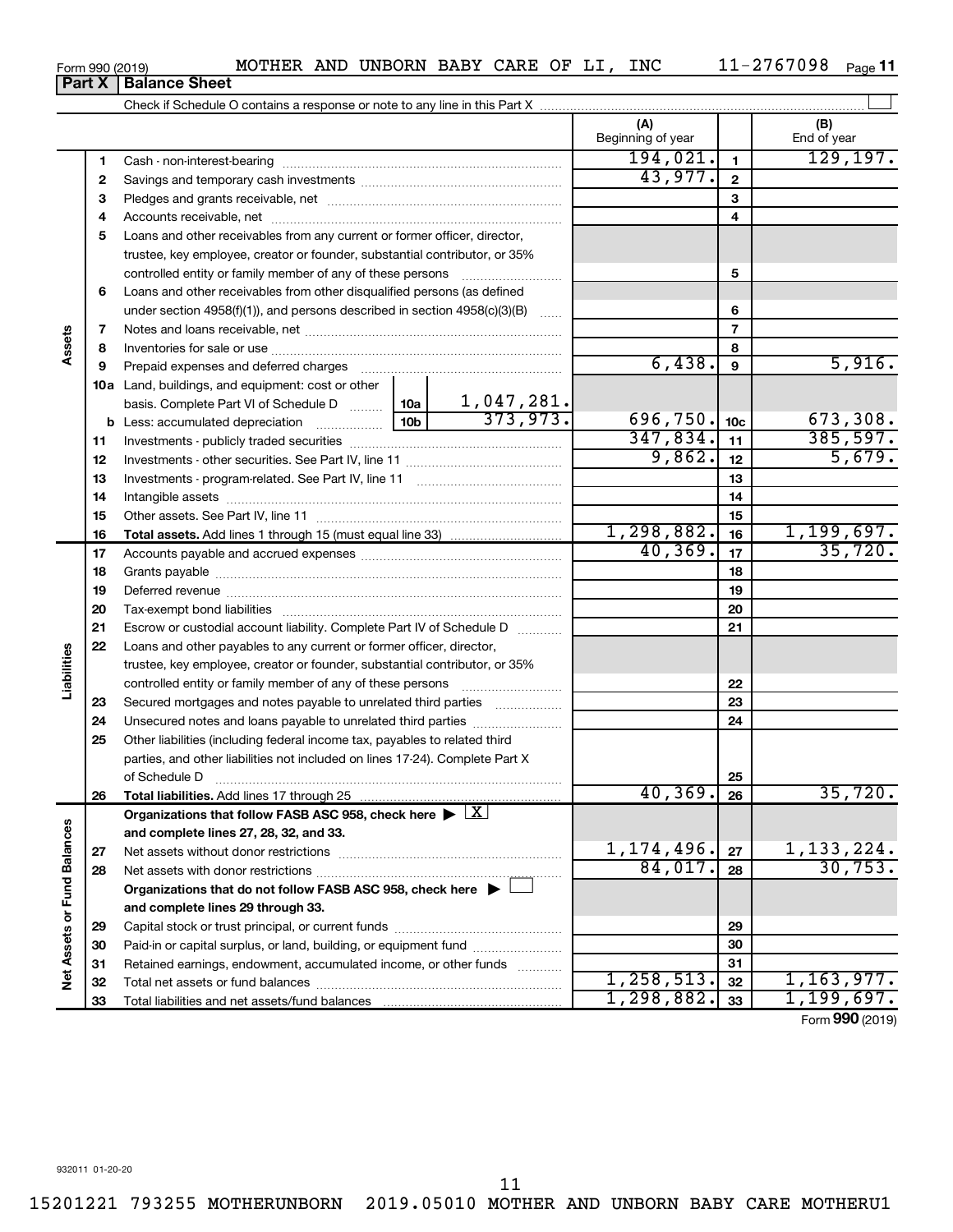**32 33**

Total liabilities and net assets/fund balances

| Check if Schedule O contains a response or note to any line in this Part X |  |  |  |
|----------------------------------------------------------------------------|--|--|--|
|                                                                            |  |  |  |

|                             |          |                                                                                                                                                                                                                                |        | (A)<br>Beginning of year |                 | (B)<br>End of year |
|-----------------------------|----------|--------------------------------------------------------------------------------------------------------------------------------------------------------------------------------------------------------------------------------|--------|--------------------------|-----------------|--------------------|
|                             | 1        |                                                                                                                                                                                                                                |        | 194,021.                 | $\mathbf{1}$    | 129, 197.          |
|                             | 2        |                                                                                                                                                                                                                                |        | 43,977.                  | $\mathbf{2}$    |                    |
|                             | 3        |                                                                                                                                                                                                                                |        |                          | 3               |                    |
|                             | 4        |                                                                                                                                                                                                                                |        |                          | 4               |                    |
|                             | 5        | Loans and other receivables from any current or former officer, director,                                                                                                                                                      |        |                          |                 |                    |
|                             |          | trustee, key employee, creator or founder, substantial contributor, or 35%                                                                                                                                                     |        |                          |                 |                    |
|                             |          |                                                                                                                                                                                                                                |        |                          | 5               |                    |
|                             | 6        | Loans and other receivables from other disqualified persons (as defined                                                                                                                                                        |        |                          |                 |                    |
|                             |          | under section $4958(f)(1)$ , and persons described in section $4958(c)(3)(B)$                                                                                                                                                  | $\sim$ |                          | 6               |                    |
|                             | 7        |                                                                                                                                                                                                                                |        |                          | $\overline{7}$  |                    |
| Assets                      | 8        |                                                                                                                                                                                                                                |        |                          | 8               |                    |
|                             | 9        |                                                                                                                                                                                                                                |        | 6,438.                   | 9               | 5,916.             |
|                             |          | 10a Land, buildings, and equipment: cost or other                                                                                                                                                                              |        |                          |                 |                    |
|                             |          |                                                                                                                                                                                                                                |        |                          |                 |                    |
|                             |          |                                                                                                                                                                                                                                |        | 696,750.                 | 10 <sub>c</sub> | 673,308.           |
|                             | 11       |                                                                                                                                                                                                                                |        | 347,834.                 | 11              | 385,597.           |
|                             | 12       |                                                                                                                                                                                                                                |        | 9,862.                   | 12              | 5,679.             |
|                             | 13       |                                                                                                                                                                                                                                |        | 13                       |                 |                    |
|                             | 14       |                                                                                                                                                                                                                                |        | 14                       |                 |                    |
|                             | 15       |                                                                                                                                                                                                                                |        | 15                       |                 |                    |
|                             | 16       |                                                                                                                                                                                                                                |        | 1, 298, 882.             | 16              | $1,199,697$ .      |
|                             | 17       |                                                                                                                                                                                                                                |        | 40, 369.                 | 17              | 35,720.            |
|                             | 18       |                                                                                                                                                                                                                                |        | 18                       |                 |                    |
|                             | 19       | Deferred revenue manual contracts and contracts are contracted and contract and contract are contracted and contract are contracted and contract are contracted and contract are contracted and contract are contracted and co |        | 19                       |                 |                    |
|                             | 20       |                                                                                                                                                                                                                                |        | 20                       |                 |                    |
|                             | 21       | Escrow or custodial account liability. Complete Part IV of Schedule D                                                                                                                                                          |        |                          | 21              |                    |
|                             | 22       | Loans and other payables to any current or former officer, director,                                                                                                                                                           |        |                          |                 |                    |
| Liabilities                 |          | trustee, key employee, creator or founder, substantial contributor, or 35%                                                                                                                                                     |        |                          |                 |                    |
|                             |          |                                                                                                                                                                                                                                |        |                          | 22              |                    |
|                             | 23       | Secured mortgages and notes payable to unrelated third parties                                                                                                                                                                 |        |                          | 23              |                    |
|                             | 24       | Unsecured notes and loans payable to unrelated third parties                                                                                                                                                                   |        |                          | 24              |                    |
|                             | 25       | Other liabilities (including federal income tax, payables to related third                                                                                                                                                     |        |                          |                 |                    |
|                             |          | parties, and other liabilities not included on lines 17-24). Complete Part X                                                                                                                                                   |        |                          |                 |                    |
|                             |          | of Schedule D                                                                                                                                                                                                                  |        | 40,369.                  | 25              | 35,720.            |
|                             | 26       |                                                                                                                                                                                                                                |        |                          | 26              |                    |
|                             |          | Organizations that follow FASB ASC 958, check here $\blacktriangleright \boxed{X}$                                                                                                                                             |        |                          |                 |                    |
|                             |          | and complete lines 27, 28, 32, and 33.                                                                                                                                                                                         |        |                          |                 | 1, 133, 224.       |
|                             | 27       | Net assets without donor restrictions                                                                                                                                                                                          |        | 1,174,496.<br>84,017.    | 27<br>28        | 30, 753.           |
|                             | 28       |                                                                                                                                                                                                                                |        |                          |                 |                    |
| Net Assets or Fund Balances |          | Organizations that do not follow FASB ASC 958, check here $\blacktriangleright$                                                                                                                                                |        |                          |                 |                    |
|                             |          | and complete lines 29 through 33.                                                                                                                                                                                              |        | 29                       |                 |                    |
|                             | 29<br>30 | Paid-in or capital surplus, or land, building, or equipment fund                                                                                                                                                               |        |                          | 30              |                    |
|                             | 31       | Retained earnings, endowment, accumulated income, or other funds                                                                                                                                                               |        |                          | 31              |                    |
|                             | 32       |                                                                                                                                                                                                                                |        | 1,258,513.               | 32              | 1,163,977.         |
|                             |          |                                                                                                                                                                                                                                |        |                          |                 |                    |

Form (2019) **990**

11-2767098 Page 11

 $\perp$ 

**Part X** | Balance Sheet

**33**

 $1,298,882.$   $33$  1, 199, 697.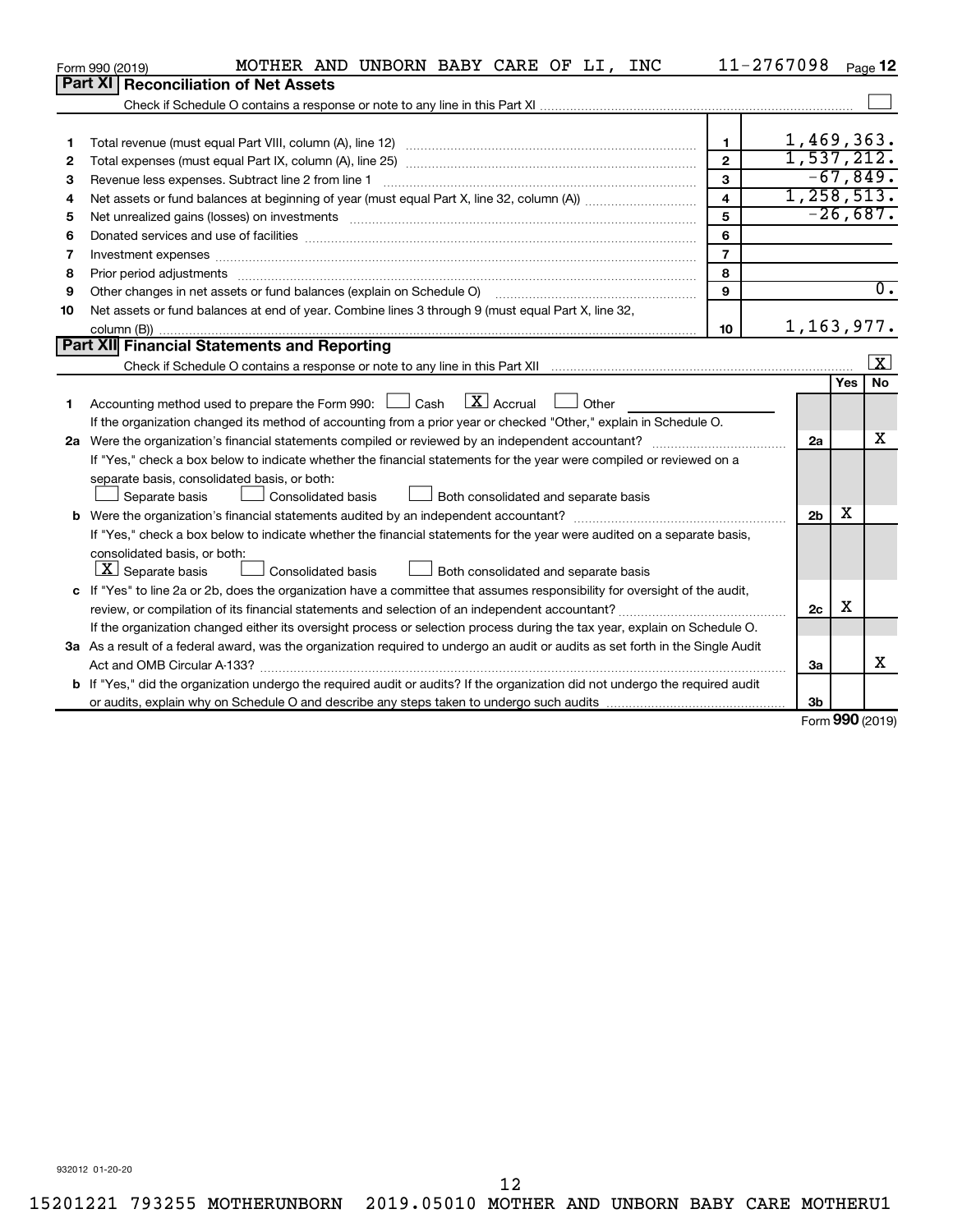|    | MOTHER AND UNBORN BABY CARE OF LI, INC<br>Form 990 (2019)                                                                                                                                                                      |                         | 11-2767098     |            | Page 12                 |
|----|--------------------------------------------------------------------------------------------------------------------------------------------------------------------------------------------------------------------------------|-------------------------|----------------|------------|-------------------------|
|    | Part XI   Reconciliation of Net Assets                                                                                                                                                                                         |                         |                |            |                         |
|    |                                                                                                                                                                                                                                |                         |                |            |                         |
|    |                                                                                                                                                                                                                                |                         |                |            |                         |
| 1  |                                                                                                                                                                                                                                | $\mathbf{1}$            | 1,469,363.     |            |                         |
| 2  |                                                                                                                                                                                                                                | $\mathfrak{p}$          | 1,537,212.     |            |                         |
| 3  | Revenue less expenses. Subtract line 2 from line 1                                                                                                                                                                             | 3                       |                |            | $-67,849.$              |
| 4  |                                                                                                                                                                                                                                | $\overline{\mathbf{4}}$ | 1,258,513.     |            |                         |
| 5  |                                                                                                                                                                                                                                | 5                       |                |            | $-26,687.$              |
| 6  | Donated services and use of facilities [[111][12] manufactures in the service of facilities [11] manufactures in the service and use of facilities [[11] manufactures in the service of the service of the service of the serv | 6                       |                |            |                         |
| 7  | Investment expenses www.communication.com/www.communication.com/www.communication.com/www.com                                                                                                                                  | $\overline{7}$          |                |            |                         |
| 8  | Prior period adjustments www.communication.communication.communication.com/news-managements                                                                                                                                    | 8                       |                |            |                         |
| 9  |                                                                                                                                                                                                                                | 9                       |                |            | $0$ .                   |
| 10 | Net assets or fund balances at end of year. Combine lines 3 through 9 (must equal Part X, line 32,                                                                                                                             |                         |                |            |                         |
|    |                                                                                                                                                                                                                                | 10                      | 1,163,977.     |            |                         |
|    | Part XII Financial Statements and Reporting                                                                                                                                                                                    |                         |                |            |                         |
|    |                                                                                                                                                                                                                                |                         |                |            | $\overline{\mathbf{x}}$ |
|    |                                                                                                                                                                                                                                |                         |                | <b>Yes</b> | No                      |
| 1  | Accounting method used to prepare the Form 990: $\Box$ Cash $\Box X$ Accrual $\Box$ Other                                                                                                                                      |                         |                |            |                         |
|    | If the organization changed its method of accounting from a prior year or checked "Other," explain in Schedule O.                                                                                                              |                         |                |            |                         |
|    | 2a Were the organization's financial statements compiled or reviewed by an independent accountant?                                                                                                                             |                         | 2a             |            | x                       |
|    | If "Yes," check a box below to indicate whether the financial statements for the year were compiled or reviewed on a                                                                                                           |                         |                |            |                         |
|    | separate basis, consolidated basis, or both:                                                                                                                                                                                   |                         |                |            |                         |
|    | Consolidated basis<br>Both consolidated and separate basis<br>Separate basis                                                                                                                                                   |                         |                |            |                         |
|    | <b>b</b> Were the organization's financial statements audited by an independent accountant?                                                                                                                                    |                         | 2 <sub>b</sub> | х          |                         |
|    | If "Yes," check a box below to indicate whether the financial statements for the year were audited on a separate basis,                                                                                                        |                         |                |            |                         |
|    | consolidated basis, or both:                                                                                                                                                                                                   |                         |                |            |                         |
|    | $\lfloor x \rfloor$ Separate basis<br><b>Consolidated basis</b><br>Both consolidated and separate basis                                                                                                                        |                         |                |            |                         |
|    | c If "Yes" to line 2a or 2b, does the organization have a committee that assumes responsibility for oversight of the audit,                                                                                                    |                         |                |            |                         |
|    |                                                                                                                                                                                                                                |                         | 2c             | X          |                         |
|    | If the organization changed either its oversight process or selection process during the tax year, explain on Schedule O.                                                                                                      |                         |                |            |                         |
|    | 3a As a result of a federal award, was the organization required to undergo an audit or audits as set forth in the Single Audit                                                                                                |                         |                |            |                         |
|    |                                                                                                                                                                                                                                |                         | За             |            | X                       |
|    | b If "Yes," did the organization undergo the required audit or audits? If the organization did not undergo the required audit                                                                                                  |                         |                |            |                         |
|    |                                                                                                                                                                                                                                |                         | 3b             | <b>000</b> |                         |

Form (2019) **990**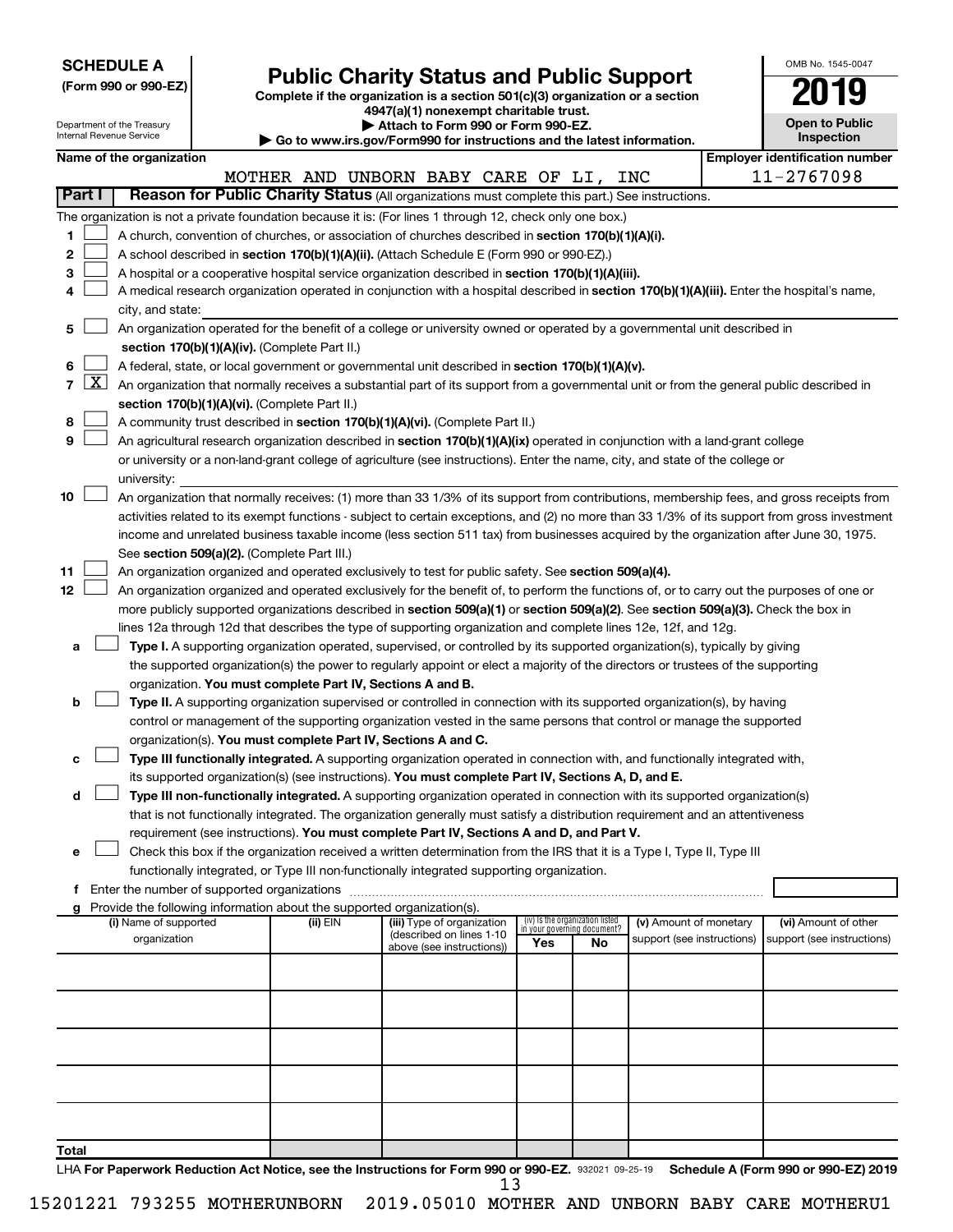| <b>SCHEDULE A</b> |  |
|-------------------|--|
|-------------------|--|

Department of the Treasury Internal Revenue Service

Form 990 or 990-EZ)<br>
Complete if the organization is a section 501(c)(3) organization or a section<br> **Public Charity Status and Public Support** 

**4947(a)(1) nonexempt charitable trust. | Attach to Form 990 or Form 990-EZ.** 

**| Go to www.irs.gov/Form990 for instructions and the latest information.**

| OMB No. 1545-0047                   |
|-------------------------------------|
| 2019                                |
| <b>Open to Public</b><br>Inspection |

|                   | Name of the organization                                                                                                                                                                                                         |          |                                                       |     |                                                                |                            |  | <b>Employer identification number</b> |  |
|-------------------|----------------------------------------------------------------------------------------------------------------------------------------------------------------------------------------------------------------------------------|----------|-------------------------------------------------------|-----|----------------------------------------------------------------|----------------------------|--|---------------------------------------|--|
|                   |                                                                                                                                                                                                                                  |          | MOTHER AND UNBORN BABY CARE OF LI, INC                |     |                                                                |                            |  | 11-2767098                            |  |
| Part I            | Reason for Public Charity Status (All organizations must complete this part.) See instructions.                                                                                                                                  |          |                                                       |     |                                                                |                            |  |                                       |  |
|                   | The organization is not a private foundation because it is: (For lines 1 through 12, check only one box.)                                                                                                                        |          |                                                       |     |                                                                |                            |  |                                       |  |
| 1.                | A church, convention of churches, or association of churches described in section 170(b)(1)(A)(i).                                                                                                                               |          |                                                       |     |                                                                |                            |  |                                       |  |
| 2                 | A school described in section 170(b)(1)(A)(ii). (Attach Schedule E (Form 990 or 990-EZ).)                                                                                                                                        |          |                                                       |     |                                                                |                            |  |                                       |  |
| з                 | A hospital or a cooperative hospital service organization described in section 170(b)(1)(A)(iii).                                                                                                                                |          |                                                       |     |                                                                |                            |  |                                       |  |
| 4                 | A medical research organization operated in conjunction with a hospital described in section 170(b)(1)(A)(iii). Enter the hospital's name,                                                                                       |          |                                                       |     |                                                                |                            |  |                                       |  |
|                   | city, and state:                                                                                                                                                                                                                 |          |                                                       |     |                                                                |                            |  |                                       |  |
| 5                 | An organization operated for the benefit of a college or university owned or operated by a governmental unit described in                                                                                                        |          |                                                       |     |                                                                |                            |  |                                       |  |
|                   | section 170(b)(1)(A)(iv). (Complete Part II.)                                                                                                                                                                                    |          |                                                       |     |                                                                |                            |  |                                       |  |
| 6                 | A federal, state, or local government or governmental unit described in section 170(b)(1)(A)(v).                                                                                                                                 |          |                                                       |     |                                                                |                            |  |                                       |  |
| $\mathbf{X}$<br>7 | An organization that normally receives a substantial part of its support from a governmental unit or from the general public described in                                                                                        |          |                                                       |     |                                                                |                            |  |                                       |  |
|                   | section 170(b)(1)(A)(vi). (Complete Part II.)                                                                                                                                                                                    |          |                                                       |     |                                                                |                            |  |                                       |  |
| 8                 | A community trust described in section 170(b)(1)(A)(vi). (Complete Part II.)                                                                                                                                                     |          |                                                       |     |                                                                |                            |  |                                       |  |
| 9                 | An agricultural research organization described in section 170(b)(1)(A)(ix) operated in conjunction with a land-grant college                                                                                                    |          |                                                       |     |                                                                |                            |  |                                       |  |
|                   | or university or a non-land-grant college of agriculture (see instructions). Enter the name, city, and state of the college or                                                                                                   |          |                                                       |     |                                                                |                            |  |                                       |  |
|                   | university:                                                                                                                                                                                                                      |          |                                                       |     |                                                                |                            |  |                                       |  |
| 10                | An organization that normally receives: (1) more than 33 1/3% of its support from contributions, membership fees, and gross receipts from                                                                                        |          |                                                       |     |                                                                |                            |  |                                       |  |
|                   | activities related to its exempt functions - subject to certain exceptions, and (2) no more than 33 1/3% of its support from gross investment                                                                                    |          |                                                       |     |                                                                |                            |  |                                       |  |
|                   | income and unrelated business taxable income (less section 511 tax) from businesses acquired by the organization after June 30, 1975.                                                                                            |          |                                                       |     |                                                                |                            |  |                                       |  |
|                   | See section 509(a)(2). (Complete Part III.)                                                                                                                                                                                      |          |                                                       |     |                                                                |                            |  |                                       |  |
| 11                | An organization organized and operated exclusively to test for public safety. See section 509(a)(4).                                                                                                                             |          |                                                       |     |                                                                |                            |  |                                       |  |
| 12                | An organization organized and operated exclusively for the benefit of, to perform the functions of, or to carry out the purposes of one or                                                                                       |          |                                                       |     |                                                                |                            |  |                                       |  |
|                   | more publicly supported organizations described in section 509(a)(1) or section 509(a)(2). See section 509(a)(3). Check the box in                                                                                               |          |                                                       |     |                                                                |                            |  |                                       |  |
|                   | lines 12a through 12d that describes the type of supporting organization and complete lines 12e, 12f, and 12g.                                                                                                                   |          |                                                       |     |                                                                |                            |  |                                       |  |
| а                 | Type I. A supporting organization operated, supervised, or controlled by its supported organization(s), typically by giving                                                                                                      |          |                                                       |     |                                                                |                            |  |                                       |  |
|                   | the supported organization(s) the power to regularly appoint or elect a majority of the directors or trustees of the supporting                                                                                                  |          |                                                       |     |                                                                |                            |  |                                       |  |
|                   | organization. You must complete Part IV, Sections A and B.                                                                                                                                                                       |          |                                                       |     |                                                                |                            |  |                                       |  |
| b                 | Type II. A supporting organization supervised or controlled in connection with its supported organization(s), by having                                                                                                          |          |                                                       |     |                                                                |                            |  |                                       |  |
|                   | control or management of the supporting organization vested in the same persons that control or manage the supported                                                                                                             |          |                                                       |     |                                                                |                            |  |                                       |  |
|                   | organization(s). You must complete Part IV, Sections A and C.                                                                                                                                                                    |          |                                                       |     |                                                                |                            |  |                                       |  |
| c                 | Type III functionally integrated. A supporting organization operated in connection with, and functionally integrated with,<br>its supported organization(s) (see instructions). You must complete Part IV, Sections A, D, and E. |          |                                                       |     |                                                                |                            |  |                                       |  |
| d                 | Type III non-functionally integrated. A supporting organization operated in connection with its supported organization(s)                                                                                                        |          |                                                       |     |                                                                |                            |  |                                       |  |
|                   | that is not functionally integrated. The organization generally must satisfy a distribution requirement and an attentiveness                                                                                                     |          |                                                       |     |                                                                |                            |  |                                       |  |
|                   | requirement (see instructions). You must complete Part IV, Sections A and D, and Part V.                                                                                                                                         |          |                                                       |     |                                                                |                            |  |                                       |  |
| е                 | Check this box if the organization received a written determination from the IRS that it is a Type I, Type II, Type III                                                                                                          |          |                                                       |     |                                                                |                            |  |                                       |  |
|                   | functionally integrated, or Type III non-functionally integrated supporting organization.                                                                                                                                        |          |                                                       |     |                                                                |                            |  |                                       |  |
|                   |                                                                                                                                                                                                                                  |          |                                                       |     |                                                                |                            |  |                                       |  |
| g                 | Provide the following information about the supported organization(s).                                                                                                                                                           |          |                                                       |     |                                                                |                            |  |                                       |  |
|                   | (i) Name of supported                                                                                                                                                                                                            | (ii) EIN | (iii) Type of organization                            |     | (iv) Is the organization listed<br>in your governing document? | (v) Amount of monetary     |  | (vi) Amount of other                  |  |
|                   | organization                                                                                                                                                                                                                     |          | (described on lines 1-10<br>above (see instructions)) | Yes | No                                                             | support (see instructions) |  | support (see instructions)            |  |
|                   |                                                                                                                                                                                                                                  |          |                                                       |     |                                                                |                            |  |                                       |  |
|                   |                                                                                                                                                                                                                                  |          |                                                       |     |                                                                |                            |  |                                       |  |
|                   |                                                                                                                                                                                                                                  |          |                                                       |     |                                                                |                            |  |                                       |  |
|                   |                                                                                                                                                                                                                                  |          |                                                       |     |                                                                |                            |  |                                       |  |
|                   |                                                                                                                                                                                                                                  |          |                                                       |     |                                                                |                            |  |                                       |  |
|                   |                                                                                                                                                                                                                                  |          |                                                       |     |                                                                |                            |  |                                       |  |
|                   |                                                                                                                                                                                                                                  |          |                                                       |     |                                                                |                            |  |                                       |  |
|                   |                                                                                                                                                                                                                                  |          |                                                       |     |                                                                |                            |  |                                       |  |
|                   |                                                                                                                                                                                                                                  |          |                                                       |     |                                                                |                            |  |                                       |  |
|                   |                                                                                                                                                                                                                                  |          |                                                       |     |                                                                |                            |  |                                       |  |
| Total             |                                                                                                                                                                                                                                  |          |                                                       |     |                                                                |                            |  |                                       |  |
|                   | LHA For Paperwork Reduction Act Notice, see the Instructions for Form 990 or 990-EZ. 932021 09-25-19                                                                                                                             |          |                                                       |     |                                                                |                            |  | Schedule A (Form 990 or 990-EZ) 2019  |  |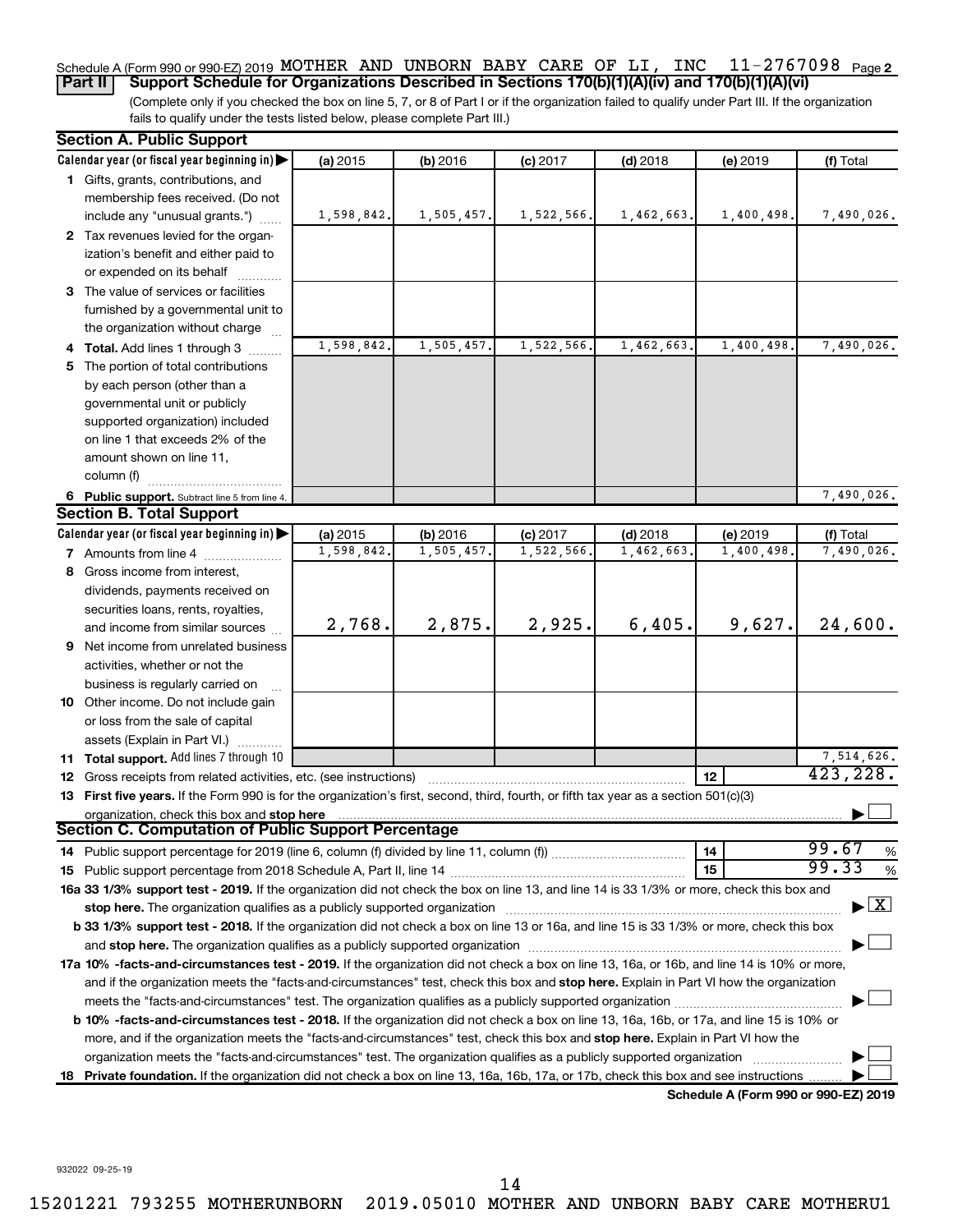#### 11-2767098 Page 2 Schedule A (Form 990 or 990-EZ) 2019 MOTHER AND UNBORN BABY CARE OF LI, INC  $11-2767098$  Page **Part II Support Schedule for Organizations Described in Sections 170(b)(1)(A)(iv) and 170(b)(1)(A)(vi)**

(Complete only if you checked the box on line 5, 7, or 8 of Part I or if the organization failed to qualify under Part III. If the organization fails to qualify under the tests listed below, please complete Part III.)

|    | <b>Section A. Public Support</b>                                                                                                                                                                                              |            |            |            |            |                                      |                                    |
|----|-------------------------------------------------------------------------------------------------------------------------------------------------------------------------------------------------------------------------------|------------|------------|------------|------------|--------------------------------------|------------------------------------|
|    | Calendar year (or fiscal year beginning in)                                                                                                                                                                                   | (a) 2015   | (b) 2016   | $(c)$ 2017 | $(d)$ 2018 | (e) 2019                             | (f) Total                          |
|    | 1 Gifts, grants, contributions, and                                                                                                                                                                                           |            |            |            |            |                                      |                                    |
|    | membership fees received. (Do not                                                                                                                                                                                             |            |            |            |            |                                      |                                    |
|    | include any "unusual grants.")                                                                                                                                                                                                | 1,598,842. | 1,505,457. | 1,522,566. | 1,462,663. | 1,400,498.                           | 7,490,026.                         |
|    | 2 Tax revenues levied for the organ-                                                                                                                                                                                          |            |            |            |            |                                      |                                    |
|    | ization's benefit and either paid to                                                                                                                                                                                          |            |            |            |            |                                      |                                    |
|    | or expended on its behalf                                                                                                                                                                                                     |            |            |            |            |                                      |                                    |
|    | 3 The value of services or facilities                                                                                                                                                                                         |            |            |            |            |                                      |                                    |
|    | furnished by a governmental unit to                                                                                                                                                                                           |            |            |            |            |                                      |                                    |
|    | the organization without charge                                                                                                                                                                                               |            |            |            |            |                                      |                                    |
|    | 4 Total. Add lines 1 through 3                                                                                                                                                                                                | 1,598,842. | 1,505,457. | 1,522,566. | 1,462,663. | 1,400,498                            | 7,490,026.                         |
|    | 5 The portion of total contributions                                                                                                                                                                                          |            |            |            |            |                                      |                                    |
|    | by each person (other than a                                                                                                                                                                                                  |            |            |            |            |                                      |                                    |
|    | governmental unit or publicly                                                                                                                                                                                                 |            |            |            |            |                                      |                                    |
|    | supported organization) included                                                                                                                                                                                              |            |            |            |            |                                      |                                    |
|    | on line 1 that exceeds 2% of the                                                                                                                                                                                              |            |            |            |            |                                      |                                    |
|    | amount shown on line 11,                                                                                                                                                                                                      |            |            |            |            |                                      |                                    |
|    | column (f)                                                                                                                                                                                                                    |            |            |            |            |                                      |                                    |
|    | 6 Public support. Subtract line 5 from line 4.                                                                                                                                                                                |            |            |            |            |                                      | 7,490,026.                         |
|    | <b>Section B. Total Support</b>                                                                                                                                                                                               |            |            |            |            |                                      |                                    |
|    | Calendar year (or fiscal year beginning in)                                                                                                                                                                                   | (a) 2015   | (b) 2016   | $(c)$ 2017 | $(d)$ 2018 | (e) 2019                             | (f) Total                          |
|    | <b>7</b> Amounts from line 4                                                                                                                                                                                                  | 1,598,842  | 1,505,457. | 1,522,566  | 1,462,663  | 1,400,498                            | 7,490,026.                         |
| 8  | Gross income from interest,                                                                                                                                                                                                   |            |            |            |            |                                      |                                    |
|    | dividends, payments received on                                                                                                                                                                                               |            |            |            |            |                                      |                                    |
|    | securities loans, rents, royalties,                                                                                                                                                                                           |            |            |            |            |                                      |                                    |
|    | and income from similar sources                                                                                                                                                                                               | 2,768.     | 2,875.     | 2,925.     | 6,405.     | 9,627.                               | 24,600.                            |
|    | <b>9</b> Net income from unrelated business                                                                                                                                                                                   |            |            |            |            |                                      |                                    |
|    | activities, whether or not the                                                                                                                                                                                                |            |            |            |            |                                      |                                    |
|    | business is regularly carried on                                                                                                                                                                                              |            |            |            |            |                                      |                                    |
|    | 10 Other income. Do not include gain                                                                                                                                                                                          |            |            |            |            |                                      |                                    |
|    | or loss from the sale of capital                                                                                                                                                                                              |            |            |            |            |                                      |                                    |
|    | assets (Explain in Part VI.)                                                                                                                                                                                                  |            |            |            |            |                                      |                                    |
|    | 11 Total support. Add lines 7 through 10                                                                                                                                                                                      |            |            |            |            |                                      | 7,514,626.                         |
|    | <b>12</b> Gross receipts from related activities, etc. (see instructions)                                                                                                                                                     |            |            |            |            | 12                                   | 423,228.                           |
|    | 13 First five years. If the Form 990 is for the organization's first, second, third, fourth, or fifth tax year as a section 501(c)(3)                                                                                         |            |            |            |            |                                      |                                    |
|    | organization, check this box and stop here                                                                                                                                                                                    |            |            |            |            |                                      |                                    |
|    | <b>Section C. Computation of Public Support Percentage</b>                                                                                                                                                                    |            |            |            |            |                                      | 99.67                              |
|    | 14 Public support percentage for 2019 (line 6, column (f) divided by line 11, column (f) <i>mummumumum</i>                                                                                                                    |            |            |            |            | 14                                   | %<br>99.33                         |
|    |                                                                                                                                                                                                                               |            |            |            |            | 15                                   | $\%$                               |
|    | 16a 33 1/3% support test - 2019. If the organization did not check the box on line 13, and line 14 is 33 1/3% or more, check this box and                                                                                     |            |            |            |            |                                      | $\blacktriangleright$ $\mathbf{X}$ |
|    | stop here. The organization qualifies as a publicly supported organization [11] manuscription manuscription manuscription of the original state of the state of the state of the state of the state of the state of the state |            |            |            |            |                                      |                                    |
|    | b 33 1/3% support test - 2018. If the organization did not check a box on line 13 or 16a, and line 15 is 33 1/3% or more, check this box                                                                                      |            |            |            |            |                                      |                                    |
|    |                                                                                                                                                                                                                               |            |            |            |            |                                      |                                    |
|    | 17a 10% -facts-and-circumstances test - 2019. If the organization did not check a box on line 13, 16a, or 16b, and line 14 is 10% or more,                                                                                    |            |            |            |            |                                      |                                    |
|    | and if the organization meets the "facts-and-circumstances" test, check this box and stop here. Explain in Part VI how the organization                                                                                       |            |            |            |            |                                      |                                    |
|    |                                                                                                                                                                                                                               |            |            |            |            |                                      |                                    |
|    | b 10% -facts-and-circumstances test - 2018. If the organization did not check a box on line 13, 16a, 16b, or 17a, and line 15 is 10% or                                                                                       |            |            |            |            |                                      |                                    |
|    | more, and if the organization meets the "facts-and-circumstances" test, check this box and stop here. Explain in Part VI how the                                                                                              |            |            |            |            |                                      |                                    |
|    | organization meets the "facts-and-circumstances" test. The organization qualifies as a publicly supported organization                                                                                                        |            |            |            |            |                                      |                                    |
| 18 | Private foundation. If the organization did not check a box on line 13, 16a, 16b, 17a, or 17b, check this box and see instructions                                                                                            |            |            |            |            | Schedule A (Form 990 or 990-EZ) 2019 |                                    |
|    |                                                                                                                                                                                                                               |            |            |            |            |                                      |                                    |

932022 09-25-19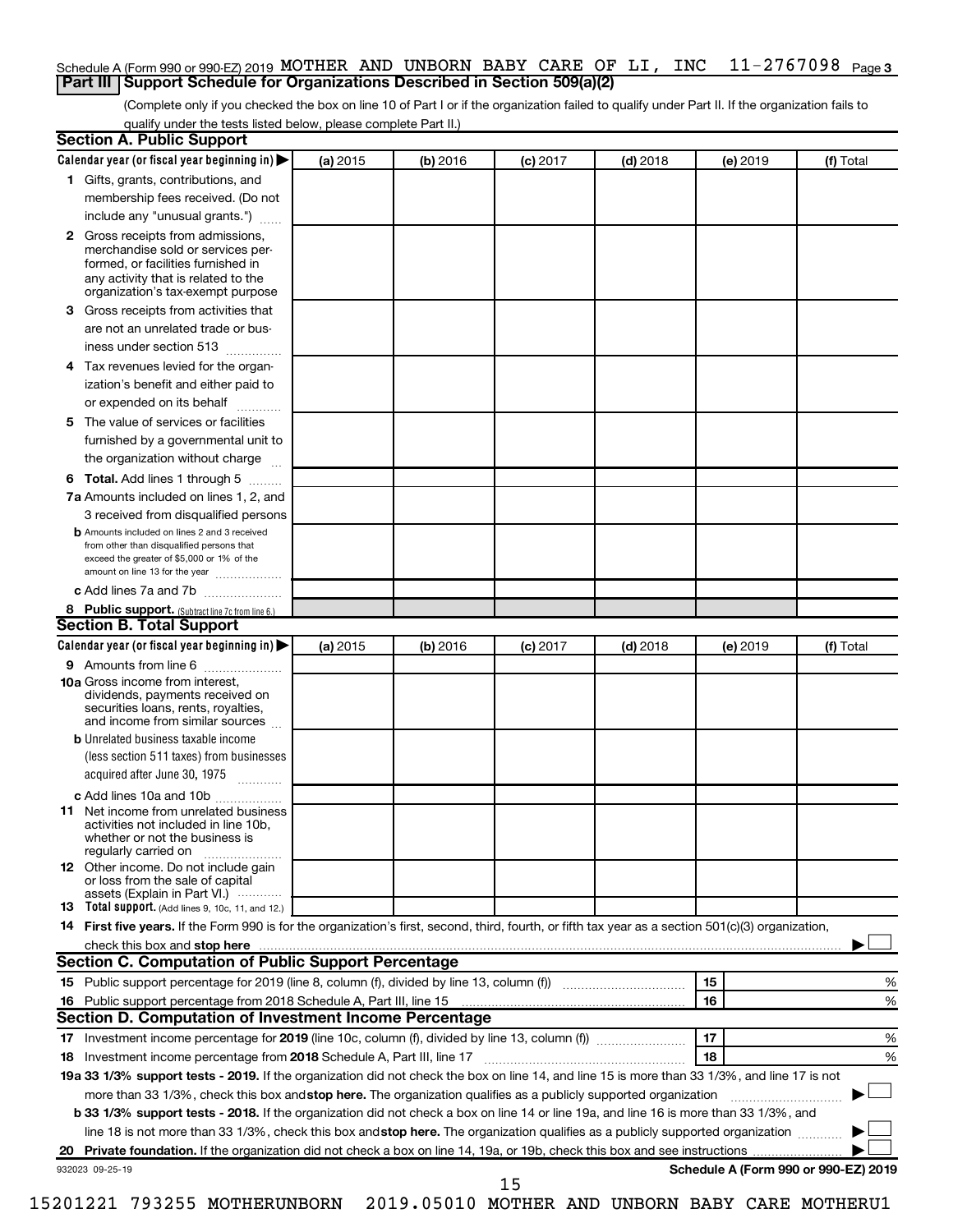#### 11-2767098 Page 3 Schedule A (Form 990 or 990-EZ) 2019 MOTHER AND UNBORN BABY CARE OF LI, INC  $11-2767098$  Page **Part III Support Schedule for Organizations Described in Section 509(a)(2)**

(Complete only if you checked the box on line 10 of Part I or if the organization failed to qualify under Part II. If the organization fails to qualify under the tests listed below, please complete Part II.)

| <b>Section A. Public Support</b>                                                                                                                                                                                                   |          |          |            |            |          |                                      |
|------------------------------------------------------------------------------------------------------------------------------------------------------------------------------------------------------------------------------------|----------|----------|------------|------------|----------|--------------------------------------|
| Calendar year (or fiscal year beginning in)                                                                                                                                                                                        | (a) 2015 | (b) 2016 | $(c)$ 2017 | $(d)$ 2018 | (e) 2019 | (f) Total                            |
| 1 Gifts, grants, contributions, and                                                                                                                                                                                                |          |          |            |            |          |                                      |
| membership fees received. (Do not                                                                                                                                                                                                  |          |          |            |            |          |                                      |
| include any "unusual grants.")                                                                                                                                                                                                     |          |          |            |            |          |                                      |
| 2 Gross receipts from admissions,<br>merchandise sold or services per-<br>formed, or facilities furnished in<br>any activity that is related to the<br>organization's tax-exempt purpose                                           |          |          |            |            |          |                                      |
| <b>3</b> Gross receipts from activities that                                                                                                                                                                                       |          |          |            |            |          |                                      |
| are not an unrelated trade or bus-                                                                                                                                                                                                 |          |          |            |            |          |                                      |
| iness under section 513                                                                                                                                                                                                            |          |          |            |            |          |                                      |
| 4 Tax revenues levied for the organ-                                                                                                                                                                                               |          |          |            |            |          |                                      |
| ization's benefit and either paid to                                                                                                                                                                                               |          |          |            |            |          |                                      |
| or expended on its behalf                                                                                                                                                                                                          |          |          |            |            |          |                                      |
| 5 The value of services or facilities                                                                                                                                                                                              |          |          |            |            |          |                                      |
| furnished by a governmental unit to                                                                                                                                                                                                |          |          |            |            |          |                                      |
|                                                                                                                                                                                                                                    |          |          |            |            |          |                                      |
| the organization without charge                                                                                                                                                                                                    |          |          |            |            |          |                                      |
| <b>6 Total.</b> Add lines 1 through 5                                                                                                                                                                                              |          |          |            |            |          |                                      |
| 7a Amounts included on lines 1, 2, and                                                                                                                                                                                             |          |          |            |            |          |                                      |
| 3 received from disqualified persons<br><b>b</b> Amounts included on lines 2 and 3 received<br>from other than disqualified persons that<br>exceed the greater of \$5,000 or 1% of the<br>amount on line 13 for the year           |          |          |            |            |          |                                      |
| c Add lines 7a and 7b                                                                                                                                                                                                              |          |          |            |            |          |                                      |
| 8 Public support. (Subtract line 7c from line 6.)<br><b>Section B. Total Support</b>                                                                                                                                               |          |          |            |            |          |                                      |
| Calendar year (or fiscal year beginning in)                                                                                                                                                                                        | (a) 2015 | (b) 2016 | $(c)$ 2017 | $(d)$ 2018 | (e) 2019 | (f) Total                            |
| <b>9</b> Amounts from line 6                                                                                                                                                                                                       |          |          |            |            |          |                                      |
| <b>10a</b> Gross income from interest,<br>dividends, payments received on<br>securities loans, rents, royalties,<br>and income from similar sources                                                                                |          |          |            |            |          |                                      |
| <b>b</b> Unrelated business taxable income                                                                                                                                                                                         |          |          |            |            |          |                                      |
| (less section 511 taxes) from businesses<br>acquired after June 30, 1975<br>$\overline{\phantom{a}}$                                                                                                                               |          |          |            |            |          |                                      |
| c Add lines 10a and 10b                                                                                                                                                                                                            |          |          |            |            |          |                                      |
| <b>11</b> Net income from unrelated business<br>activities not included in line 10b.<br>whether or not the business is<br>regularly carried on                                                                                     |          |          |            |            |          |                                      |
| <b>12</b> Other income. Do not include gain<br>or loss from the sale of capital<br>assets (Explain in Part VI.)                                                                                                                    |          |          |            |            |          |                                      |
| <b>13</b> Total support. (Add lines 9, 10c, 11, and 12.)                                                                                                                                                                           |          |          |            |            |          |                                      |
| 14 First five years. If the Form 990 is for the organization's first, second, third, fourth, or fifth tax year as a section 501(c)(3) organization,                                                                                |          |          |            |            |          |                                      |
| check this box and stop here <i>manufacture in the content of the state in the state in the state state</i> and stop here and stop here and stop the state of the state of the state of the state of the state of the state of the |          |          |            |            |          |                                      |
| <b>Section C. Computation of Public Support Percentage</b>                                                                                                                                                                         |          |          |            |            |          |                                      |
| 15 Public support percentage for 2019 (line 8, column (f), divided by line 13, column (f) <i>manumeronominimal</i>                                                                                                                 |          |          |            |            | 15       | ℅                                    |
| 16 Public support percentage from 2018 Schedule A, Part III, line 15                                                                                                                                                               |          |          |            |            | 16       | %                                    |
| Section D. Computation of Investment Income Percentage                                                                                                                                                                             |          |          |            |            |          |                                      |
|                                                                                                                                                                                                                                    |          |          |            |            | 17       | %                                    |
| 18 Investment income percentage from 2018 Schedule A, Part III, line 17                                                                                                                                                            |          |          |            |            | 18       | %                                    |
| 19a 33 1/3% support tests - 2019. If the organization did not check the box on line 14, and line 15 is more than 33 1/3%, and line 17 is not                                                                                       |          |          |            |            |          |                                      |
| more than 33 1/3%, check this box and stop here. The organization qualifies as a publicly supported organization                                                                                                                   |          |          |            |            |          |                                      |
| b 33 1/3% support tests - 2018. If the organization did not check a box on line 14 or line 19a, and line 16 is more than 33 1/3%, and                                                                                              |          |          |            |            |          |                                      |
| line 18 is not more than 33 1/3%, check this box and stop here. The organization qualifies as a publicly supported organization                                                                                                    |          |          |            |            |          |                                      |
|                                                                                                                                                                                                                                    |          |          |            |            |          |                                      |
|                                                                                                                                                                                                                                    |          |          |            |            |          | Schedule A (Form 990 or 990-EZ) 2019 |
| 932023 09-25-19                                                                                                                                                                                                                    |          |          | 15         |            |          |                                      |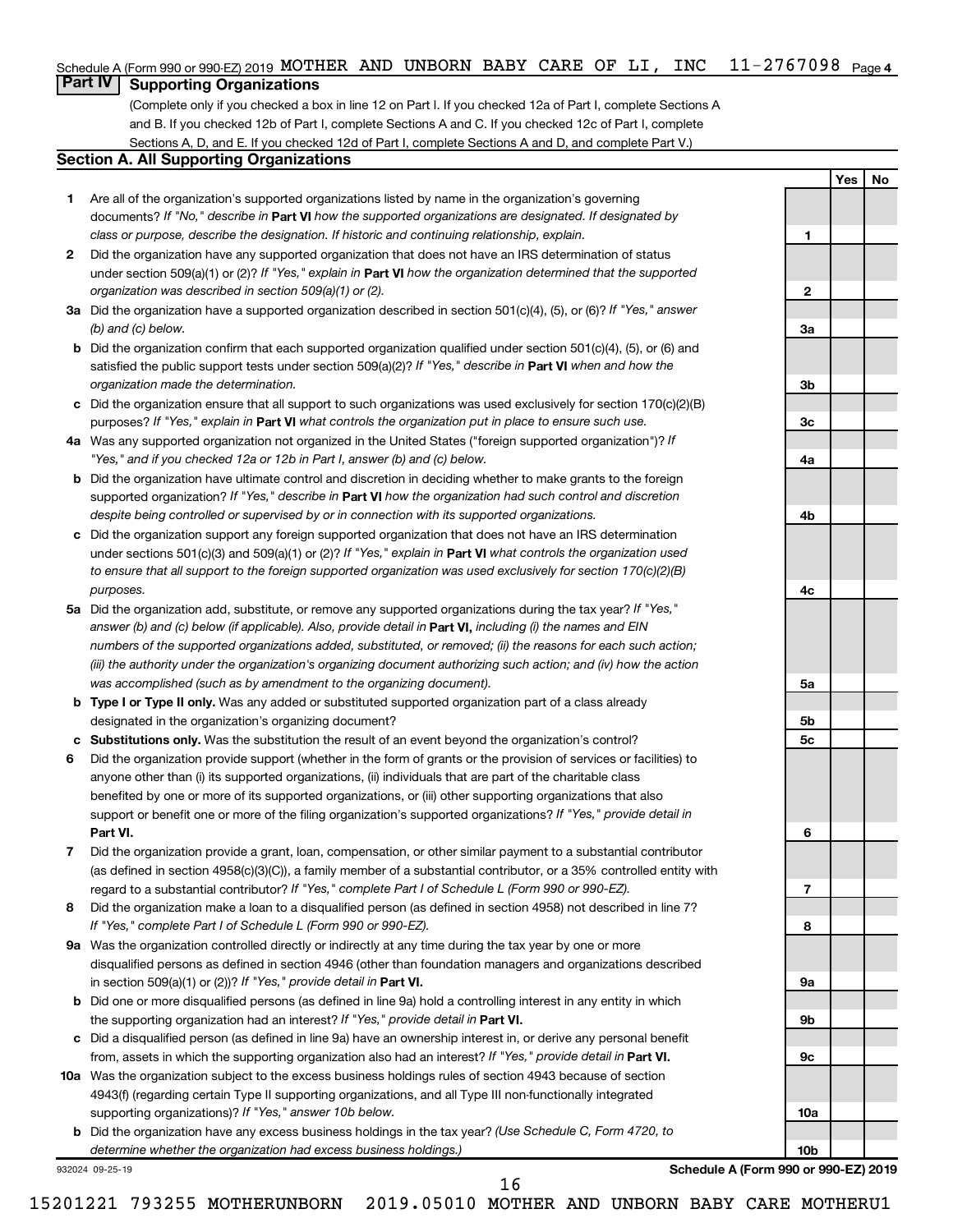## Schedule A (Form 990 or 990-EZ) 2019 MOTHER AND UNBORN BABY CARE OF LI, INC 11-2767098 <sub>Page 4</sub>

## **Part IV Supporting Organizations**

(Complete only if you checked a box in line 12 on Part I. If you checked 12a of Part I, complete Sections A and B. If you checked 12b of Part I, complete Sections A and C. If you checked 12c of Part I, complete Sections A, D, and E. If you checked 12d of Part I, complete Sections A and D, and complete Part V.)

## **Section A. All Supporting Organizations**

- **1** Are all of the organization's supported organizations listed by name in the organization's governing documents? If "No," describe in Part VI how the supported organizations are designated. If designated by *class or purpose, describe the designation. If historic and continuing relationship, explain.*
- **2** Did the organization have any supported organization that does not have an IRS determination of status under section 509(a)(1) or (2)? If "Yes," explain in Part **VI** how the organization determined that the supported *organization was described in section 509(a)(1) or (2).*
- **3a** Did the organization have a supported organization described in section 501(c)(4), (5), or (6)? If "Yes," answer *(b) and (c) below.*
- **b** Did the organization confirm that each supported organization qualified under section 501(c)(4), (5), or (6) and satisfied the public support tests under section 509(a)(2)? If "Yes," describe in Part VI when and how the *organization made the determination.*
- **c** Did the organization ensure that all support to such organizations was used exclusively for section 170(c)(2)(B) purposes? If "Yes," explain in Part VI what controls the organization put in place to ensure such use.
- **4 a** *If* Was any supported organization not organized in the United States ("foreign supported organization")? *"Yes," and if you checked 12a or 12b in Part I, answer (b) and (c) below.*
- **b** Did the organization have ultimate control and discretion in deciding whether to make grants to the foreign supported organization? If "Yes," describe in Part VI how the organization had such control and discretion *despite being controlled or supervised by or in connection with its supported organizations.*
- **c** Did the organization support any foreign supported organization that does not have an IRS determination under sections 501(c)(3) and 509(a)(1) or (2)? If "Yes," explain in Part VI what controls the organization used *to ensure that all support to the foreign supported organization was used exclusively for section 170(c)(2)(B) purposes.*
- **5a** Did the organization add, substitute, or remove any supported organizations during the tax year? If "Yes," answer (b) and (c) below (if applicable). Also, provide detail in **Part VI,** including (i) the names and EIN *numbers of the supported organizations added, substituted, or removed; (ii) the reasons for each such action; (iii) the authority under the organization's organizing document authorizing such action; and (iv) how the action was accomplished (such as by amendment to the organizing document).*
- **b** Type I or Type II only. Was any added or substituted supported organization part of a class already designated in the organization's organizing document?
- **c Substitutions only.**  Was the substitution the result of an event beyond the organization's control?
- **6** Did the organization provide support (whether in the form of grants or the provision of services or facilities) to **Part VI.** support or benefit one or more of the filing organization's supported organizations? If "Yes," provide detail in anyone other than (i) its supported organizations, (ii) individuals that are part of the charitable class benefited by one or more of its supported organizations, or (iii) other supporting organizations that also
- **7** Did the organization provide a grant, loan, compensation, or other similar payment to a substantial contributor regard to a substantial contributor? If "Yes," complete Part I of Schedule L (Form 990 or 990-EZ). (as defined in section 4958(c)(3)(C)), a family member of a substantial contributor, or a 35% controlled entity with
- **8** Did the organization make a loan to a disqualified person (as defined in section 4958) not described in line 7? *If "Yes," complete Part I of Schedule L (Form 990 or 990-EZ).*
- **9 a** Was the organization controlled directly or indirectly at any time during the tax year by one or more in section 509(a)(1) or (2))? If "Yes," provide detail in **Part VI.** disqualified persons as defined in section 4946 (other than foundation managers and organizations described
- **b** Did one or more disqualified persons (as defined in line 9a) hold a controlling interest in any entity in which the supporting organization had an interest? If "Yes," provide detail in Part VI.
- **c** Did a disqualified person (as defined in line 9a) have an ownership interest in, or derive any personal benefit from, assets in which the supporting organization also had an interest? If "Yes," provide detail in Part VI.
- **10 a** Was the organization subject to the excess business holdings rules of section 4943 because of section supporting organizations)? If "Yes," answer 10b below. 4943(f) (regarding certain Type II supporting organizations, and all Type III non-functionally integrated
	- **b** Did the organization have any excess business holdings in the tax year? (Use Schedule C, Form 4720, to *determine whether the organization had excess business holdings.)*

932024 09-25-19

**Schedule A (Form 990 or 990-EZ) 2019**

**Yes No**

**1**

**2**

**3a**

**3b**

**3c**

**4a**

**4b**

**4c**

**5a**

**5b 5c**

**6**

**7**

**8**

**9a**

**9b**

**9c**

**10a**

**10b**

15201221 793255 MOTHERUNBORN 2019.05010 MOTHER AND UNBORN BABY CARE MOTHERU1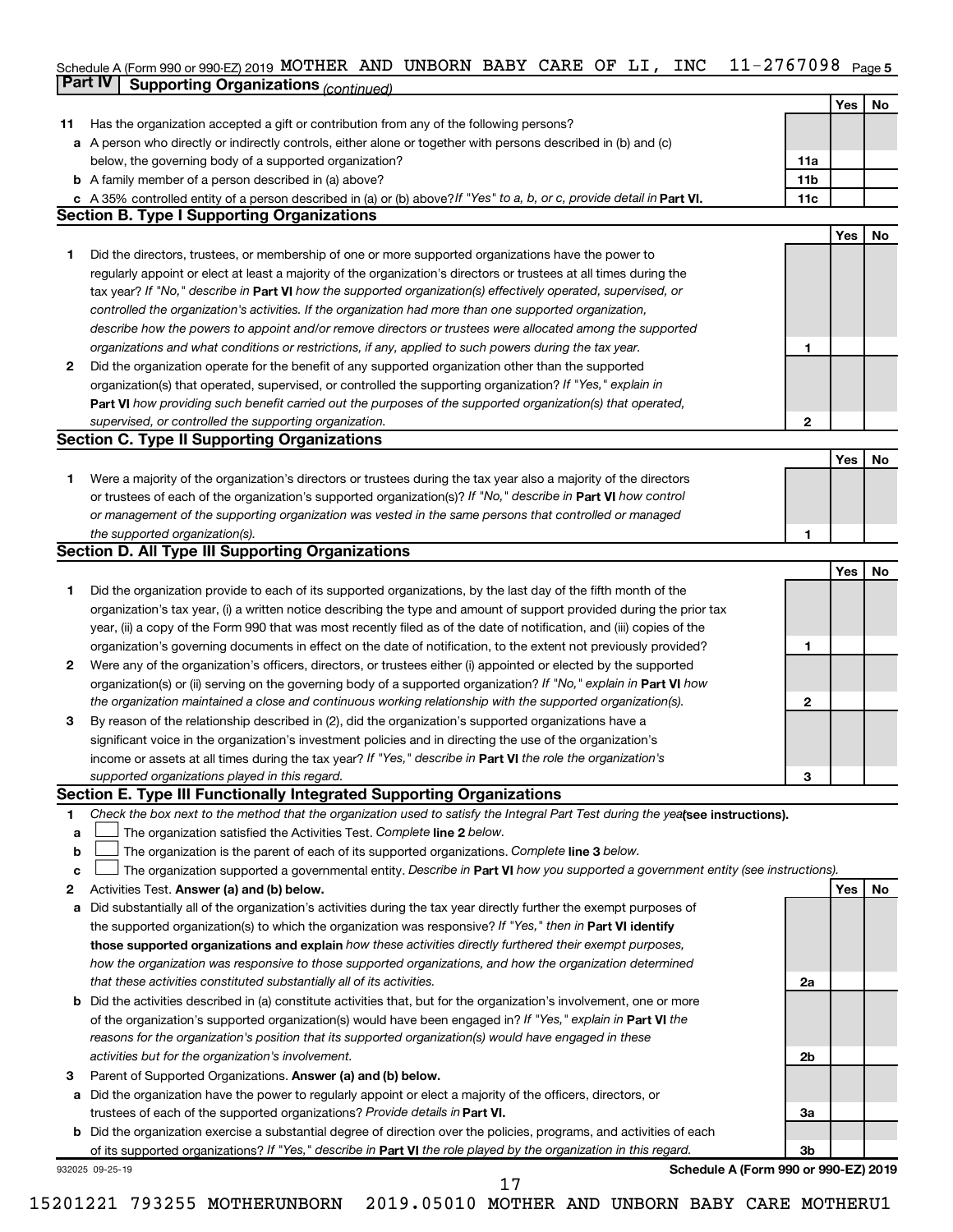### Schedule A (Form 990 or 990-EZ) 2019 MOTHER AND UNBORN BABY CARE OF LI, INC II-2767098 Page 5 **Part IV Supporting Organizations** *(continued)* MOTHER AND UNBORN BABY CARE OF LI, INC 11-2767098

|              |                                                                                                                                 |              | Yes | No |
|--------------|---------------------------------------------------------------------------------------------------------------------------------|--------------|-----|----|
| 11           | Has the organization accepted a gift or contribution from any of the following persons?                                         |              |     |    |
| а            | A person who directly or indirectly controls, either alone or together with persons described in (b) and (c)                    |              |     |    |
|              | below, the governing body of a supported organization?                                                                          | 11a          |     |    |
|              | <b>b</b> A family member of a person described in (a) above?                                                                    | 11b          |     |    |
|              | c A 35% controlled entity of a person described in (a) or (b) above? If "Yes" to a, b, or c, provide detail in Part VI.         | 11c          |     |    |
|              | <b>Section B. Type I Supporting Organizations</b>                                                                               |              |     |    |
|              |                                                                                                                                 |              | Yes | No |
| 1            | Did the directors, trustees, or membership of one or more supported organizations have the power to                             |              |     |    |
|              | regularly appoint or elect at least a majority of the organization's directors or trustees at all times during the              |              |     |    |
|              | tax year? If "No," describe in Part VI how the supported organization(s) effectively operated, supervised, or                   |              |     |    |
|              | controlled the organization's activities. If the organization had more than one supported organization,                         |              |     |    |
|              | describe how the powers to appoint and/or remove directors or trustees were allocated among the supported                       |              |     |    |
|              | organizations and what conditions or restrictions, if any, applied to such powers during the tax year.                          | 1            |     |    |
| $\mathbf{2}$ | Did the organization operate for the benefit of any supported organization other than the supported                             |              |     |    |
|              | organization(s) that operated, supervised, or controlled the supporting organization? If "Yes," explain in                      |              |     |    |
|              | Part VI how providing such benefit carried out the purposes of the supported organization(s) that operated,                     |              |     |    |
|              | supervised, or controlled the supporting organization.                                                                          | $\mathbf{2}$ |     |    |
|              | <b>Section C. Type II Supporting Organizations</b>                                                                              |              |     |    |
|              |                                                                                                                                 |              | Yes | No |
| 1.           | Were a majority of the organization's directors or trustees during the tax year also a majority of the directors                |              |     |    |
|              | or trustees of each of the organization's supported organization(s)? If "No," describe in Part VI how control                   |              |     |    |
|              | or management of the supporting organization was vested in the same persons that controlled or managed                          |              |     |    |
|              | the supported organization(s).                                                                                                  | 1            |     |    |
|              | Section D. All Type III Supporting Organizations                                                                                |              |     |    |
|              |                                                                                                                                 |              | Yes | No |
| 1            | Did the organization provide to each of its supported organizations, by the last day of the fifth month of the                  |              |     |    |
|              | organization's tax year, (i) a written notice describing the type and amount of support provided during the prior tax           |              |     |    |
|              | year, (ii) a copy of the Form 990 that was most recently filed as of the date of notification, and (iii) copies of the          |              |     |    |
|              | organization's governing documents in effect on the date of notification, to the extent not previously provided?                | 1            |     |    |
| 2            | Were any of the organization's officers, directors, or trustees either (i) appointed or elected by the supported                |              |     |    |
|              | organization(s) or (ii) serving on the governing body of a supported organization? If "No," explain in <b>Part VI</b> how       |              |     |    |
|              | the organization maintained a close and continuous working relationship with the supported organization(s).                     | 2            |     |    |
| 3            | By reason of the relationship described in (2), did the organization's supported organizations have a                           |              |     |    |
|              | significant voice in the organization's investment policies and in directing the use of the organization's                      |              |     |    |
|              | income or assets at all times during the tax year? If "Yes," describe in Part VI the role the organization's                    |              |     |    |
|              | supported organizations played in this regard.                                                                                  | 3            |     |    |
|              | Section E. Type III Functionally Integrated Supporting Organizations                                                            |              |     |    |
| 1            | Check the box next to the method that the organization used to satisfy the Integral Part Test during the yealsee instructions). |              |     |    |
| a            | The organization satisfied the Activities Test. Complete line 2 below.                                                          |              |     |    |
| b            | The organization is the parent of each of its supported organizations. Complete line 3 below.                                   |              |     |    |
| c            | The organization supported a governmental entity. Describe in Part VI how you supported a government entity (see instructions). |              |     |    |
| 2            | Activities Test. Answer (a) and (b) below.                                                                                      |              | Yes | No |
| a            | Did substantially all of the organization's activities during the tax year directly further the exempt purposes of              |              |     |    |
|              | the supported organization(s) to which the organization was responsive? If "Yes," then in Part VI identify                      |              |     |    |
|              | those supported organizations and explain how these activities directly furthered their exempt purposes,                        |              |     |    |
|              | how the organization was responsive to those supported organizations, and how the organization determined                       |              |     |    |
|              | that these activities constituted substantially all of its activities.                                                          | 2a           |     |    |
|              | <b>b</b> Did the activities described in (a) constitute activities that, but for the organization's involvement, one or more    |              |     |    |
|              | of the organization's supported organization(s) would have been engaged in? If "Yes," explain in Part VI the                    |              |     |    |
|              | reasons for the organization's position that its supported organization(s) would have engaged in these                          |              |     |    |
|              | activities but for the organization's involvement.                                                                              | 2b           |     |    |
| 3            | Parent of Supported Organizations. Answer (a) and (b) below.                                                                    |              |     |    |
| а            | Did the organization have the power to regularly appoint or elect a majority of the officers, directors, or                     |              |     |    |
|              | trustees of each of the supported organizations? Provide details in Part VI.                                                    | За           |     |    |
|              | <b>b</b> Did the organization exercise a substantial degree of direction over the policies, programs, and activities of each    |              |     |    |
|              | of its supported organizations? If "Yes," describe in Part VI the role played by the organization in this regard.               | 3b           |     |    |
|              | Schedule A (Form 990 or 990-EZ) 2019<br>932025 09-25-19                                                                         |              |     |    |
|              | 17                                                                                                                              |              |     |    |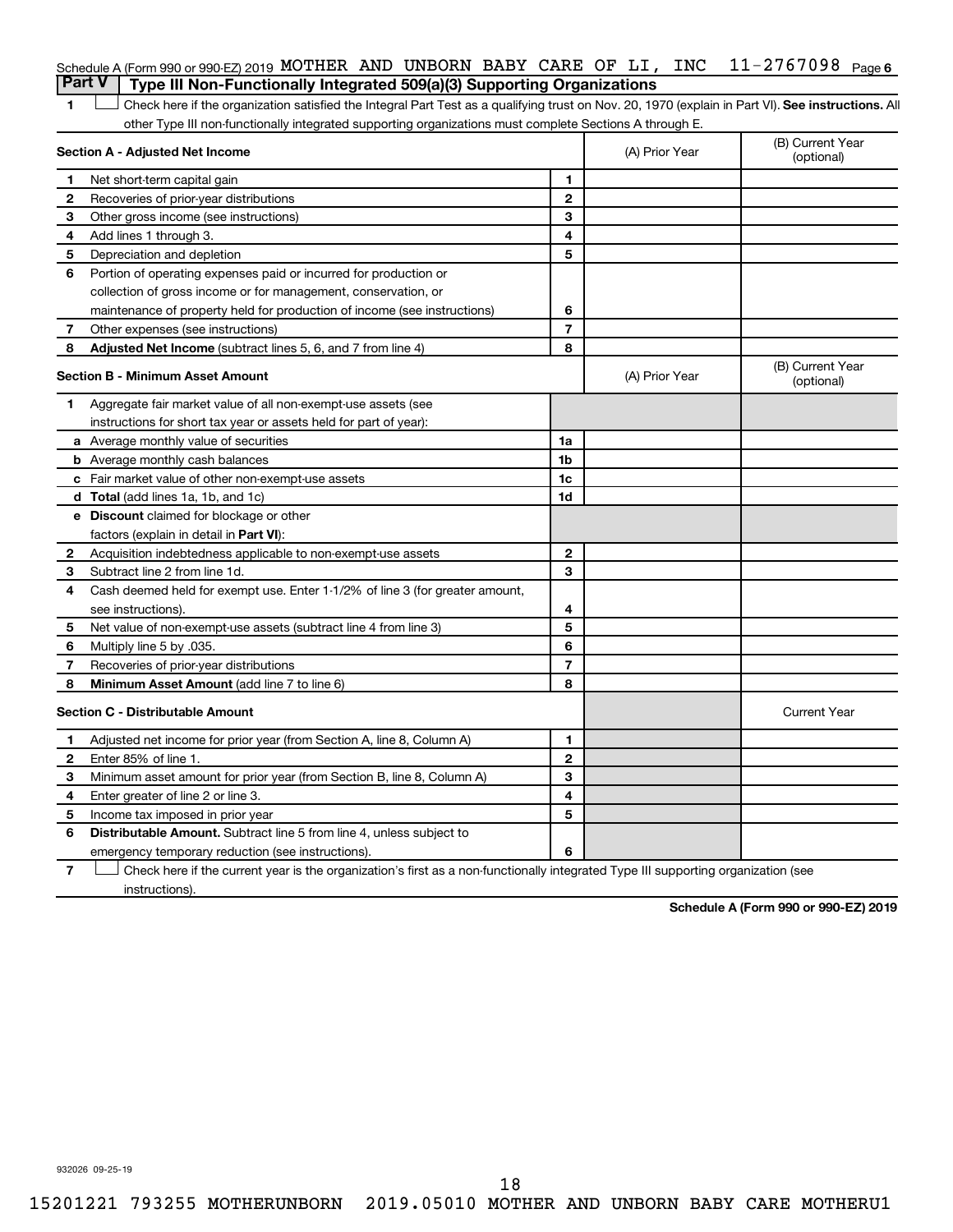|              | Schedule A (Form 990 or 990-EZ) 2019 MOTHER AND UNBORN BABY CARE OF LI, INC                                                                        |                |                | $11 - 2767098$ Page 6          |
|--------------|----------------------------------------------------------------------------------------------------------------------------------------------------|----------------|----------------|--------------------------------|
|              | <b>Part V</b><br>Type III Non-Functionally Integrated 509(a)(3) Supporting Organizations                                                           |                |                |                                |
| 1            | Check here if the organization satisfied the Integral Part Test as a qualifying trust on Nov. 20, 1970 (explain in Part VI). See instructions. All |                |                |                                |
|              | other Type III non-functionally integrated supporting organizations must complete Sections A through E.                                            |                |                |                                |
|              | Section A - Adjusted Net Income                                                                                                                    |                | (A) Prior Year | (B) Current Year<br>(optional) |
| 1            | Net short-term capital gain                                                                                                                        | 1              |                |                                |
| 2            | Recoveries of prior-year distributions                                                                                                             | $\overline{2}$ |                |                                |
| 3            | Other gross income (see instructions)                                                                                                              | 3              |                |                                |
| 4            | Add lines 1 through 3.                                                                                                                             | 4              |                |                                |
| 5            | Depreciation and depletion                                                                                                                         | 5              |                |                                |
| 6            | Portion of operating expenses paid or incurred for production or                                                                                   |                |                |                                |
|              | collection of gross income or for management, conservation, or                                                                                     |                |                |                                |
|              | maintenance of property held for production of income (see instructions)                                                                           | 6              |                |                                |
| 7            | Other expenses (see instructions)                                                                                                                  | 7              |                |                                |
| 8            | Adjusted Net Income (subtract lines 5, 6, and 7 from line 4)                                                                                       | 8              |                |                                |
|              | <b>Section B - Minimum Asset Amount</b>                                                                                                            |                | (A) Prior Year | (B) Current Year<br>(optional) |
| 1            | Aggregate fair market value of all non-exempt-use assets (see                                                                                      |                |                |                                |
|              | instructions for short tax year or assets held for part of year):                                                                                  |                |                |                                |
|              | <b>a</b> Average monthly value of securities                                                                                                       | 1a             |                |                                |
|              | <b>b</b> Average monthly cash balances                                                                                                             | 1b             |                |                                |
|              | c Fair market value of other non-exempt-use assets                                                                                                 | 1 <sub>c</sub> |                |                                |
|              | <b>d</b> Total (add lines 1a, 1b, and 1c)                                                                                                          | 1d             |                |                                |
|              | e Discount claimed for blockage or other                                                                                                           |                |                |                                |
|              | factors (explain in detail in <b>Part VI</b> ):                                                                                                    |                |                |                                |
| 2            | Acquisition indebtedness applicable to non-exempt-use assets                                                                                       | $\mathbf{2}$   |                |                                |
| 3            | Subtract line 2 from line 1d.                                                                                                                      | 3              |                |                                |
| 4            | Cash deemed held for exempt use. Enter 1-1/2% of line 3 (for greater amount,                                                                       |                |                |                                |
|              | see instructions).                                                                                                                                 | 4              |                |                                |
| 5            | Net value of non-exempt-use assets (subtract line 4 from line 3)                                                                                   | 5              |                |                                |
| 6            | Multiply line 5 by .035.                                                                                                                           | 6              |                |                                |
| 7            | Recoveries of prior-year distributions                                                                                                             | $\overline{7}$ |                |                                |
| 8            | Minimum Asset Amount (add line 7 to line 6)                                                                                                        | 8              |                |                                |
|              | <b>Section C - Distributable Amount</b>                                                                                                            |                |                | <b>Current Year</b>            |
| 1            | Adjusted net income for prior year (from Section A, line 8, Column A)                                                                              | 1              |                |                                |
| $\mathbf{2}$ | Enter 85% of line 1.                                                                                                                               | $\overline{2}$ |                |                                |
| 3            | Minimum asset amount for prior year (from Section B, line 8, Column A)                                                                             | 3              |                |                                |
| 4            | Enter greater of line 2 or line 3.                                                                                                                 | 4              |                |                                |
| 5            | Income tax imposed in prior year                                                                                                                   | 5              |                |                                |
| 6            | <b>Distributable Amount.</b> Subtract line 5 from line 4, unless subject to                                                                        |                |                |                                |
|              | emergency temporary reduction (see instructions).                                                                                                  | 6              |                |                                |
|              |                                                                                                                                                    |                |                |                                |

**7** Let Check here if the current year is the organization's first as a non-functionally integrated Type III supporting organization (see instructions).

**Schedule A (Form 990 or 990-EZ) 2019**

932026 09-25-19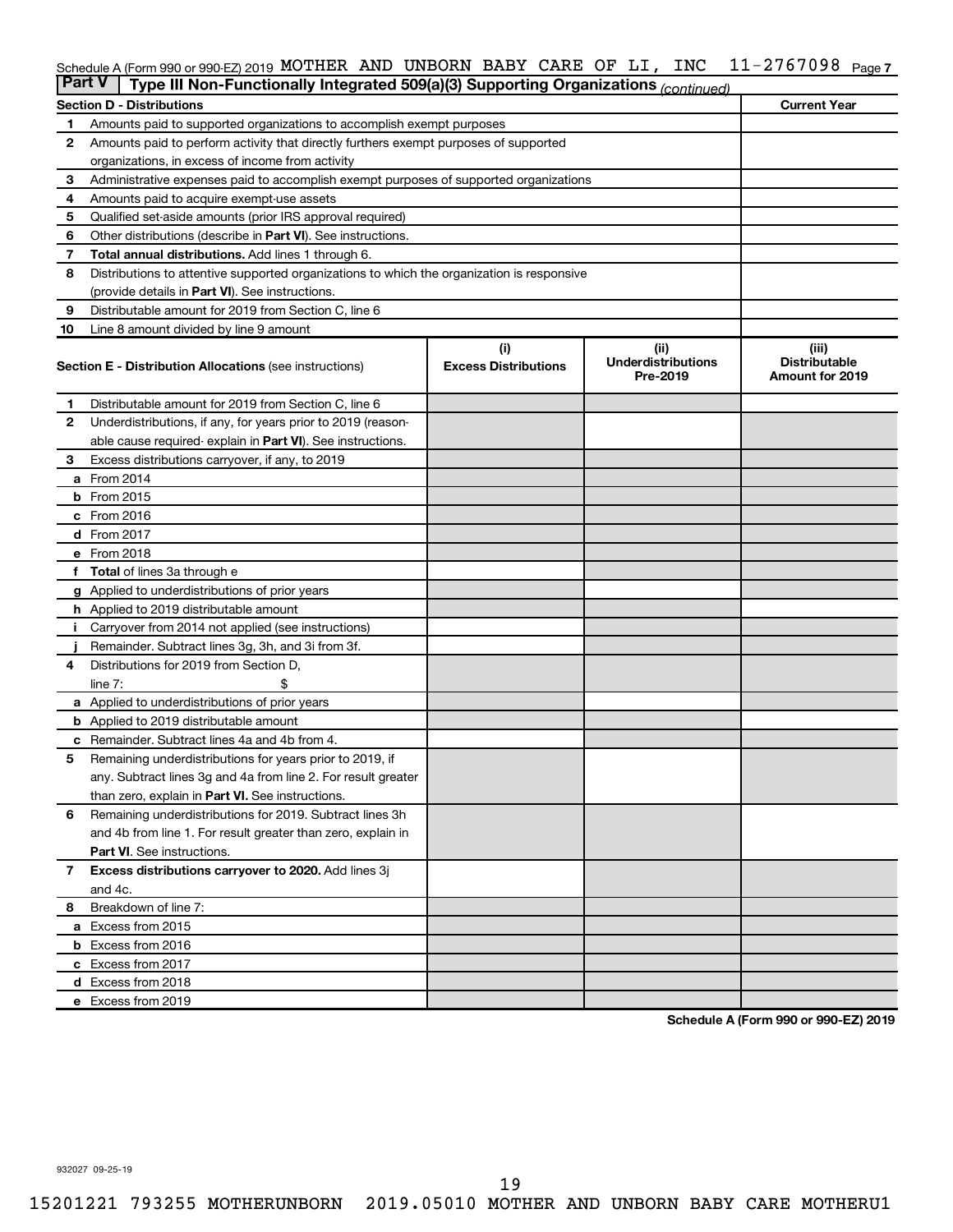#### 11-2767098 Page 7 Schedule A (Form 990 or 990-EZ) 2019 MOTHER AND UNBORN BABY CARE OF LI, INC  $11-2767098$  Page

| <b>Part V</b> | Type III Non-Functionally Integrated 509(a)(3) Supporting Organizations (continued)        |                             |                                       |                                                |  |  |  |  |  |  |  |
|---------------|--------------------------------------------------------------------------------------------|-----------------------------|---------------------------------------|------------------------------------------------|--|--|--|--|--|--|--|
|               | <b>Section D - Distributions</b>                                                           |                             |                                       | <b>Current Year</b>                            |  |  |  |  |  |  |  |
| 1             | Amounts paid to supported organizations to accomplish exempt purposes                      |                             |                                       |                                                |  |  |  |  |  |  |  |
| 2             | Amounts paid to perform activity that directly furthers exempt purposes of supported       |                             |                                       |                                                |  |  |  |  |  |  |  |
|               | organizations, in excess of income from activity                                           |                             |                                       |                                                |  |  |  |  |  |  |  |
| 3             | Administrative expenses paid to accomplish exempt purposes of supported organizations      |                             |                                       |                                                |  |  |  |  |  |  |  |
| 4             | Amounts paid to acquire exempt-use assets                                                  |                             |                                       |                                                |  |  |  |  |  |  |  |
| 5             | Qualified set-aside amounts (prior IRS approval required)                                  |                             |                                       |                                                |  |  |  |  |  |  |  |
| 6             | Other distributions (describe in Part VI). See instructions.                               |                             |                                       |                                                |  |  |  |  |  |  |  |
| 7             | <b>Total annual distributions.</b> Add lines 1 through 6.                                  |                             |                                       |                                                |  |  |  |  |  |  |  |
| 8             | Distributions to attentive supported organizations to which the organization is responsive |                             |                                       |                                                |  |  |  |  |  |  |  |
|               | (provide details in Part VI). See instructions.                                            |                             |                                       |                                                |  |  |  |  |  |  |  |
| 9             | Distributable amount for 2019 from Section C, line 6                                       |                             |                                       |                                                |  |  |  |  |  |  |  |
| 10            | Line 8 amount divided by line 9 amount                                                     |                             |                                       |                                                |  |  |  |  |  |  |  |
|               |                                                                                            | (i)                         | (ii)                                  | (iii)                                          |  |  |  |  |  |  |  |
|               | <b>Section E - Distribution Allocations (see instructions)</b>                             | <b>Excess Distributions</b> | <b>Underdistributions</b><br>Pre-2019 | <b>Distributable</b><br><b>Amount for 2019</b> |  |  |  |  |  |  |  |
| 1.            | Distributable amount for 2019 from Section C, line 6                                       |                             |                                       |                                                |  |  |  |  |  |  |  |
| $\mathbf{2}$  | Underdistributions, if any, for years prior to 2019 (reason-                               |                             |                                       |                                                |  |  |  |  |  |  |  |
|               | able cause required- explain in Part VI). See instructions.                                |                             |                                       |                                                |  |  |  |  |  |  |  |
| 3             | Excess distributions carryover, if any, to 2019                                            |                             |                                       |                                                |  |  |  |  |  |  |  |
|               | a From 2014                                                                                |                             |                                       |                                                |  |  |  |  |  |  |  |
|               | <b>b</b> From 2015                                                                         |                             |                                       |                                                |  |  |  |  |  |  |  |
|               | c From 2016                                                                                |                             |                                       |                                                |  |  |  |  |  |  |  |
|               | d From 2017                                                                                |                             |                                       |                                                |  |  |  |  |  |  |  |
|               | e From 2018                                                                                |                             |                                       |                                                |  |  |  |  |  |  |  |
|               | f Total of lines 3a through e                                                              |                             |                                       |                                                |  |  |  |  |  |  |  |
|               | <b>g</b> Applied to underdistributions of prior years                                      |                             |                                       |                                                |  |  |  |  |  |  |  |
|               | <b>h</b> Applied to 2019 distributable amount                                              |                             |                                       |                                                |  |  |  |  |  |  |  |
|               | Carryover from 2014 not applied (see instructions)                                         |                             |                                       |                                                |  |  |  |  |  |  |  |
|               | Remainder. Subtract lines 3g, 3h, and 3i from 3f.                                          |                             |                                       |                                                |  |  |  |  |  |  |  |
| 4             | Distributions for 2019 from Section D,                                                     |                             |                                       |                                                |  |  |  |  |  |  |  |
|               | $line 7$ :                                                                                 |                             |                                       |                                                |  |  |  |  |  |  |  |
|               | <b>a</b> Applied to underdistributions of prior years                                      |                             |                                       |                                                |  |  |  |  |  |  |  |
|               | <b>b</b> Applied to 2019 distributable amount                                              |                             |                                       |                                                |  |  |  |  |  |  |  |
| с             | Remainder. Subtract lines 4a and 4b from 4.                                                |                             |                                       |                                                |  |  |  |  |  |  |  |
| 5             | Remaining underdistributions for years prior to 2019, if                                   |                             |                                       |                                                |  |  |  |  |  |  |  |
|               | any. Subtract lines 3g and 4a from line 2. For result greater                              |                             |                                       |                                                |  |  |  |  |  |  |  |
|               | than zero, explain in Part VI. See instructions.                                           |                             |                                       |                                                |  |  |  |  |  |  |  |
| 6             | Remaining underdistributions for 2019. Subtract lines 3h                                   |                             |                                       |                                                |  |  |  |  |  |  |  |
|               | and 4b from line 1. For result greater than zero, explain in                               |                             |                                       |                                                |  |  |  |  |  |  |  |
|               | <b>Part VI.</b> See instructions.                                                          |                             |                                       |                                                |  |  |  |  |  |  |  |
| $\mathbf{7}$  | Excess distributions carryover to 2020. Add lines 3j                                       |                             |                                       |                                                |  |  |  |  |  |  |  |
|               | and 4c.                                                                                    |                             |                                       |                                                |  |  |  |  |  |  |  |
| 8             | Breakdown of line 7:                                                                       |                             |                                       |                                                |  |  |  |  |  |  |  |
|               | a Excess from 2015                                                                         |                             |                                       |                                                |  |  |  |  |  |  |  |
|               | <b>b</b> Excess from 2016                                                                  |                             |                                       |                                                |  |  |  |  |  |  |  |
|               | c Excess from 2017                                                                         |                             |                                       |                                                |  |  |  |  |  |  |  |
|               | d Excess from 2018                                                                         |                             |                                       |                                                |  |  |  |  |  |  |  |
|               | e Excess from 2019                                                                         |                             |                                       |                                                |  |  |  |  |  |  |  |

**Schedule A (Form 990 or 990-EZ) 2019**

932027 09-25-19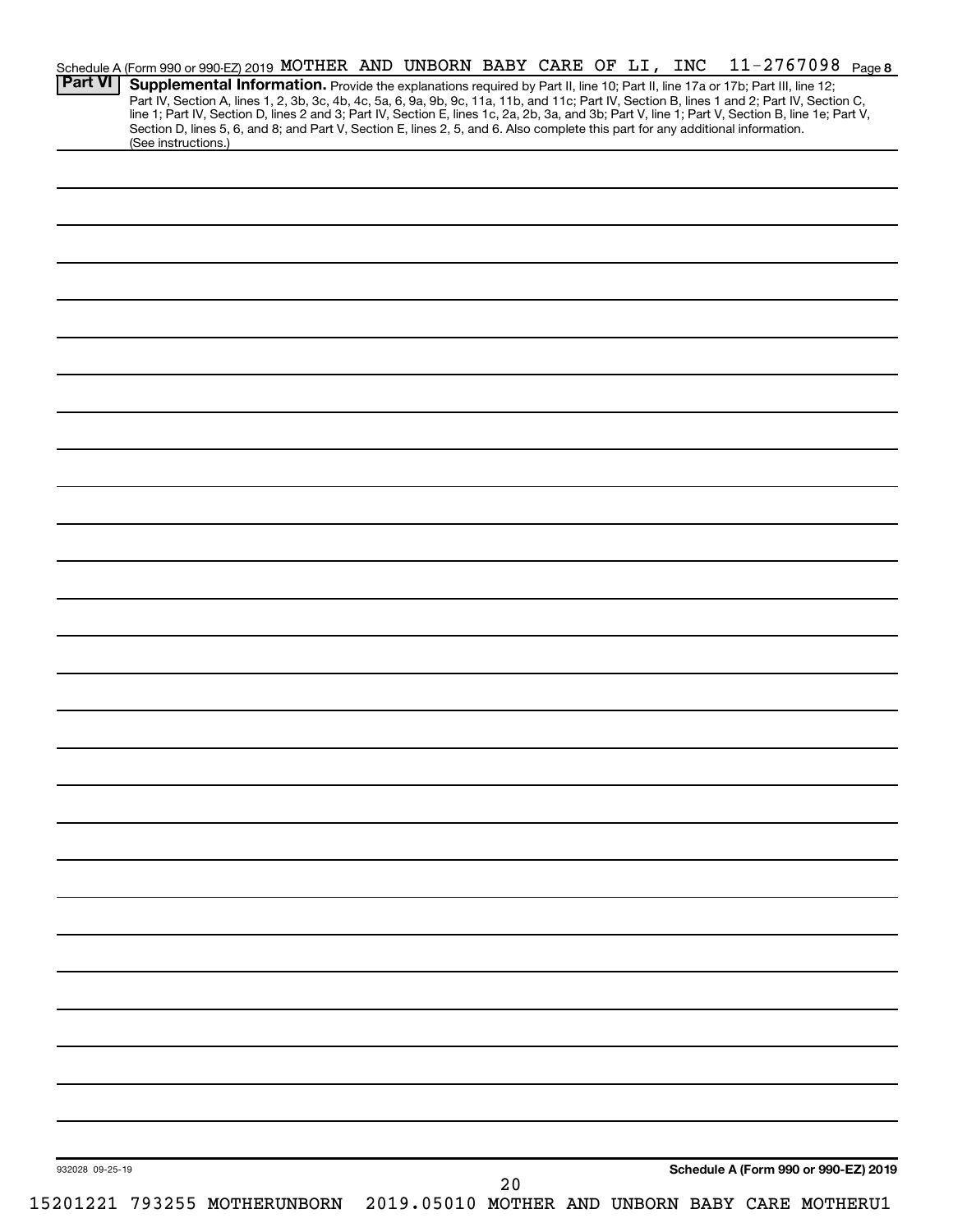| <b>Part VI</b>  |                                                                                                                                 |  | Schedule A (Form 990 or 990-EZ) 2019 MOTHER AND UNBORN BABY CARE OF LI, INC |    |  | $11 - 2767098$ Page 8                                                                                                                                                                                                                                                                                                                                             |  |
|-----------------|---------------------------------------------------------------------------------------------------------------------------------|--|-----------------------------------------------------------------------------|----|--|-------------------------------------------------------------------------------------------------------------------------------------------------------------------------------------------------------------------------------------------------------------------------------------------------------------------------------------------------------------------|--|
|                 |                                                                                                                                 |  |                                                                             |    |  | Supplemental Information. Provide the explanations required by Part II, line 10; Part II, line 17a or 17b; Part III, line 12;<br>Part IV, Section A, lines 1, 2, 3b, 3c, 4b, 4c, 5a, 6, 9a, 9b, 9c, 11a, 11b, and 11c; Part IV, Section B, lines 1 and 2; Part IV, Section C,<br>line 1; Part IV, Section D, lines 2 and 3; Part IV, Section E, lines 1c, 2a, 2b, |  |
|                 | Section D, lines 5, 6, and 8; and Part V, Section E, lines 2, 5, and 6. Also complete this part for any additional information. |  |                                                                             |    |  |                                                                                                                                                                                                                                                                                                                                                                   |  |
|                 | (See instructions.)                                                                                                             |  |                                                                             |    |  |                                                                                                                                                                                                                                                                                                                                                                   |  |
|                 |                                                                                                                                 |  |                                                                             |    |  |                                                                                                                                                                                                                                                                                                                                                                   |  |
|                 |                                                                                                                                 |  |                                                                             |    |  |                                                                                                                                                                                                                                                                                                                                                                   |  |
|                 |                                                                                                                                 |  |                                                                             |    |  |                                                                                                                                                                                                                                                                                                                                                                   |  |
|                 |                                                                                                                                 |  |                                                                             |    |  |                                                                                                                                                                                                                                                                                                                                                                   |  |
|                 |                                                                                                                                 |  |                                                                             |    |  |                                                                                                                                                                                                                                                                                                                                                                   |  |
|                 |                                                                                                                                 |  |                                                                             |    |  |                                                                                                                                                                                                                                                                                                                                                                   |  |
|                 |                                                                                                                                 |  |                                                                             |    |  |                                                                                                                                                                                                                                                                                                                                                                   |  |
|                 |                                                                                                                                 |  |                                                                             |    |  |                                                                                                                                                                                                                                                                                                                                                                   |  |
|                 |                                                                                                                                 |  |                                                                             |    |  |                                                                                                                                                                                                                                                                                                                                                                   |  |
|                 |                                                                                                                                 |  |                                                                             |    |  |                                                                                                                                                                                                                                                                                                                                                                   |  |
|                 |                                                                                                                                 |  |                                                                             |    |  |                                                                                                                                                                                                                                                                                                                                                                   |  |
|                 |                                                                                                                                 |  |                                                                             |    |  |                                                                                                                                                                                                                                                                                                                                                                   |  |
|                 |                                                                                                                                 |  |                                                                             |    |  |                                                                                                                                                                                                                                                                                                                                                                   |  |
|                 |                                                                                                                                 |  |                                                                             |    |  |                                                                                                                                                                                                                                                                                                                                                                   |  |
|                 |                                                                                                                                 |  |                                                                             |    |  |                                                                                                                                                                                                                                                                                                                                                                   |  |
|                 |                                                                                                                                 |  |                                                                             |    |  |                                                                                                                                                                                                                                                                                                                                                                   |  |
|                 |                                                                                                                                 |  |                                                                             |    |  |                                                                                                                                                                                                                                                                                                                                                                   |  |
|                 |                                                                                                                                 |  |                                                                             |    |  |                                                                                                                                                                                                                                                                                                                                                                   |  |
|                 |                                                                                                                                 |  |                                                                             |    |  |                                                                                                                                                                                                                                                                                                                                                                   |  |
|                 |                                                                                                                                 |  |                                                                             |    |  |                                                                                                                                                                                                                                                                                                                                                                   |  |
|                 |                                                                                                                                 |  |                                                                             |    |  |                                                                                                                                                                                                                                                                                                                                                                   |  |
|                 |                                                                                                                                 |  |                                                                             |    |  |                                                                                                                                                                                                                                                                                                                                                                   |  |
|                 |                                                                                                                                 |  |                                                                             |    |  |                                                                                                                                                                                                                                                                                                                                                                   |  |
|                 |                                                                                                                                 |  |                                                                             |    |  |                                                                                                                                                                                                                                                                                                                                                                   |  |
|                 |                                                                                                                                 |  |                                                                             |    |  |                                                                                                                                                                                                                                                                                                                                                                   |  |
|                 |                                                                                                                                 |  |                                                                             |    |  |                                                                                                                                                                                                                                                                                                                                                                   |  |
|                 |                                                                                                                                 |  |                                                                             |    |  |                                                                                                                                                                                                                                                                                                                                                                   |  |
|                 |                                                                                                                                 |  |                                                                             |    |  |                                                                                                                                                                                                                                                                                                                                                                   |  |
|                 |                                                                                                                                 |  |                                                                             |    |  |                                                                                                                                                                                                                                                                                                                                                                   |  |
|                 |                                                                                                                                 |  |                                                                             |    |  |                                                                                                                                                                                                                                                                                                                                                                   |  |
|                 |                                                                                                                                 |  |                                                                             |    |  |                                                                                                                                                                                                                                                                                                                                                                   |  |
|                 |                                                                                                                                 |  |                                                                             |    |  |                                                                                                                                                                                                                                                                                                                                                                   |  |
|                 |                                                                                                                                 |  |                                                                             |    |  |                                                                                                                                                                                                                                                                                                                                                                   |  |
|                 |                                                                                                                                 |  |                                                                             |    |  |                                                                                                                                                                                                                                                                                                                                                                   |  |
|                 |                                                                                                                                 |  |                                                                             |    |  |                                                                                                                                                                                                                                                                                                                                                                   |  |
|                 |                                                                                                                                 |  |                                                                             |    |  |                                                                                                                                                                                                                                                                                                                                                                   |  |
|                 |                                                                                                                                 |  |                                                                             |    |  |                                                                                                                                                                                                                                                                                                                                                                   |  |
|                 |                                                                                                                                 |  |                                                                             |    |  |                                                                                                                                                                                                                                                                                                                                                                   |  |
|                 |                                                                                                                                 |  |                                                                             |    |  |                                                                                                                                                                                                                                                                                                                                                                   |  |
|                 |                                                                                                                                 |  |                                                                             |    |  |                                                                                                                                                                                                                                                                                                                                                                   |  |
| 932028 09-25-19 |                                                                                                                                 |  |                                                                             |    |  | Schedule A (Form 990 or 990-EZ) 2019                                                                                                                                                                                                                                                                                                                              |  |
|                 | 15201221 793255 MOTHERUNBORN                                                                                                    |  |                                                                             | 20 |  | 2019.05010 MOTHER AND UNBORN BABY CARE MOTHERU1                                                                                                                                                                                                                                                                                                                   |  |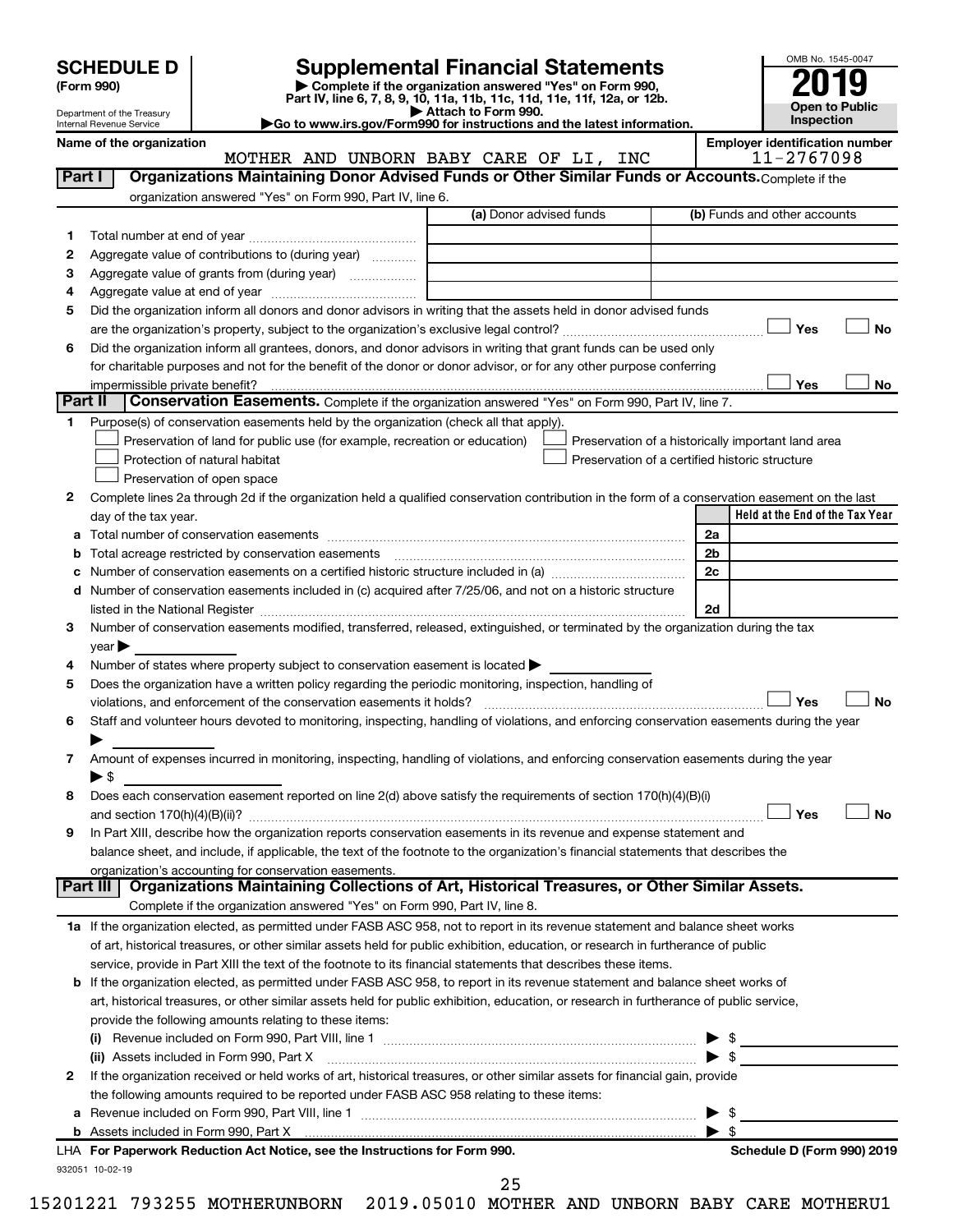| (Form 990) |  |
|------------|--|
|------------|--|

# **SCHEDULE D Supplemental Financial Statements**<br> **Form 990 2019**<br> **Part IV** line 6.7.8.9.10, 11a, 11b, 11d, 11d, 11d, 11d, 11d, 12a, 0r, 12b

**(Form 990) | Complete if the organization answered "Yes" on Form 990, Part IV, line 6, 7, 8, 9, 10, 11a, 11b, 11c, 11d, 11e, 11f, 12a, or 12b.**

**| Attach to Form 990. |Go to www.irs.gov/Form990 for instructions and the latest information.**



Department of the Treasury Internal Revenue Service

Name of the organization<br>**MOTHER AND UNBORN BABY CARE OF LI, INC Employer identification number** 

|        | MOTHER AND UNBORN BABY CARE OF LI, INC                                                                                                         |                         |  |  | 11-2767098                                         |  |  |  |  |  |
|--------|------------------------------------------------------------------------------------------------------------------------------------------------|-------------------------|--|--|----------------------------------------------------|--|--|--|--|--|
| Part I | Organizations Maintaining Donor Advised Funds or Other Similar Funds or Accounts. Complete if the                                              |                         |  |  |                                                    |  |  |  |  |  |
|        | organization answered "Yes" on Form 990, Part IV, line 6.                                                                                      |                         |  |  |                                                    |  |  |  |  |  |
|        |                                                                                                                                                | (a) Donor advised funds |  |  | (b) Funds and other accounts                       |  |  |  |  |  |
| 1      |                                                                                                                                                |                         |  |  |                                                    |  |  |  |  |  |
| 2      | Aggregate value of contributions to (during year)                                                                                              |                         |  |  |                                                    |  |  |  |  |  |
| з      | Aggregate value of grants from (during year)                                                                                                   |                         |  |  |                                                    |  |  |  |  |  |
| 4      |                                                                                                                                                |                         |  |  |                                                    |  |  |  |  |  |
| 5      | Did the organization inform all donors and donor advisors in writing that the assets held in donor advised funds                               |                         |  |  |                                                    |  |  |  |  |  |
|        |                                                                                                                                                |                         |  |  | Yes<br>No                                          |  |  |  |  |  |
| 6      | Did the organization inform all grantees, donors, and donor advisors in writing that grant funds can be used only                              |                         |  |  |                                                    |  |  |  |  |  |
|        | for charitable purposes and not for the benefit of the donor or donor advisor, or for any other purpose conferring                             |                         |  |  |                                                    |  |  |  |  |  |
|        | Yes<br>No<br>impermissible private benefit?                                                                                                    |                         |  |  |                                                    |  |  |  |  |  |
|        | Part II<br>Conservation Easements. Complete if the organization answered "Yes" on Form 990, Part IV, line 7.                                   |                         |  |  |                                                    |  |  |  |  |  |
| 1.     | Purpose(s) of conservation easements held by the organization (check all that apply).                                                          |                         |  |  |                                                    |  |  |  |  |  |
|        | Preservation of land for public use (for example, recreation or education)                                                                     |                         |  |  | Preservation of a historically important land area |  |  |  |  |  |
|        | Protection of natural habitat                                                                                                                  |                         |  |  | Preservation of a certified historic structure     |  |  |  |  |  |
|        | Preservation of open space                                                                                                                     |                         |  |  |                                                    |  |  |  |  |  |
| 2      | Complete lines 2a through 2d if the organization held a qualified conservation contribution in the form of a conservation easement on the last |                         |  |  |                                                    |  |  |  |  |  |
|        | day of the tax year.                                                                                                                           |                         |  |  | Held at the End of the Tax Year                    |  |  |  |  |  |
| а      |                                                                                                                                                |                         |  |  | 2a                                                 |  |  |  |  |  |
|        | Total acreage restricted by conservation easements                                                                                             |                         |  |  | 2 <sub>b</sub>                                     |  |  |  |  |  |
|        | Number of conservation easements on a certified historic structure included in (a) <i>manumumumumum</i>                                        |                         |  |  | 2c                                                 |  |  |  |  |  |
|        | d Number of conservation easements included in (c) acquired after 7/25/06, and not on a historic structure                                     |                         |  |  |                                                    |  |  |  |  |  |
|        |                                                                                                                                                |                         |  |  | 2d                                                 |  |  |  |  |  |
| З      | Number of conservation easements modified, transferred, released, extinguished, or terminated by the organization during the tax               |                         |  |  |                                                    |  |  |  |  |  |
|        | year                                                                                                                                           |                         |  |  |                                                    |  |  |  |  |  |
| 4      | Number of states where property subject to conservation easement is located >                                                                  |                         |  |  |                                                    |  |  |  |  |  |
| 5      | Does the organization have a written policy regarding the periodic monitoring, inspection, handling of                                         |                         |  |  |                                                    |  |  |  |  |  |
|        | violations, and enforcement of the conservation easements it holds?                                                                            |                         |  |  | Yes<br>No                                          |  |  |  |  |  |
| 6      | Staff and volunteer hours devoted to monitoring, inspecting, handling of violations, and enforcing conservation easements during the year      |                         |  |  |                                                    |  |  |  |  |  |
|        |                                                                                                                                                |                         |  |  |                                                    |  |  |  |  |  |
| 7      | Amount of expenses incurred in monitoring, inspecting, handling of violations, and enforcing conservation easements during the year            |                         |  |  |                                                    |  |  |  |  |  |
|        | $\blacktriangleright$ \$                                                                                                                       |                         |  |  |                                                    |  |  |  |  |  |
| 8      | Does each conservation easement reported on line 2(d) above satisfy the requirements of section 170(h)(4)(B)(i)                                |                         |  |  |                                                    |  |  |  |  |  |
|        |                                                                                                                                                |                         |  |  | Yes<br>No                                          |  |  |  |  |  |
| 9      | In Part XIII, describe how the organization reports conservation easements in its revenue and expense statement and                            |                         |  |  |                                                    |  |  |  |  |  |
|        | balance sheet, and include, if applicable, the text of the footnote to the organization's financial statements that describes the              |                         |  |  |                                                    |  |  |  |  |  |
|        | organization's accounting for conservation easements.                                                                                          |                         |  |  |                                                    |  |  |  |  |  |
|        | Organizations Maintaining Collections of Art, Historical Treasures, or Other Similar Assets.<br>Part III                                       |                         |  |  |                                                    |  |  |  |  |  |
|        | Complete if the organization answered "Yes" on Form 990, Part IV, line 8.                                                                      |                         |  |  |                                                    |  |  |  |  |  |
|        | 1a If the organization elected, as permitted under FASB ASC 958, not to report in its revenue statement and balance sheet works                |                         |  |  |                                                    |  |  |  |  |  |
|        | of art, historical treasures, or other similar assets held for public exhibition, education, or research in furtherance of public              |                         |  |  |                                                    |  |  |  |  |  |
|        | service, provide in Part XIII the text of the footnote to its financial statements that describes these items.                                 |                         |  |  |                                                    |  |  |  |  |  |
|        | <b>b</b> If the organization elected, as permitted under FASB ASC 958, to report in its revenue statement and balance sheet works of           |                         |  |  |                                                    |  |  |  |  |  |
|        | art, historical treasures, or other similar assets held for public exhibition, education, or research in furtherance of public service,        |                         |  |  |                                                    |  |  |  |  |  |
|        | provide the following amounts relating to these items:                                                                                         |                         |  |  |                                                    |  |  |  |  |  |
|        |                                                                                                                                                |                         |  |  |                                                    |  |  |  |  |  |
|        | (ii) Assets included in Form 990, Part X                                                                                                       |                         |  |  | $\blacktriangleright$ s                            |  |  |  |  |  |
| 2      | If the organization received or held works of art, historical treasures, or other similar assets for financial gain, provide                   |                         |  |  |                                                    |  |  |  |  |  |
|        | the following amounts required to be reported under FASB ASC 958 relating to these items:                                                      |                         |  |  |                                                    |  |  |  |  |  |
| а      |                                                                                                                                                |                         |  |  | \$                                                 |  |  |  |  |  |
|        |                                                                                                                                                |                         |  |  | $\blacktriangleright$ s                            |  |  |  |  |  |
|        | LHA For Paperwork Reduction Act Notice, see the Instructions for Form 990.                                                                     |                         |  |  | Schedule D (Form 990) 2019                         |  |  |  |  |  |
|        | 932051 10-02-19                                                                                                                                |                         |  |  |                                                    |  |  |  |  |  |
|        |                                                                                                                                                | 25                      |  |  |                                                    |  |  |  |  |  |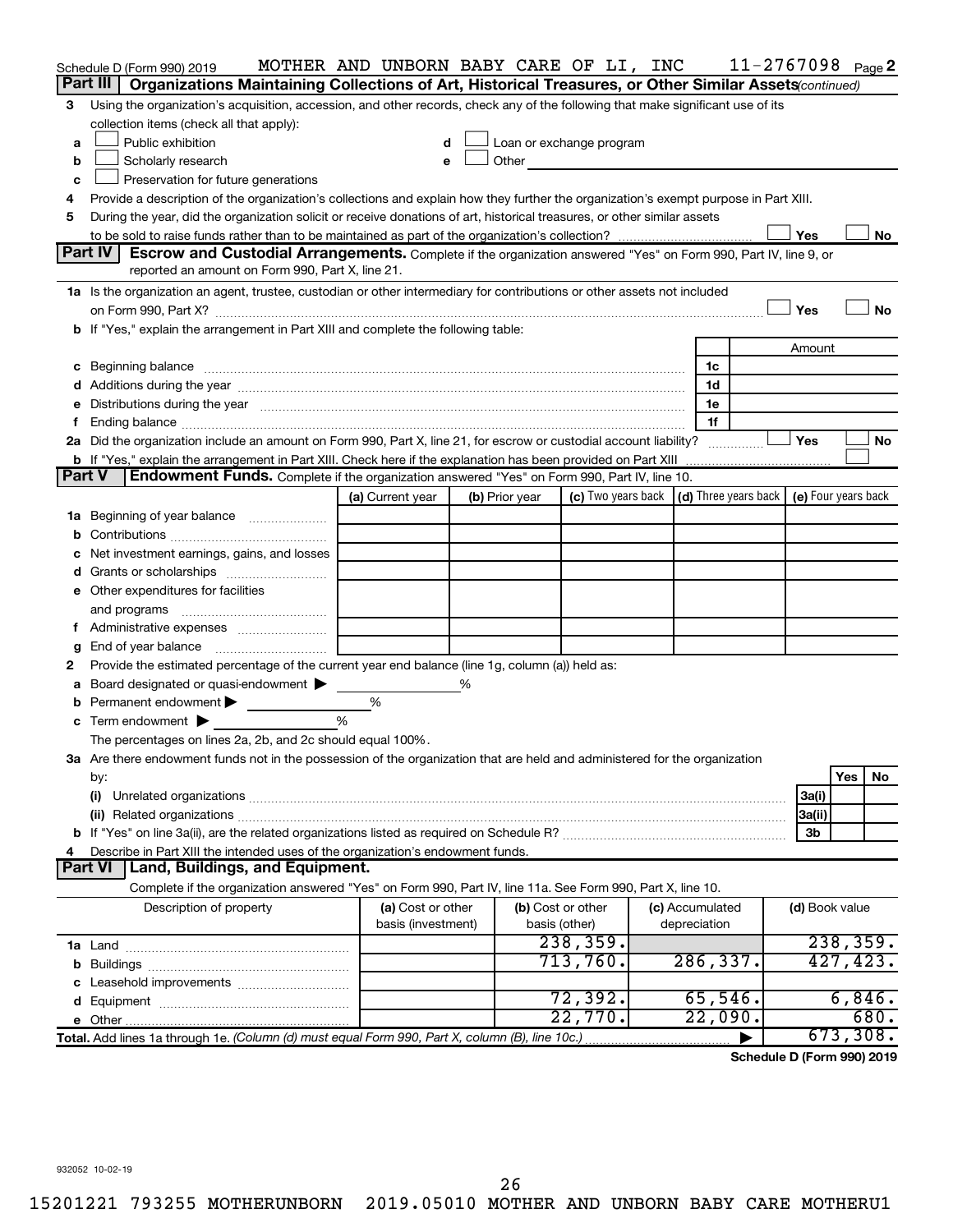|    | Schedule D (Form 990) 2019                                                                                                                                                                                                                   | MOTHER AND UNBORN BABY CARE OF LI, INC |  |                |                          |  |                                 | $11 - 2767098$ Page 2                                                       |                |        |           |
|----|----------------------------------------------------------------------------------------------------------------------------------------------------------------------------------------------------------------------------------------------|----------------------------------------|--|----------------|--------------------------|--|---------------------------------|-----------------------------------------------------------------------------|----------------|--------|-----------|
|    | Part III<br>Organizations Maintaining Collections of Art, Historical Treasures, or Other Similar Assets (continued)                                                                                                                          |                                        |  |                |                          |  |                                 |                                                                             |                |        |           |
| З  | Using the organization's acquisition, accession, and other records, check any of the following that make significant use of its                                                                                                              |                                        |  |                |                          |  |                                 |                                                                             |                |        |           |
|    | collection items (check all that apply):                                                                                                                                                                                                     |                                        |  |                |                          |  |                                 |                                                                             |                |        |           |
| a  | Public exhibition                                                                                                                                                                                                                            | d                                      |  |                | Loan or exchange program |  |                                 |                                                                             |                |        |           |
| b  | Scholarly research                                                                                                                                                                                                                           | е                                      |  | Other          |                          |  |                                 |                                                                             |                |        |           |
| c  | Preservation for future generations                                                                                                                                                                                                          |                                        |  |                |                          |  |                                 |                                                                             |                |        |           |
| 4  | Provide a description of the organization's collections and explain how they further the organization's exempt purpose in Part XIII.                                                                                                         |                                        |  |                |                          |  |                                 |                                                                             |                |        |           |
| 5  | During the year, did the organization solicit or receive donations of art, historical treasures, or other similar assets                                                                                                                     |                                        |  |                |                          |  |                                 |                                                                             |                |        |           |
|    | Yes<br>No                                                                                                                                                                                                                                    |                                        |  |                |                          |  |                                 |                                                                             |                |        |           |
|    | Part IV<br>Escrow and Custodial Arrangements. Complete if the organization answered "Yes" on Form 990, Part IV, line 9, or<br>reported an amount on Form 990, Part X, line 21.                                                               |                                        |  |                |                          |  |                                 |                                                                             |                |        |           |
|    | 1a Is the organization an agent, trustee, custodian or other intermediary for contributions or other assets not included                                                                                                                     |                                        |  |                |                          |  |                                 |                                                                             |                |        |           |
|    | on Form 990, Part X? [11] matter contracts and contracts and contracts are contracted as a form of the set of the set of the set of the set of the set of the set of the set of the set of the set of the set of the set of th               |                                        |  |                |                          |  |                                 |                                                                             | Yes            |        | <b>No</b> |
|    | b If "Yes," explain the arrangement in Part XIII and complete the following table:                                                                                                                                                           |                                        |  |                |                          |  |                                 |                                                                             |                |        |           |
|    |                                                                                                                                                                                                                                              |                                        |  |                |                          |  |                                 |                                                                             | Amount         |        |           |
|    |                                                                                                                                                                                                                                              |                                        |  |                |                          |  | 1c                              |                                                                             |                |        |           |
|    |                                                                                                                                                                                                                                              |                                        |  |                |                          |  | 1d                              |                                                                             |                |        |           |
|    | Distributions during the year manufactured and an account of the year manufactured and the year manufactured and the year manufactured and the year manufactured and the year manufactured and the year manufactured and the y               |                                        |  |                |                          |  | 1e                              |                                                                             |                |        |           |
| f. |                                                                                                                                                                                                                                              |                                        |  |                |                          |  | 1f                              |                                                                             |                |        |           |
|    | 2a Did the organization include an amount on Form 990, Part X, line 21, for escrow or custodial account liability?                                                                                                                           |                                        |  |                |                          |  |                                 |                                                                             | <b>Yes</b>     |        | No        |
|    |                                                                                                                                                                                                                                              |                                        |  |                |                          |  |                                 |                                                                             |                |        |           |
|    | <b>b</b> If "Yes," explain the arrangement in Part XIII. Check here if the explanation has been provided on Part XIII<br><b>Part V</b><br><b>Endowment Funds.</b> Complete if the organization answered "Yes" on Form 990, Part IV, line 10. |                                        |  |                |                          |  |                                 |                                                                             |                |        |           |
|    |                                                                                                                                                                                                                                              | (a) Current year                       |  | (b) Prior year |                          |  |                                 | (c) Two years back $\vert$ (d) Three years back $\vert$ (e) Four years back |                |        |           |
| 1a | Beginning of year balance                                                                                                                                                                                                                    |                                        |  |                |                          |  |                                 |                                                                             |                |        |           |
|    |                                                                                                                                                                                                                                              |                                        |  |                |                          |  |                                 |                                                                             |                |        |           |
|    | Net investment earnings, gains, and losses                                                                                                                                                                                                   |                                        |  |                |                          |  |                                 |                                                                             |                |        |           |
| d  |                                                                                                                                                                                                                                              |                                        |  |                |                          |  |                                 |                                                                             |                |        |           |
|    | e Other expenditures for facilities                                                                                                                                                                                                          |                                        |  |                |                          |  |                                 |                                                                             |                |        |           |
|    | and programs                                                                                                                                                                                                                                 |                                        |  |                |                          |  |                                 |                                                                             |                |        |           |
| τ. |                                                                                                                                                                                                                                              |                                        |  |                |                          |  |                                 |                                                                             |                |        |           |
| g  | End of year balance                                                                                                                                                                                                                          |                                        |  |                |                          |  |                                 |                                                                             |                |        |           |
| 2  | Provide the estimated percentage of the current year end balance (line 1g, column (a)) held as:                                                                                                                                              |                                        |  |                |                          |  |                                 |                                                                             |                |        |           |
| а  | Board designated or quasi-endowment                                                                                                                                                                                                          |                                        |  |                |                          |  |                                 |                                                                             |                |        |           |
| b  | Permanent endowment                                                                                                                                                                                                                          | %                                      |  |                |                          |  |                                 |                                                                             |                |        |           |
|    | Term endowment $\blacktriangleright$                                                                                                                                                                                                         | %                                      |  |                |                          |  |                                 |                                                                             |                |        |           |
|    | The percentages on lines 2a, 2b, and 2c should equal 100%.                                                                                                                                                                                   |                                        |  |                |                          |  |                                 |                                                                             |                |        |           |
|    | 3a Are there endowment funds not in the possession of the organization that are held and administered for the organization                                                                                                                   |                                        |  |                |                          |  |                                 |                                                                             |                |        |           |
|    | by:                                                                                                                                                                                                                                          |                                        |  |                |                          |  |                                 |                                                                             |                | Yes    | No        |
|    | (i)                                                                                                                                                                                                                                          |                                        |  |                |                          |  |                                 |                                                                             | 3a(i)          |        |           |
|    | (ii)                                                                                                                                                                                                                                         |                                        |  |                |                          |  |                                 |                                                                             | 3a(ii)         |        |           |
|    |                                                                                                                                                                                                                                              |                                        |  |                |                          |  |                                 |                                                                             | 3b             |        |           |
|    | Describe in Part XIII the intended uses of the organization's endowment funds.                                                                                                                                                               |                                        |  |                |                          |  |                                 |                                                                             |                |        |           |
|    | <b>Part VI</b><br>Land, Buildings, and Equipment.                                                                                                                                                                                            |                                        |  |                |                          |  |                                 |                                                                             |                |        |           |
|    | Complete if the organization answered "Yes" on Form 990, Part IV, line 11a. See Form 990, Part X, line 10.                                                                                                                                   |                                        |  |                |                          |  |                                 |                                                                             |                |        |           |
|    |                                                                                                                                                                                                                                              | (a) Cost or other                      |  |                | (b) Cost or other        |  |                                 |                                                                             |                |        |           |
|    | Description of property                                                                                                                                                                                                                      | basis (investment)                     |  |                | basis (other)            |  | (c) Accumulated<br>depreciation |                                                                             | (d) Book value |        |           |
|    |                                                                                                                                                                                                                                              |                                        |  |                | 238, 359.                |  |                                 |                                                                             | 238, 359.      |        |           |
|    |                                                                                                                                                                                                                                              |                                        |  |                | 713,760.                 |  | 286, 337.                       |                                                                             | 427, 423.      |        |           |
|    |                                                                                                                                                                                                                                              |                                        |  |                |                          |  |                                 |                                                                             |                |        |           |
|    |                                                                                                                                                                                                                                              |                                        |  |                | 72,392.                  |  |                                 | 65,546.                                                                     |                | 6,846. |           |
|    |                                                                                                                                                                                                                                              |                                        |  |                | 22,770.                  |  |                                 |                                                                             |                |        | 680.      |
|    |                                                                                                                                                                                                                                              |                                        |  |                |                          |  |                                 | 22,090.                                                                     |                |        |           |
|    | Total. Add lines 1a through 1e. (Column (d) must equal Form 990, Part X, column (B), line 10c.)                                                                                                                                              |                                        |  |                |                          |  |                                 |                                                                             | 673,308.       |        |           |

**Schedule D (Form 990) 2019**

932052 10-02-19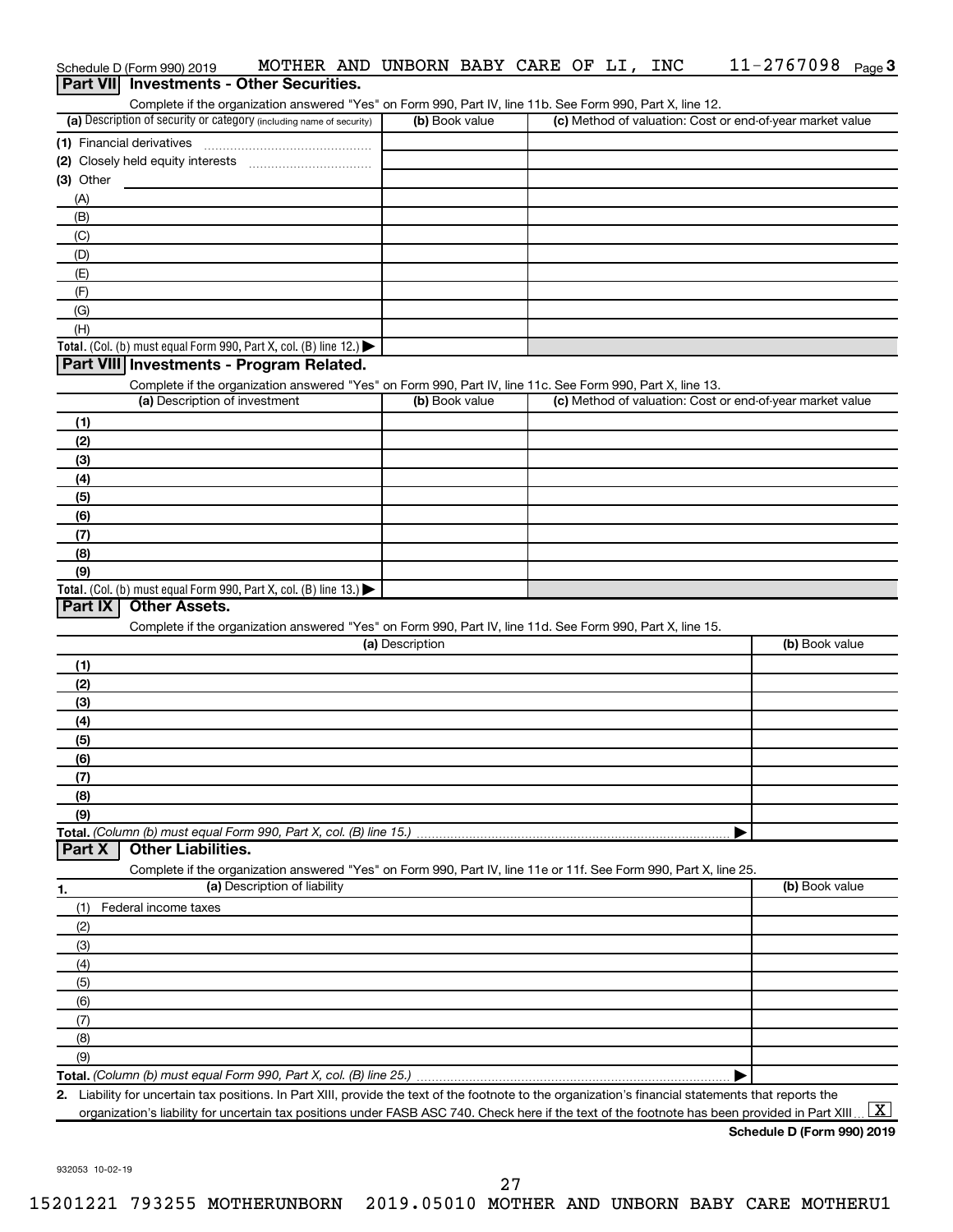|                  | Schedule D (Form 990) 2019                                                                                        | MOTHER AND UNBORN BABY CARE OF LI, INC |                 |                |  |  | $11 - 2767098$ Page 3                                                                                                                                                                                                                                                                                                         |
|------------------|-------------------------------------------------------------------------------------------------------------------|----------------------------------------|-----------------|----------------|--|--|-------------------------------------------------------------------------------------------------------------------------------------------------------------------------------------------------------------------------------------------------------------------------------------------------------------------------------|
| <b>Part VIII</b> | <b>Investments - Other Securities.</b>                                                                            |                                        |                 |                |  |  |                                                                                                                                                                                                                                                                                                                               |
|                  | Complete if the organization answered "Yes" on Form 990, Part IV, line 11b. See Form 990, Part X, line 12.        |                                        |                 |                |  |  |                                                                                                                                                                                                                                                                                                                               |
|                  | (a) Description of security or category (including name of security)                                              |                                        |                 | (b) Book value |  |  | (c) Method of valuation: Cost or end-of-year market value                                                                                                                                                                                                                                                                     |
|                  | (1) Financial derivatives                                                                                         |                                        |                 |                |  |  |                                                                                                                                                                                                                                                                                                                               |
|                  |                                                                                                                   |                                        |                 |                |  |  |                                                                                                                                                                                                                                                                                                                               |
| $(3)$ Other      |                                                                                                                   |                                        |                 |                |  |  |                                                                                                                                                                                                                                                                                                                               |
| (A)              |                                                                                                                   |                                        |                 |                |  |  |                                                                                                                                                                                                                                                                                                                               |
| (B)              |                                                                                                                   |                                        |                 |                |  |  |                                                                                                                                                                                                                                                                                                                               |
| (C)              |                                                                                                                   |                                        |                 |                |  |  |                                                                                                                                                                                                                                                                                                                               |
| (D)              |                                                                                                                   |                                        |                 |                |  |  |                                                                                                                                                                                                                                                                                                                               |
| (E)<br>(F)       |                                                                                                                   |                                        |                 |                |  |  |                                                                                                                                                                                                                                                                                                                               |
| (G)              |                                                                                                                   |                                        |                 |                |  |  |                                                                                                                                                                                                                                                                                                                               |
| (H)              |                                                                                                                   |                                        |                 |                |  |  |                                                                                                                                                                                                                                                                                                                               |
|                  | Total. (Col. (b) must equal Form 990, Part X, col. (B) line 12.)                                                  |                                        |                 |                |  |  |                                                                                                                                                                                                                                                                                                                               |
|                  | Part VIII Investments - Program Related.                                                                          |                                        |                 |                |  |  |                                                                                                                                                                                                                                                                                                                               |
|                  | Complete if the organization answered "Yes" on Form 990, Part IV, line 11c. See Form 990, Part X, line 13.        |                                        |                 |                |  |  |                                                                                                                                                                                                                                                                                                                               |
|                  | (a) Description of investment                                                                                     |                                        |                 | (b) Book value |  |  | (c) Method of valuation: Cost or end-of-year market value                                                                                                                                                                                                                                                                     |
| (1)              |                                                                                                                   |                                        |                 |                |  |  |                                                                                                                                                                                                                                                                                                                               |
| (2)              |                                                                                                                   |                                        |                 |                |  |  |                                                                                                                                                                                                                                                                                                                               |
| (3)              |                                                                                                                   |                                        |                 |                |  |  |                                                                                                                                                                                                                                                                                                                               |
| (4)              |                                                                                                                   |                                        |                 |                |  |  |                                                                                                                                                                                                                                                                                                                               |
| (5)              |                                                                                                                   |                                        |                 |                |  |  |                                                                                                                                                                                                                                                                                                                               |
| (6)              |                                                                                                                   |                                        |                 |                |  |  |                                                                                                                                                                                                                                                                                                                               |
| (7)              |                                                                                                                   |                                        |                 |                |  |  |                                                                                                                                                                                                                                                                                                                               |
| (8)<br>(9)       |                                                                                                                   |                                        |                 |                |  |  |                                                                                                                                                                                                                                                                                                                               |
|                  | Total. (Col. (b) must equal Form 990, Part X, col. (B) line 13.)                                                  |                                        |                 |                |  |  |                                                                                                                                                                                                                                                                                                                               |
| Part IX          | <b>Other Assets.</b>                                                                                              |                                        |                 |                |  |  |                                                                                                                                                                                                                                                                                                                               |
|                  | Complete if the organization answered "Yes" on Form 990, Part IV, line 11d. See Form 990, Part X, line 15.        |                                        |                 |                |  |  |                                                                                                                                                                                                                                                                                                                               |
|                  |                                                                                                                   |                                        | (a) Description |                |  |  | (b) Book value                                                                                                                                                                                                                                                                                                                |
| (1)              |                                                                                                                   |                                        |                 |                |  |  |                                                                                                                                                                                                                                                                                                                               |
| (2)              |                                                                                                                   |                                        |                 |                |  |  |                                                                                                                                                                                                                                                                                                                               |
| (3)              |                                                                                                                   |                                        |                 |                |  |  |                                                                                                                                                                                                                                                                                                                               |
| (4)              |                                                                                                                   |                                        |                 |                |  |  |                                                                                                                                                                                                                                                                                                                               |
| (5)              |                                                                                                                   |                                        |                 |                |  |  |                                                                                                                                                                                                                                                                                                                               |
| (6)              |                                                                                                                   |                                        |                 |                |  |  |                                                                                                                                                                                                                                                                                                                               |
| (7)              |                                                                                                                   |                                        |                 |                |  |  |                                                                                                                                                                                                                                                                                                                               |
| (8)              |                                                                                                                   |                                        |                 |                |  |  |                                                                                                                                                                                                                                                                                                                               |
| (9)              |                                                                                                                   |                                        |                 |                |  |  |                                                                                                                                                                                                                                                                                                                               |
| Part X           | Total. (Column (b) must equal Form 990, Part X, col. (B) line 15.)<br><b>Other Liabilities.</b>                   |                                        |                 |                |  |  | ▶                                                                                                                                                                                                                                                                                                                             |
|                  | Complete if the organization answered "Yes" on Form 990, Part IV, line 11e or 11f. See Form 990, Part X, line 25. |                                        |                 |                |  |  |                                                                                                                                                                                                                                                                                                                               |
| 1.               |                                                                                                                   | (a) Description of liability           |                 |                |  |  | (b) Book value                                                                                                                                                                                                                                                                                                                |
| (1)              | Federal income taxes                                                                                              |                                        |                 |                |  |  |                                                                                                                                                                                                                                                                                                                               |
| (2)              |                                                                                                                   |                                        |                 |                |  |  |                                                                                                                                                                                                                                                                                                                               |
| (3)              |                                                                                                                   |                                        |                 |                |  |  |                                                                                                                                                                                                                                                                                                                               |
| (4)              |                                                                                                                   |                                        |                 |                |  |  |                                                                                                                                                                                                                                                                                                                               |
| (5)              |                                                                                                                   |                                        |                 |                |  |  |                                                                                                                                                                                                                                                                                                                               |
| (6)              |                                                                                                                   |                                        |                 |                |  |  |                                                                                                                                                                                                                                                                                                                               |
| (7)              |                                                                                                                   |                                        |                 |                |  |  |                                                                                                                                                                                                                                                                                                                               |
| (8)              |                                                                                                                   |                                        |                 |                |  |  |                                                                                                                                                                                                                                                                                                                               |
| (9)              |                                                                                                                   |                                        |                 |                |  |  |                                                                                                                                                                                                                                                                                                                               |
|                  |                                                                                                                   |                                        |                 |                |  |  |                                                                                                                                                                                                                                                                                                                               |
|                  |                                                                                                                   |                                        |                 |                |  |  | 2. Liability for uncertain tax positions. In Part XIII, provide the text of the footnote to the organization's financial statements that reports the<br>$\lfloor x \rfloor$<br>organization's liability for uncertain tax positions under FASB ASC 740. Check here if the text of the footnote has been provided in Part XIII |
|                  |                                                                                                                   |                                        |                 |                |  |  |                                                                                                                                                                                                                                                                                                                               |

932053 10-02-19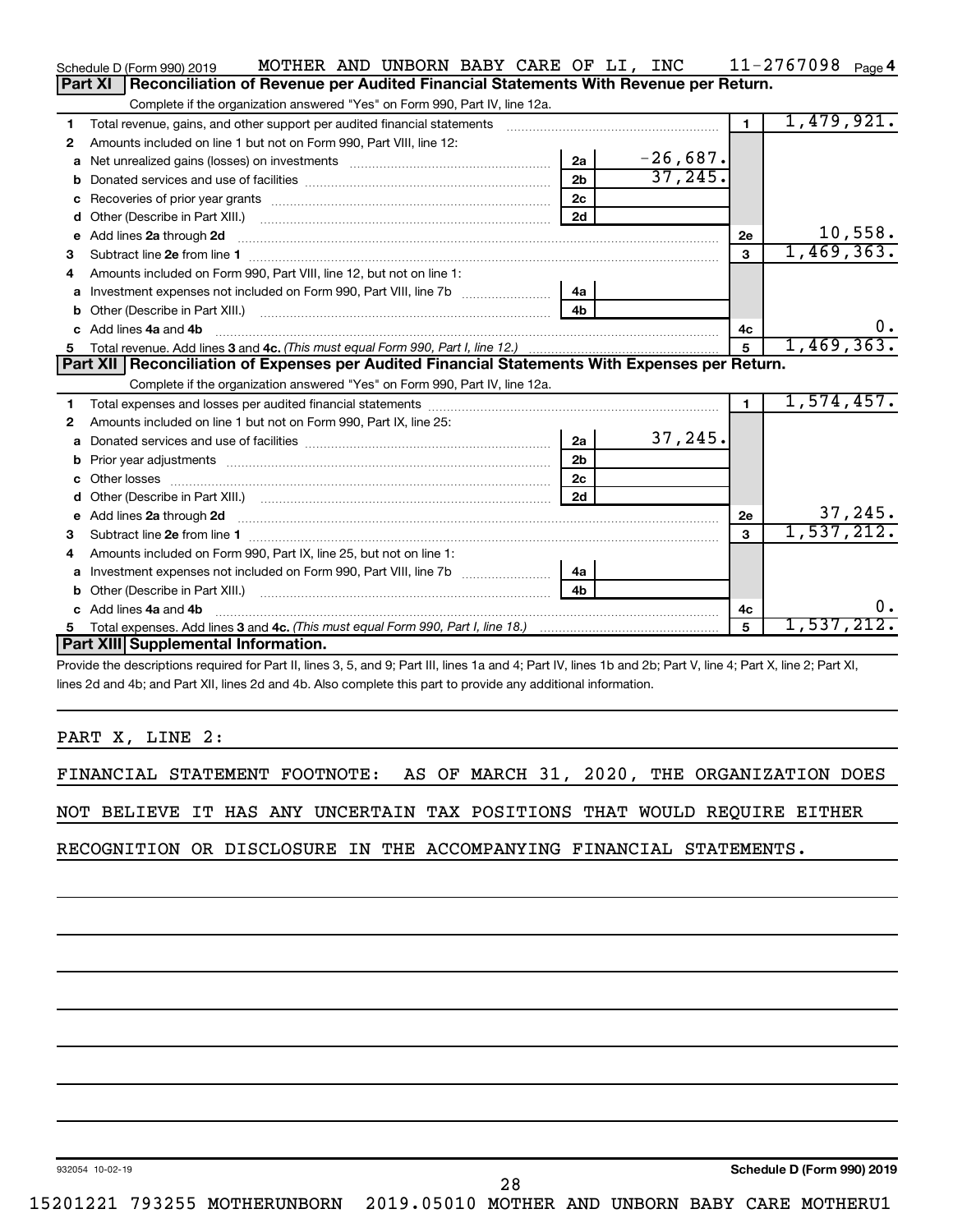| MOTHER AND UNBORN BABY CARE OF LI, INC<br>Schedule D (Form 990) 2019                                                                                                                                                                     |                |            |                | $11 - 2767098$ Page 4 |
|------------------------------------------------------------------------------------------------------------------------------------------------------------------------------------------------------------------------------------------|----------------|------------|----------------|-----------------------|
| Reconciliation of Revenue per Audited Financial Statements With Revenue per Return.<br>Part XI                                                                                                                                           |                |            |                |                       |
| Complete if the organization answered "Yes" on Form 990, Part IV, line 12a.                                                                                                                                                              |                |            |                |                       |
| Total revenue, gains, and other support per audited financial statements<br>1                                                                                                                                                            |                |            | $\blacksquare$ | 1,479,921.            |
| Amounts included on line 1 but not on Form 990, Part VIII, line 12:<br>2                                                                                                                                                                 |                |            |                |                       |
| a                                                                                                                                                                                                                                        | 2a             | $-26,687.$ |                |                       |
| b                                                                                                                                                                                                                                        | 2 <sub>b</sub> | 37, 245.   |                |                       |
|                                                                                                                                                                                                                                          | 2c             |            |                |                       |
| d                                                                                                                                                                                                                                        | 2d             |            |                |                       |
| Add lines 2a through 2d<br>$\mathbf{e}$                                                                                                                                                                                                  |                |            | 2е             | 10,558.               |
| з                                                                                                                                                                                                                                        |                |            | 3              | 1,469,363.            |
| Amounts included on Form 990, Part VIII, line 12, but not on line 1:<br>4                                                                                                                                                                |                |            |                |                       |
| a                                                                                                                                                                                                                                        | 4a             |            |                |                       |
|                                                                                                                                                                                                                                          | 4 <sub>b</sub> |            |                |                       |
| c Add lines 4a and 4b                                                                                                                                                                                                                    | 4c             | $0$ .      |                |                       |
| 5                                                                                                                                                                                                                                        | 5              | 1,469,363. |                |                       |
|                                                                                                                                                                                                                                          |                |            |                |                       |
| Part XII   Reconciliation of Expenses per Audited Financial Statements With Expenses per Return.                                                                                                                                         |                |            |                |                       |
| Complete if the organization answered "Yes" on Form 990, Part IV, line 12a.                                                                                                                                                              |                |            |                |                       |
| 1                                                                                                                                                                                                                                        |                |            | $\blacksquare$ | 1,574,457.            |
| Amounts included on line 1 but not on Form 990, Part IX, line 25:<br>2                                                                                                                                                                   |                |            |                |                       |
| a                                                                                                                                                                                                                                        | 2a             | 37,245.    |                |                       |
| b                                                                                                                                                                                                                                        | 2 <sub>b</sub> |            |                |                       |
| Other losses<br>c                                                                                                                                                                                                                        | 2 <sub>c</sub> |            |                |                       |
| d                                                                                                                                                                                                                                        | 2d             |            |                |                       |
| Add lines 2a through 2d <b>contained a contained a contained a contained a</b> contained a contact the contact of the contact of the contact of the contact of the contact of the contact of the contact of the contact of the cont<br>e |                |            | 2e             | 37,245.               |
| з                                                                                                                                                                                                                                        |                |            | 3              | 1,537,212.            |
| Amounts included on Form 990, Part IX, line 25, but not on line 1:                                                                                                                                                                       |                |            |                |                       |
| Investment expenses not included on Form 990, Part VIII, line 7b [100] [100] [100] [100] [100] [100] [100] [10<br>a                                                                                                                      | 4a             |            |                |                       |
| Other (Describe in Part XIII.)<br>b                                                                                                                                                                                                      | 4 <sub>b</sub> |            |                |                       |
| Add lines 4a and 4b                                                                                                                                                                                                                      |                |            | 4c             | 0.                    |
| 5<br>Part XIII Supplemental Information.                                                                                                                                                                                                 |                |            | 5              | 1,537,212.            |

Provide the descriptions required for Part II, lines 3, 5, and 9; Part III, lines 1a and 4; Part IV, lines 1b and 2b; Part V, line 4; Part X, line 2; Part XI, lines 2d and 4b; and Part XII, lines 2d and 4b. Also complete this part to provide any additional information.

PART X, LINE 2:

FINANCIAL STATEMENT FOOTNOTE: AS OF MARCH 31, 2020, THE ORGANIZATION DOES

NOT BELIEVE IT HAS ANY UNCERTAIN TAX POSITIONS THAT WOULD REQUIRE EITHER

RECOGNITION OR DISCLOSURE IN THE ACCOMPANYING FINANCIAL STATEMENTS.

932054 10-02-19

**Schedule D (Form 990) 2019**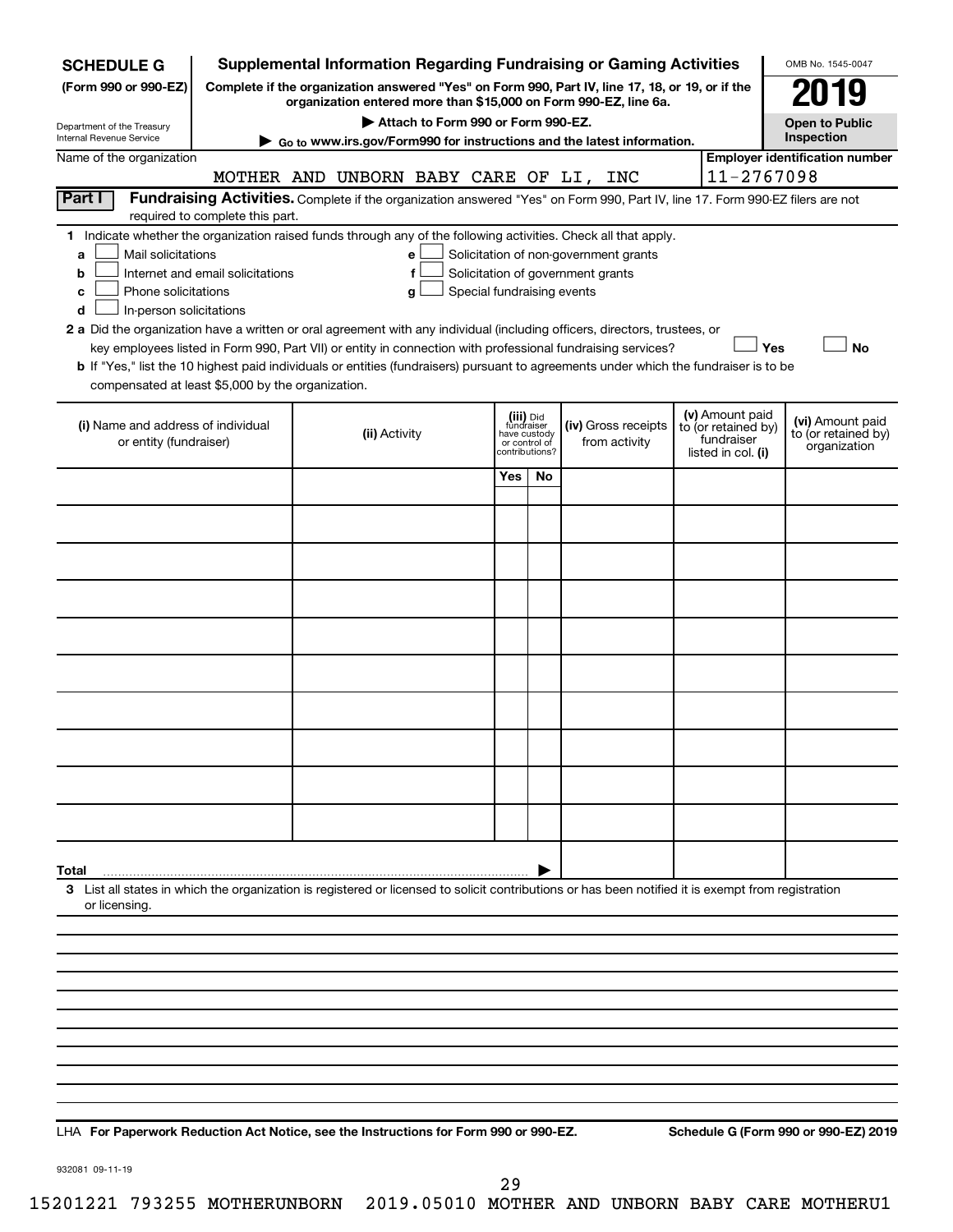| <b>SCHEDULE G</b>                                                             |                                                                                                                                                                                                                                                                                                                                                                                                                                                                                                                                                                                                                         | <b>Supplemental Information Regarding Fundraising or Gaming Activities</b>                                                                                          |                                                                            |    |                                      |                                                                            |            | OMB No. 1545-0047                                       |  |  |
|-------------------------------------------------------------------------------|-------------------------------------------------------------------------------------------------------------------------------------------------------------------------------------------------------------------------------------------------------------------------------------------------------------------------------------------------------------------------------------------------------------------------------------------------------------------------------------------------------------------------------------------------------------------------------------------------------------------------|---------------------------------------------------------------------------------------------------------------------------------------------------------------------|----------------------------------------------------------------------------|----|--------------------------------------|----------------------------------------------------------------------------|------------|---------------------------------------------------------|--|--|
| (Form 990 or 990-EZ)                                                          |                                                                                                                                                                                                                                                                                                                                                                                                                                                                                                                                                                                                                         | Complete if the organization answered "Yes" on Form 990, Part IV, line 17, 18, or 19, or if the<br>organization entered more than \$15,000 on Form 990-EZ, line 6a. |                                                                            |    |                                      |                                                                            |            | 119                                                     |  |  |
| Department of the Treasury                                                    |                                                                                                                                                                                                                                                                                                                                                                                                                                                                                                                                                                                                                         | Attach to Form 990 or Form 990-EZ.                                                                                                                                  |                                                                            |    |                                      |                                                                            |            | <b>Open to Public</b>                                   |  |  |
| Internal Revenue Service                                                      |                                                                                                                                                                                                                                                                                                                                                                                                                                                                                                                                                                                                                         | ► Go to www.irs.gov/Form990 for instructions and the latest information.                                                                                            |                                                                            |    |                                      |                                                                            |            | Inspection                                              |  |  |
| Name of the organization                                                      |                                                                                                                                                                                                                                                                                                                                                                                                                                                                                                                                                                                                                         | MOTHER AND UNBORN BABY CARE OF LI, INC                                                                                                                              |                                                                            |    |                                      |                                                                            | 11-2767098 | <b>Employer identification number</b>                   |  |  |
| Part I                                                                        |                                                                                                                                                                                                                                                                                                                                                                                                                                                                                                                                                                                                                         | Fundraising Activities. Complete if the organization answered "Yes" on Form 990, Part IV, line 17. Form 990-EZ filers are not                                       |                                                                            |    |                                      |                                                                            |            |                                                         |  |  |
|                                                                               | required to complete this part.                                                                                                                                                                                                                                                                                                                                                                                                                                                                                                                                                                                         |                                                                                                                                                                     |                                                                            |    |                                      |                                                                            |            |                                                         |  |  |
| a<br>b<br>с<br>d                                                              | 1 Indicate whether the organization raised funds through any of the following activities. Check all that apply.<br>Mail solicitations<br>Solicitation of non-government grants<br>е<br>Internet and email solicitations<br>Solicitation of government grants<br>f<br>Phone solicitations<br>Special fundraising events<br>g<br>In-person solicitations<br>2 a Did the organization have a written or oral agreement with any individual (including officers, directors, trustees, or<br><b>No</b><br>key employees listed in Form 990, Part VII) or entity in connection with professional fundraising services?<br>Yes |                                                                                                                                                                     |                                                                            |    |                                      |                                                                            |            |                                                         |  |  |
|                                                                               | b If "Yes," list the 10 highest paid individuals or entities (fundraisers) pursuant to agreements under which the fundraiser is to be<br>compensated at least \$5,000 by the organization.                                                                                                                                                                                                                                                                                                                                                                                                                              |                                                                                                                                                                     |                                                                            |    |                                      |                                                                            |            |                                                         |  |  |
| (i) Name and address of individual<br>(ii) Activity<br>or entity (fundraiser) |                                                                                                                                                                                                                                                                                                                                                                                                                                                                                                                                                                                                                         |                                                                                                                                                                     | (iii) Did<br>fundraiser<br>have custody<br>or control of<br>contributions? |    | (iv) Gross receipts<br>from activity | (v) Amount paid<br>to (or retained by)<br>fundraiser<br>listed in col. (i) |            | (vi) Amount paid<br>to (or retained by)<br>organization |  |  |
|                                                                               |                                                                                                                                                                                                                                                                                                                                                                                                                                                                                                                                                                                                                         |                                                                                                                                                                     | Yes                                                                        | No |                                      |                                                                            |            |                                                         |  |  |
|                                                                               |                                                                                                                                                                                                                                                                                                                                                                                                                                                                                                                                                                                                                         |                                                                                                                                                                     |                                                                            |    |                                      |                                                                            |            |                                                         |  |  |
|                                                                               |                                                                                                                                                                                                                                                                                                                                                                                                                                                                                                                                                                                                                         |                                                                                                                                                                     |                                                                            |    |                                      |                                                                            |            |                                                         |  |  |
|                                                                               |                                                                                                                                                                                                                                                                                                                                                                                                                                                                                                                                                                                                                         |                                                                                                                                                                     |                                                                            |    |                                      |                                                                            |            |                                                         |  |  |
|                                                                               |                                                                                                                                                                                                                                                                                                                                                                                                                                                                                                                                                                                                                         |                                                                                                                                                                     |                                                                            |    |                                      |                                                                            |            |                                                         |  |  |
|                                                                               |                                                                                                                                                                                                                                                                                                                                                                                                                                                                                                                                                                                                                         |                                                                                                                                                                     |                                                                            |    |                                      |                                                                            |            |                                                         |  |  |
|                                                                               |                                                                                                                                                                                                                                                                                                                                                                                                                                                                                                                                                                                                                         |                                                                                                                                                                     |                                                                            |    |                                      |                                                                            |            |                                                         |  |  |
|                                                                               |                                                                                                                                                                                                                                                                                                                                                                                                                                                                                                                                                                                                                         |                                                                                                                                                                     |                                                                            |    |                                      |                                                                            |            |                                                         |  |  |
|                                                                               |                                                                                                                                                                                                                                                                                                                                                                                                                                                                                                                                                                                                                         |                                                                                                                                                                     |                                                                            |    |                                      |                                                                            |            |                                                         |  |  |
|                                                                               |                                                                                                                                                                                                                                                                                                                                                                                                                                                                                                                                                                                                                         |                                                                                                                                                                     |                                                                            |    |                                      |                                                                            |            |                                                         |  |  |
|                                                                               |                                                                                                                                                                                                                                                                                                                                                                                                                                                                                                                                                                                                                         |                                                                                                                                                                     |                                                                            |    |                                      |                                                                            |            |                                                         |  |  |
|                                                                               |                                                                                                                                                                                                                                                                                                                                                                                                                                                                                                                                                                                                                         |                                                                                                                                                                     |                                                                            |    |                                      |                                                                            |            |                                                         |  |  |
|                                                                               |                                                                                                                                                                                                                                                                                                                                                                                                                                                                                                                                                                                                                         |                                                                                                                                                                     |                                                                            |    |                                      |                                                                            |            |                                                         |  |  |
| Total                                                                         |                                                                                                                                                                                                                                                                                                                                                                                                                                                                                                                                                                                                                         |                                                                                                                                                                     |                                                                            |    |                                      |                                                                            |            |                                                         |  |  |
| or licensing.                                                                 |                                                                                                                                                                                                                                                                                                                                                                                                                                                                                                                                                                                                                         | 3 List all states in which the organization is registered or licensed to solicit contributions or has been notified it is exempt from registration                  |                                                                            |    |                                      |                                                                            |            |                                                         |  |  |
|                                                                               |                                                                                                                                                                                                                                                                                                                                                                                                                                                                                                                                                                                                                         |                                                                                                                                                                     |                                                                            |    |                                      |                                                                            |            |                                                         |  |  |
|                                                                               |                                                                                                                                                                                                                                                                                                                                                                                                                                                                                                                                                                                                                         |                                                                                                                                                                     |                                                                            |    |                                      |                                                                            |            |                                                         |  |  |
|                                                                               |                                                                                                                                                                                                                                                                                                                                                                                                                                                                                                                                                                                                                         |                                                                                                                                                                     |                                                                            |    |                                      |                                                                            |            |                                                         |  |  |
|                                                                               |                                                                                                                                                                                                                                                                                                                                                                                                                                                                                                                                                                                                                         |                                                                                                                                                                     |                                                                            |    |                                      |                                                                            |            |                                                         |  |  |
|                                                                               |                                                                                                                                                                                                                                                                                                                                                                                                                                                                                                                                                                                                                         |                                                                                                                                                                     |                                                                            |    |                                      |                                                                            |            |                                                         |  |  |
|                                                                               |                                                                                                                                                                                                                                                                                                                                                                                                                                                                                                                                                                                                                         |                                                                                                                                                                     |                                                                            |    |                                      |                                                                            |            |                                                         |  |  |
|                                                                               |                                                                                                                                                                                                                                                                                                                                                                                                                                                                                                                                                                                                                         |                                                                                                                                                                     |                                                                            |    |                                      |                                                                            |            |                                                         |  |  |
|                                                                               |                                                                                                                                                                                                                                                                                                                                                                                                                                                                                                                                                                                                                         |                                                                                                                                                                     |                                                                            |    |                                      |                                                                            |            |                                                         |  |  |
|                                                                               |                                                                                                                                                                                                                                                                                                                                                                                                                                                                                                                                                                                                                         |                                                                                                                                                                     |                                                                            |    |                                      |                                                                            |            |                                                         |  |  |

**For Paperwork Reduction Act Notice, see the Instructions for Form 990 or 990-EZ. Schedule G (Form 990 or 990-EZ) 2019** LHA

932081 09-11-19

29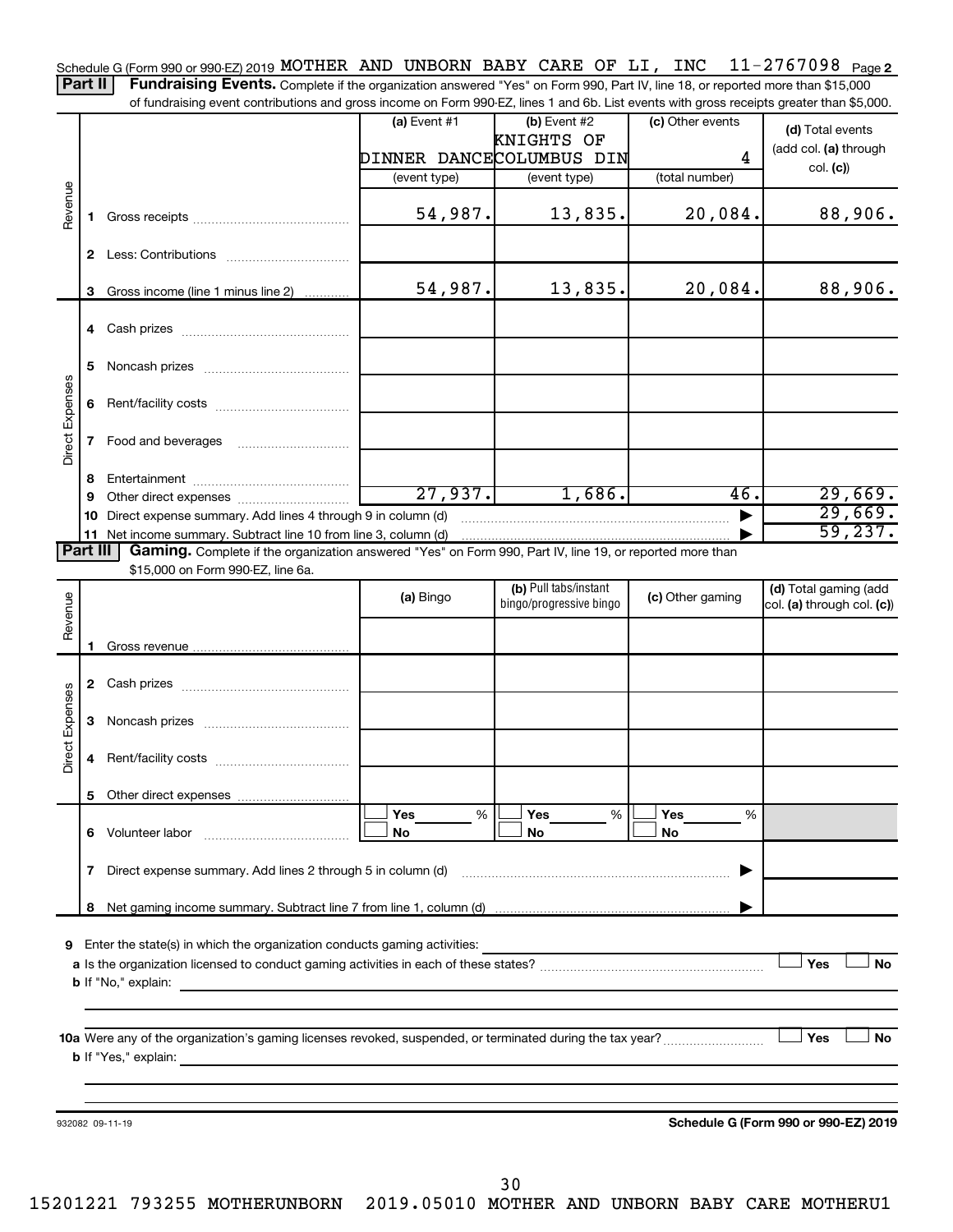11-2767098 Page 2 Schedule G (Form 990 or 990-EZ) 2019 MOTHER AND UNBORN BABY CARE OF LI, INC  $11-2767098$  Page Part II | Fundraising Events. Complete if the organization answered "Yes" on Form 990, Part IV, line 18, or reported more than \$15,000

of fundraising event contributions and gross income on Form 990-EZ, lines 1 and 6b. List events with gross receipts greater than \$5,000.

|                 |              |                                                                                                                                                                                                                               | $(a)$ Event #1       | $(b)$ Event #2           | (c) Other events |                                      |  |  |
|-----------------|--------------|-------------------------------------------------------------------------------------------------------------------------------------------------------------------------------------------------------------------------------|----------------------|--------------------------|------------------|--------------------------------------|--|--|
|                 |              |                                                                                                                                                                                                                               |                      | KNIGHTS OF               |                  | (d) Total events                     |  |  |
|                 |              |                                                                                                                                                                                                                               |                      | DINNER DANCECOLUMBUS DIN | 4                | (add col. (a) through                |  |  |
|                 |              |                                                                                                                                                                                                                               | (event type)         | (event type)             | (total number)   | col. (c)                             |  |  |
|                 |              |                                                                                                                                                                                                                               |                      |                          |                  |                                      |  |  |
| Revenue         | 1.           |                                                                                                                                                                                                                               | 54,987.              | 13,835.                  | 20,084.          | 88,906.                              |  |  |
|                 |              |                                                                                                                                                                                                                               |                      |                          |                  |                                      |  |  |
|                 |              |                                                                                                                                                                                                                               |                      |                          |                  |                                      |  |  |
|                 | 3            | Gross income (line 1 minus line 2)                                                                                                                                                                                            | 54,987.              | 13,835.                  | 20,084.          | 88,906.                              |  |  |
|                 |              |                                                                                                                                                                                                                               |                      |                          |                  |                                      |  |  |
|                 |              |                                                                                                                                                                                                                               |                      |                          |                  |                                      |  |  |
|                 |              |                                                                                                                                                                                                                               |                      |                          |                  |                                      |  |  |
|                 | 5            |                                                                                                                                                                                                                               |                      |                          |                  |                                      |  |  |
|                 |              |                                                                                                                                                                                                                               |                      |                          |                  |                                      |  |  |
| Direct Expenses | 6            |                                                                                                                                                                                                                               |                      |                          |                  |                                      |  |  |
|                 |              |                                                                                                                                                                                                                               |                      |                          |                  |                                      |  |  |
|                 | $\mathbf{7}$ |                                                                                                                                                                                                                               |                      |                          |                  |                                      |  |  |
|                 | 8            |                                                                                                                                                                                                                               |                      |                          |                  |                                      |  |  |
|                 | 9            |                                                                                                                                                                                                                               | $\overline{27,937.}$ | 1,686.                   | 46.              | 29,669.                              |  |  |
|                 |              | 10 Direct expense summary. Add lines 4 through 9 in column (d)                                                                                                                                                                |                      |                          |                  | 29,669.                              |  |  |
|                 |              | 11 Net income summary. Subtract line 10 from line 3, column (d)                                                                                                                                                               |                      |                          |                  | 59, 237.                             |  |  |
| Part III        |              | Gaming. Complete if the organization answered "Yes" on Form 990, Part IV, line 19, or reported more than                                                                                                                      |                      |                          |                  |                                      |  |  |
|                 |              | \$15,000 on Form 990-EZ, line 6a.                                                                                                                                                                                             |                      |                          |                  |                                      |  |  |
|                 |              |                                                                                                                                                                                                                               |                      | (b) Pull tabs/instant    |                  | (d) Total gaming (add                |  |  |
| Revenue         |              |                                                                                                                                                                                                                               | (a) Bingo            | bingo/progressive bingo  | (c) Other gaming | col. (a) through col. (c))           |  |  |
|                 |              |                                                                                                                                                                                                                               |                      |                          |                  |                                      |  |  |
|                 | 1.           |                                                                                                                                                                                                                               |                      |                          |                  |                                      |  |  |
|                 |              |                                                                                                                                                                                                                               |                      |                          |                  |                                      |  |  |
|                 |              |                                                                                                                                                                                                                               |                      |                          |                  |                                      |  |  |
|                 |              |                                                                                                                                                                                                                               |                      |                          |                  |                                      |  |  |
|                 | 3            |                                                                                                                                                                                                                               |                      |                          |                  |                                      |  |  |
|                 |              |                                                                                                                                                                                                                               |                      |                          |                  |                                      |  |  |
| Direct Expenses | 4            |                                                                                                                                                                                                                               |                      |                          |                  |                                      |  |  |
|                 |              |                                                                                                                                                                                                                               |                      |                          |                  |                                      |  |  |
|                 |              |                                                                                                                                                                                                                               |                      |                          |                  |                                      |  |  |
|                 |              |                                                                                                                                                                                                                               | %<br>Yes             | %<br>Yes                 | %<br>Yes         |                                      |  |  |
|                 | 6            |                                                                                                                                                                                                                               | No                   | No                       | No               |                                      |  |  |
|                 |              |                                                                                                                                                                                                                               |                      |                          |                  |                                      |  |  |
|                 | 7            | Direct expense summary. Add lines 2 through 5 in column (d)                                                                                                                                                                   |                      |                          |                  |                                      |  |  |
|                 |              |                                                                                                                                                                                                                               |                      |                          |                  |                                      |  |  |
|                 | 8            |                                                                                                                                                                                                                               |                      |                          |                  |                                      |  |  |
|                 |              | 9 Enter the state(s) in which the organization conducts gaming activities:                                                                                                                                                    |                      |                          |                  |                                      |  |  |
|                 |              |                                                                                                                                                                                                                               |                      |                          |                  | Yes<br>No                            |  |  |
|                 |              | <b>b</b> If "No," explain:                                                                                                                                                                                                    |                      |                          |                  |                                      |  |  |
|                 |              | the control of the control of the control of the control of the control of the control of the control of the control of the control of the control of the control of the control of the control of the control of the control |                      |                          |                  |                                      |  |  |
|                 |              |                                                                                                                                                                                                                               |                      |                          |                  |                                      |  |  |
|                 |              |                                                                                                                                                                                                                               |                      |                          |                  | Yes<br>No                            |  |  |
|                 |              |                                                                                                                                                                                                                               |                      |                          |                  |                                      |  |  |
|                 |              |                                                                                                                                                                                                                               |                      |                          |                  |                                      |  |  |
|                 |              |                                                                                                                                                                                                                               |                      |                          |                  |                                      |  |  |
|                 |              |                                                                                                                                                                                                                               |                      |                          |                  |                                      |  |  |
|                 |              | 932082 09-11-19                                                                                                                                                                                                               |                      |                          |                  | Schedule G (Form 990 or 990-EZ) 2019 |  |  |
|                 |              |                                                                                                                                                                                                                               |                      |                          |                  |                                      |  |  |
|                 |              |                                                                                                                                                                                                                               |                      |                          |                  |                                      |  |  |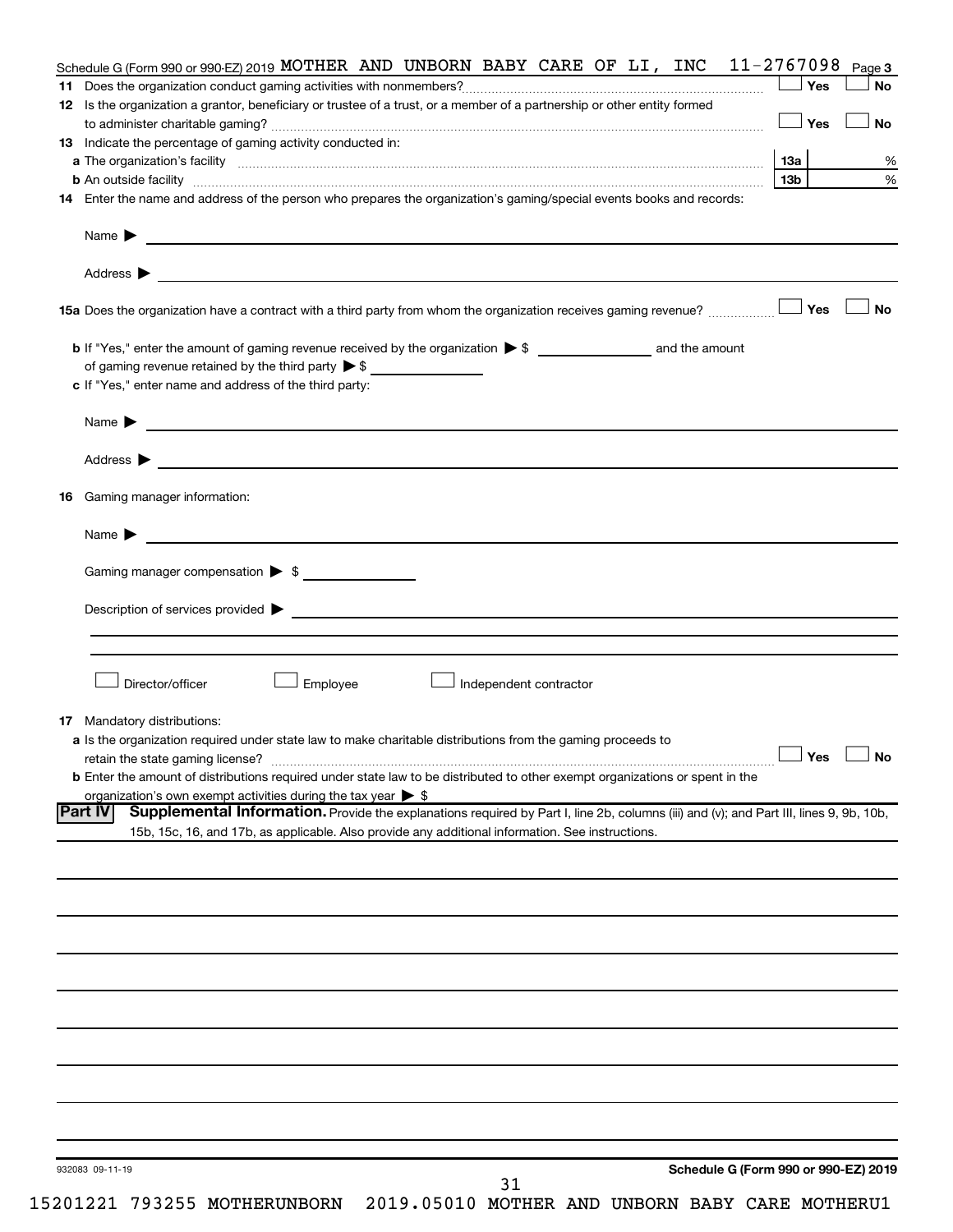|     | Schedule G (Form 990 or 990-EZ) 2019 MOTHER AND UNBORN BABY CARE OF LI, INC 11-2767098 Page 3                                                                                                                                                          |                      |           |
|-----|--------------------------------------------------------------------------------------------------------------------------------------------------------------------------------------------------------------------------------------------------------|----------------------|-----------|
| 11. |                                                                                                                                                                                                                                                        | Yes                  | <b>No</b> |
|     | 12 Is the organization a grantor, beneficiary or trustee of a trust, or a member of a partnership or other entity formed                                                                                                                               | $\Box$ Yes           | <b>No</b> |
|     | 13 Indicate the percentage of gaming activity conducted in:                                                                                                                                                                                            |                      |           |
|     |                                                                                                                                                                                                                                                        | 13a                  | %         |
|     |                                                                                                                                                                                                                                                        | 13b l                | $\%$      |
|     | 14 Enter the name and address of the person who prepares the organization's gaming/special events books and records:                                                                                                                                   |                      |           |
|     |                                                                                                                                                                                                                                                        |                      |           |
|     |                                                                                                                                                                                                                                                        |                      |           |
|     |                                                                                                                                                                                                                                                        |                      | <b>No</b> |
|     | <b>b</b> If "Yes," enter the amount of gaming revenue received by the organization $\triangleright$ \$ and the amount                                                                                                                                  |                      |           |
|     | of gaming revenue retained by the third party $\triangleright$ \$                                                                                                                                                                                      |                      |           |
|     | c If "Yes," enter name and address of the third party:                                                                                                                                                                                                 |                      |           |
|     | Name $\blacktriangleright$                                                                                                                                                                                                                             |                      |           |
|     | Address > 2008 - 2008 - 2009 - 2009 - 2009 - 2009 - 2009 - 2009 - 2009 - 2009 - 2009 - 2009 - 2009 - 2009 - 200                                                                                                                                        |                      |           |
| 16  | Gaming manager information:                                                                                                                                                                                                                            |                      |           |
|     |                                                                                                                                                                                                                                                        |                      |           |
|     | <u> 1989 - Johann Stein, marwolaethau a bhann an t-Amhainn an t-Amhainn an t-Amhainn an t-Amhainn an t-Amhainn an</u><br>Name $\blacktriangleright$                                                                                                    |                      |           |
|     | Gaming manager compensation > \$                                                                                                                                                                                                                       |                      |           |
|     |                                                                                                                                                                                                                                                        |                      |           |
|     |                                                                                                                                                                                                                                                        |                      |           |
|     |                                                                                                                                                                                                                                                        |                      |           |
|     | Director/officer<br>Employee<br>Independent contractor                                                                                                                                                                                                 |                      |           |
|     | <b>17</b> Mandatory distributions:                                                                                                                                                                                                                     |                      |           |
|     | <b>a</b> Is the organization required under state law to make charitable distributions from the gaming proceeds to                                                                                                                                     |                      |           |
|     | retain the state gaming license?                                                                                                                                                                                                                       | $\Box$ Yes $\Box$ No |           |
|     | <b>b</b> Enter the amount of distributions required under state law to be distributed to other exempt organizations or spent in the                                                                                                                    |                      |           |
|     | organization's own exempt activities during the tax year $\triangleright$ \$                                                                                                                                                                           |                      |           |
|     | Supplemental Information. Provide the explanations required by Part I, line 2b, columns (iii) and (v); and Part III, lines 9, 9b, 10b,<br> Part IV<br>15b, 15c, 16, and 17b, as applicable. Also provide any additional information. See instructions. |                      |           |
|     |                                                                                                                                                                                                                                                        |                      |           |
|     |                                                                                                                                                                                                                                                        |                      |           |
|     |                                                                                                                                                                                                                                                        |                      |           |
|     |                                                                                                                                                                                                                                                        |                      |           |
|     |                                                                                                                                                                                                                                                        |                      |           |
|     |                                                                                                                                                                                                                                                        |                      |           |
|     |                                                                                                                                                                                                                                                        |                      |           |
|     |                                                                                                                                                                                                                                                        |                      |           |
|     |                                                                                                                                                                                                                                                        |                      |           |
|     |                                                                                                                                                                                                                                                        |                      |           |
|     |                                                                                                                                                                                                                                                        |                      |           |
|     | Schedule G (Form 990 or 990-EZ) 2019<br>932083 09-11-19<br>31                                                                                                                                                                                          |                      |           |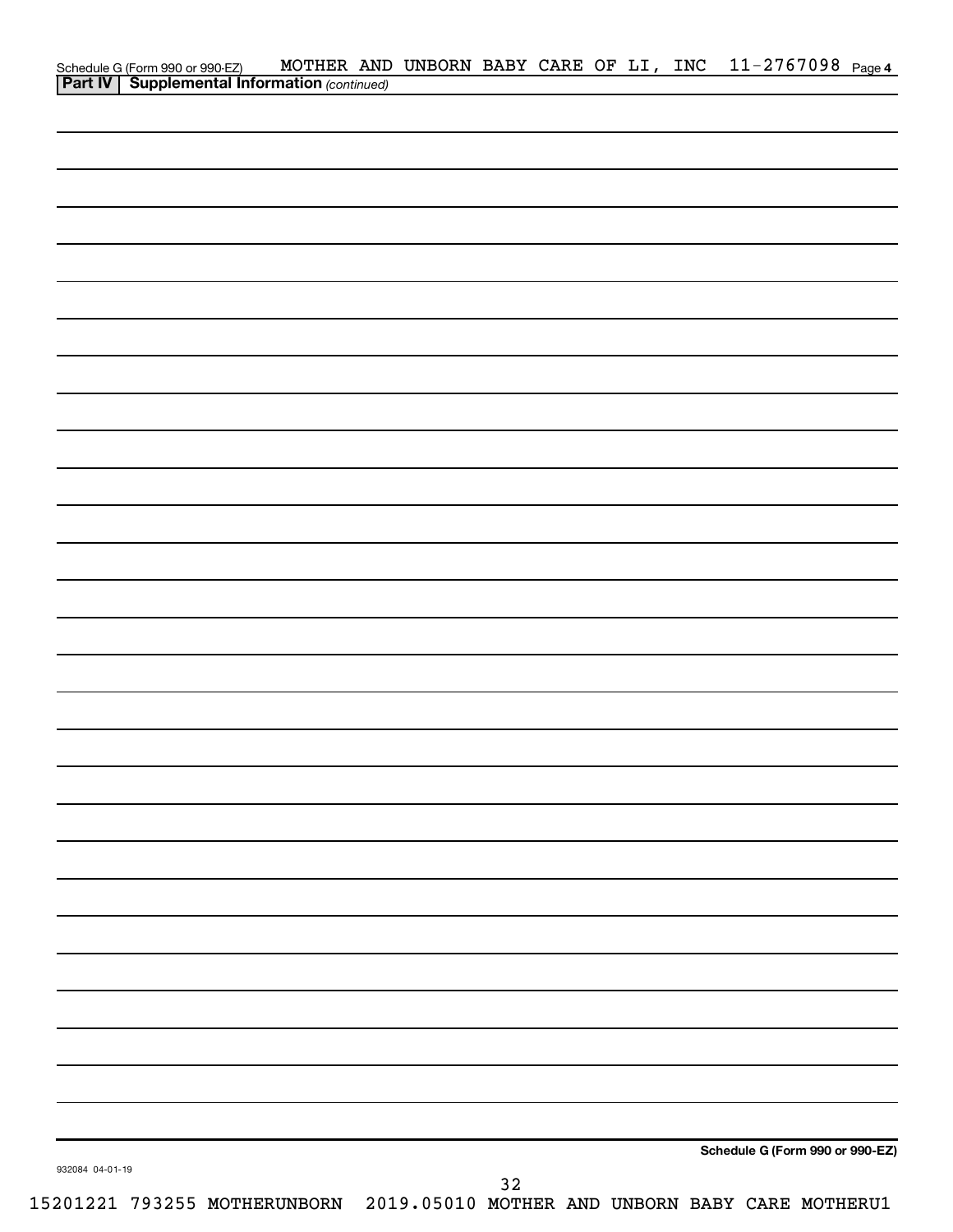|                 | Schedule G (Form 990 or 990-EZ) MOTHER AND<br><b>Part IV   Supplemental Information</b> (continued) | MOTHER AND UNBORN BABY CARE OF LI, INC |    |  |  | 11-2767098 Page 4               |  |
|-----------------|-----------------------------------------------------------------------------------------------------|----------------------------------------|----|--|--|---------------------------------|--|
|                 |                                                                                                     |                                        |    |  |  |                                 |  |
|                 |                                                                                                     |                                        |    |  |  |                                 |  |
|                 |                                                                                                     |                                        |    |  |  |                                 |  |
|                 |                                                                                                     |                                        |    |  |  |                                 |  |
|                 |                                                                                                     |                                        |    |  |  |                                 |  |
|                 |                                                                                                     |                                        |    |  |  |                                 |  |
|                 |                                                                                                     |                                        |    |  |  |                                 |  |
|                 |                                                                                                     |                                        |    |  |  |                                 |  |
|                 |                                                                                                     |                                        |    |  |  |                                 |  |
|                 |                                                                                                     |                                        |    |  |  |                                 |  |
|                 |                                                                                                     |                                        |    |  |  |                                 |  |
|                 |                                                                                                     |                                        |    |  |  |                                 |  |
|                 |                                                                                                     |                                        |    |  |  |                                 |  |
|                 |                                                                                                     |                                        |    |  |  |                                 |  |
|                 |                                                                                                     |                                        |    |  |  |                                 |  |
|                 |                                                                                                     |                                        |    |  |  |                                 |  |
|                 |                                                                                                     |                                        |    |  |  |                                 |  |
|                 |                                                                                                     |                                        |    |  |  |                                 |  |
|                 |                                                                                                     |                                        |    |  |  |                                 |  |
|                 |                                                                                                     |                                        |    |  |  |                                 |  |
|                 |                                                                                                     |                                        |    |  |  |                                 |  |
|                 |                                                                                                     |                                        |    |  |  |                                 |  |
|                 |                                                                                                     |                                        |    |  |  |                                 |  |
|                 |                                                                                                     |                                        |    |  |  |                                 |  |
|                 |                                                                                                     |                                        |    |  |  |                                 |  |
|                 |                                                                                                     |                                        |    |  |  |                                 |  |
|                 |                                                                                                     |                                        |    |  |  |                                 |  |
|                 |                                                                                                     |                                        |    |  |  |                                 |  |
|                 |                                                                                                     |                                        |    |  |  |                                 |  |
|                 |                                                                                                     |                                        |    |  |  |                                 |  |
|                 |                                                                                                     |                                        |    |  |  |                                 |  |
|                 |                                                                                                     |                                        |    |  |  |                                 |  |
|                 |                                                                                                     |                                        |    |  |  |                                 |  |
|                 |                                                                                                     |                                        |    |  |  |                                 |  |
|                 |                                                                                                     |                                        |    |  |  |                                 |  |
| 932084 04-01-19 |                                                                                                     |                                        |    |  |  | Schedule G (Form 990 or 990-EZ) |  |
|                 |                                                                                                     |                                        | 32 |  |  |                                 |  |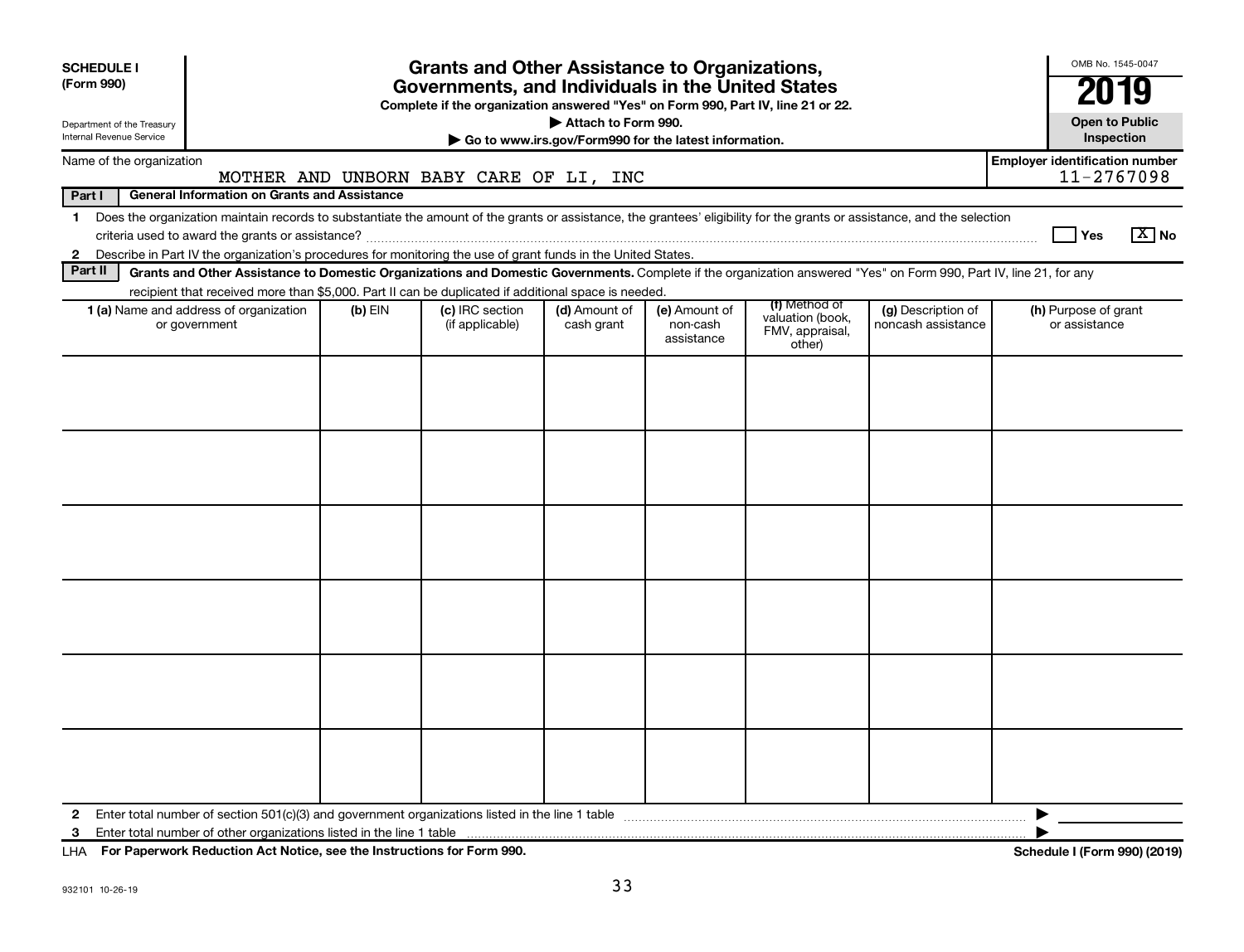| <b>SCHEDULE I</b><br>(Form 990)<br>Department of the Treasury<br>Internal Revenue Service |                          |                                                     |           | <b>Grants and Other Assistance to Organizations,</b><br>Governments, and Individuals in the United States<br>Complete if the organization answered "Yes" on Form 990, Part IV, line 21 or 22. | Attach to Form 990.<br>Go to www.irs.gov/Form990 for the latest information. |                                         |                                               |                                          | OMB No. 1545-0047<br><b>Open to Public</b><br>Inspection |
|-------------------------------------------------------------------------------------------|--------------------------|-----------------------------------------------------|-----------|-----------------------------------------------------------------------------------------------------------------------------------------------------------------------------------------------|------------------------------------------------------------------------------|-----------------------------------------|-----------------------------------------------|------------------------------------------|----------------------------------------------------------|
|                                                                                           | Name of the organization |                                                     |           |                                                                                                                                                                                               |                                                                              |                                         |                                               |                                          | <b>Employer identification number</b>                    |
|                                                                                           |                          |                                                     |           | MOTHER AND UNBORN BABY CARE OF LI, INC                                                                                                                                                        |                                                                              |                                         |                                               |                                          | 11-2767098                                               |
| Part I                                                                                    |                          | <b>General Information on Grants and Assistance</b> |           |                                                                                                                                                                                               |                                                                              |                                         |                                               |                                          |                                                          |
| 1                                                                                         |                          |                                                     |           | Does the organization maintain records to substantiate the amount of the grants or assistance, the grantees' eligibility for the grants or assistance, and the selection                      |                                                                              |                                         |                                               |                                          | $\boxed{X}$ No<br>Yes                                    |
| $\mathbf{2}$                                                                              |                          |                                                     |           | Describe in Part IV the organization's procedures for monitoring the use of grant funds in the United States.                                                                                 |                                                                              |                                         |                                               |                                          |                                                          |
| Part II                                                                                   |                          |                                                     |           | Grants and Other Assistance to Domestic Organizations and Domestic Governments. Complete if the organization answered "Yes" on Form 990, Part IV, line 21, for any                            |                                                                              |                                         |                                               |                                          |                                                          |
|                                                                                           |                          |                                                     |           | recipient that received more than \$5,000. Part II can be duplicated if additional space is needed.                                                                                           |                                                                              |                                         | (f) Method of                                 |                                          |                                                          |
|                                                                                           | or government            | 1 (a) Name and address of organization              | $(b)$ EIN | (c) IRC section<br>(if applicable)                                                                                                                                                            | (d) Amount of<br>cash grant                                                  | (e) Amount of<br>non-cash<br>assistance | valuation (book,<br>FMV, appraisal,<br>other) | (g) Description of<br>noncash assistance | (h) Purpose of grant<br>or assistance                    |
|                                                                                           |                          |                                                     |           |                                                                                                                                                                                               |                                                                              |                                         |                                               |                                          |                                                          |
|                                                                                           |                          |                                                     |           |                                                                                                                                                                                               |                                                                              |                                         |                                               |                                          |                                                          |
| $\mathbf{2}$<br>3                                                                         |                          |                                                     |           |                                                                                                                                                                                               |                                                                              |                                         |                                               |                                          |                                                          |

**For Paperwork Reduction Act Notice, see the Instructions for Form 990. Schedule I (Form 990) (2019)** LHA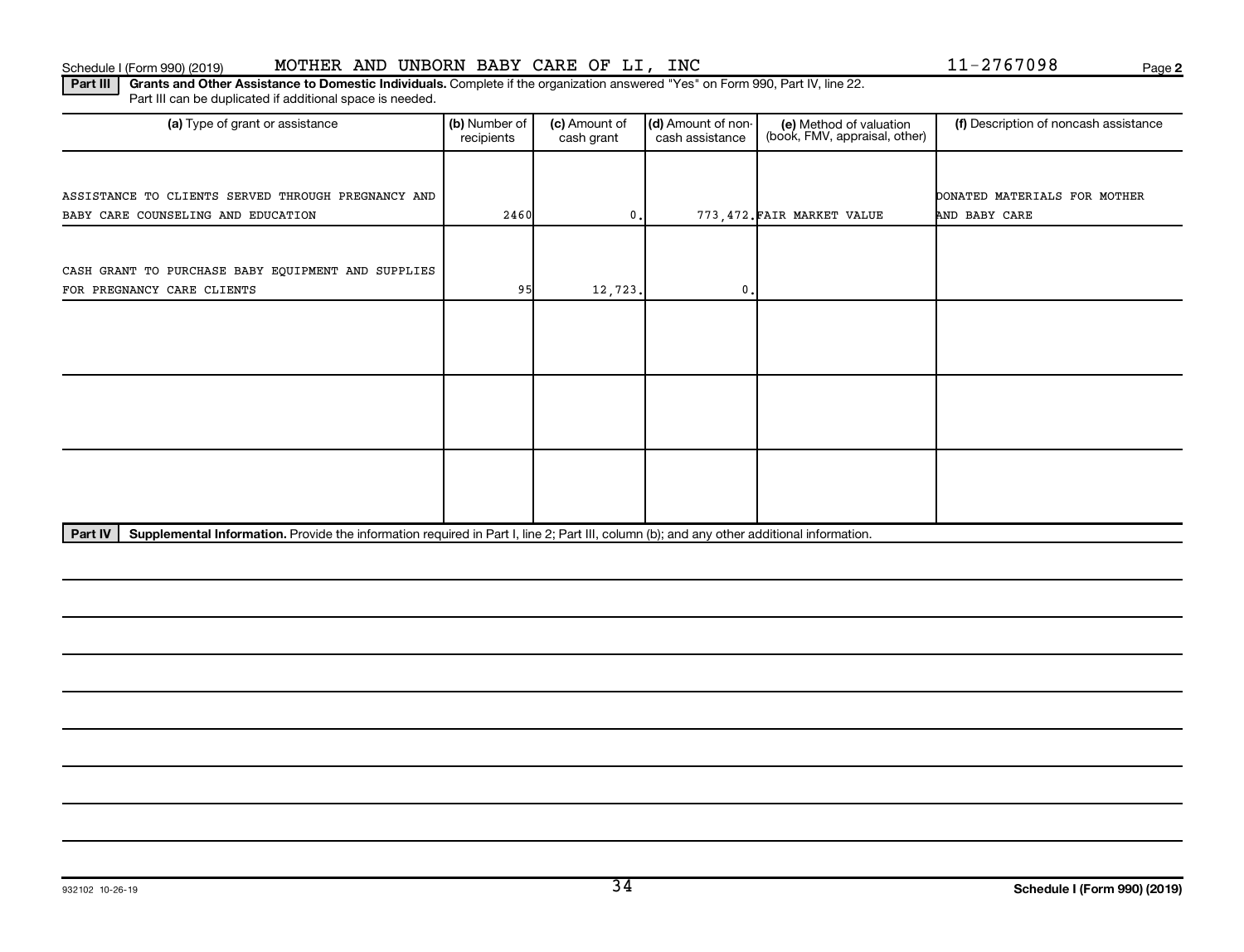| 773,472. FAIR MARKET VALUE<br>2460<br>BABY CARE COUNSELING AND EDUCATION<br>AND BABY CARE<br>0.<br>CASH GRANT TO PURCHASE BABY EQUIPMENT AND SUPPLIES<br>95<br>12,723.<br>FOR PREGNANCY CARE CLIENTS<br>$\mathbf{0}$ . | ASSISTANCE TO CLIENTS SERVED THROUGH PREGNANCY AND |  |  | DONATED MATERIALS FOR MOTHER |
|------------------------------------------------------------------------------------------------------------------------------------------------------------------------------------------------------------------------|----------------------------------------------------|--|--|------------------------------|
|                                                                                                                                                                                                                        |                                                    |  |  |                              |
|                                                                                                                                                                                                                        |                                                    |  |  |                              |
|                                                                                                                                                                                                                        |                                                    |  |  |                              |
|                                                                                                                                                                                                                        |                                                    |  |  |                              |
|                                                                                                                                                                                                                        |                                                    |  |  |                              |
|                                                                                                                                                                                                                        |                                                    |  |  |                              |
|                                                                                                                                                                                                                        |                                                    |  |  |                              |
|                                                                                                                                                                                                                        |                                                    |  |  |                              |
|                                                                                                                                                                                                                        |                                                    |  |  |                              |
|                                                                                                                                                                                                                        |                                                    |  |  |                              |
|                                                                                                                                                                                                                        |                                                    |  |  |                              |
|                                                                                                                                                                                                                        |                                                    |  |  |                              |
|                                                                                                                                                                                                                        |                                                    |  |  |                              |
|                                                                                                                                                                                                                        |                                                    |  |  |                              |
|                                                                                                                                                                                                                        |                                                    |  |  |                              |
|                                                                                                                                                                                                                        |                                                    |  |  |                              |
|                                                                                                                                                                                                                        |                                                    |  |  |                              |

(a) Type of grant or assistance **(b)** Number of  $|$  **(c)** Amount of  $|$  **(d)** Amount of non- $|$  **(e)** Method of valuation  $|$  **(f)** 

(c) Amount of cash grant

(d) Amount of noncash assistance

Part IV | Supplemental Information. Provide the information required in Part I, line 2; Part III, column (b); and any other additional information.

## Schedule I (Form 990) (2019) MOTHER AND UNBORN BABY CARE OF LI, INC  $11-2767098$  Page

Part III can be duplicated if additional space is needed.

Part III | Grants and Other Assistance to Domestic Individuals. Complete if the organization answered "Yes" on Form 990, Part IV, line 22.

recipients

(f) Description of noncash assistance

(e) Method of valuation (book, FMV, appraisal, other)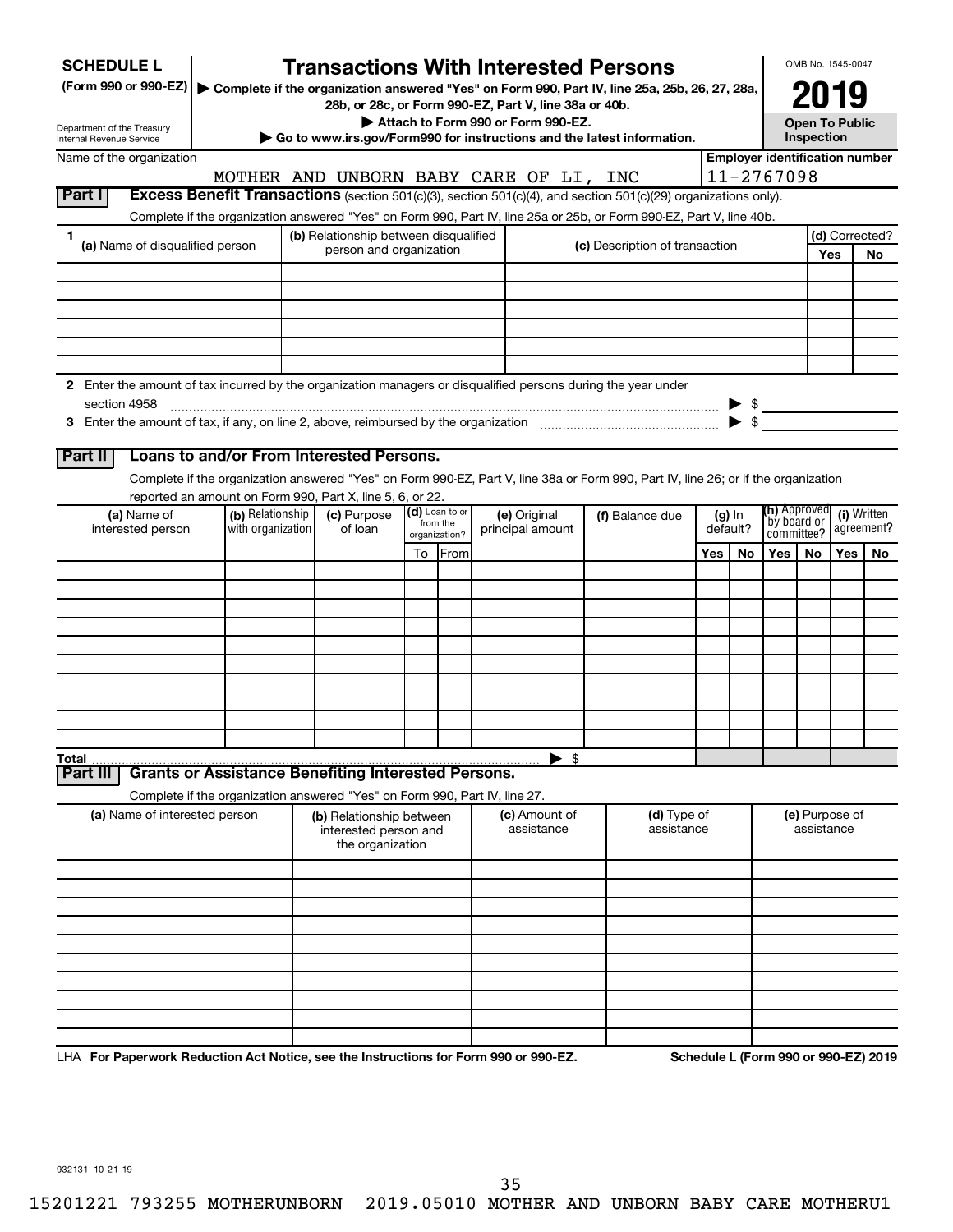| <b>SCHEDULE L</b>                                                                                                    |                                       | <b>Transactions With Interested Persons</b>                                                                                        |    |                            |                                    |                                |     |                      |                                                                                                                                                         | OMB No. 1545-0047            |            |                                       |
|----------------------------------------------------------------------------------------------------------------------|---------------------------------------|------------------------------------------------------------------------------------------------------------------------------------|----|----------------------------|------------------------------------|--------------------------------|-----|----------------------|---------------------------------------------------------------------------------------------------------------------------------------------------------|------------------------------|------------|---------------------------------------|
| (Form 990 or 990-EZ)   Complete if the organization answered "Yes" on Form 990, Part IV, line 25a, 25b, 26, 27, 28a, |                                       |                                                                                                                                    |    |                            |                                    |                                |     |                      |                                                                                                                                                         | 2019                         |            |                                       |
|                                                                                                                      |                                       | 28b, or 28c, or Form 990-EZ, Part V, line 38a or 40b.                                                                              |    |                            | Attach to Form 990 or Form 990-EZ. |                                |     |                      |                                                                                                                                                         |                              |            |                                       |
| Department of the Treasury<br>Internal Revenue Service                                                               |                                       | Go to www.irs.gov/Form990 for instructions and the latest information.                                                             |    |                            |                                    |                                |     |                      |                                                                                                                                                         | Open To Public<br>Inspection |            |                                       |
| Name of the organization                                                                                             |                                       |                                                                                                                                    |    |                            |                                    |                                |     |                      |                                                                                                                                                         |                              |            | <b>Employer identification number</b> |
|                                                                                                                      |                                       | MOTHER AND UNBORN BABY CARE OF LI, INC                                                                                             |    |                            |                                    |                                |     |                      | 11-2767098                                                                                                                                              |                              |            |                                       |
| Part I                                                                                                               |                                       | Excess Benefit Transactions (section 501(c)(3), section 501(c)(4), and section 501(c)(29) organizations only).                     |    |                            |                                    |                                |     |                      |                                                                                                                                                         |                              |            |                                       |
|                                                                                                                      |                                       | Complete if the organization answered "Yes" on Form 990, Part IV, line 25a or 25b, or Form 990-EZ, Part V, line 40b.               |    |                            |                                    |                                |     |                      |                                                                                                                                                         |                              |            |                                       |
| 1.<br>(a) Name of disqualified person                                                                                |                                       | (b) Relationship between disqualified<br>person and organization                                                                   |    |                            |                                    | (c) Description of transaction |     |                      |                                                                                                                                                         |                              | <b>Yes</b> | (d) Corrected?<br>No.                 |
|                                                                                                                      |                                       |                                                                                                                                    |    |                            |                                    |                                |     |                      |                                                                                                                                                         |                              |            |                                       |
|                                                                                                                      |                                       |                                                                                                                                    |    |                            |                                    |                                |     |                      |                                                                                                                                                         |                              |            |                                       |
|                                                                                                                      |                                       |                                                                                                                                    |    |                            |                                    |                                |     |                      |                                                                                                                                                         |                              |            |                                       |
|                                                                                                                      |                                       |                                                                                                                                    |    |                            |                                    |                                |     |                      |                                                                                                                                                         |                              |            |                                       |
|                                                                                                                      |                                       |                                                                                                                                    |    |                            |                                    |                                |     |                      |                                                                                                                                                         |                              |            |                                       |
| 2 Enter the amount of tax incurred by the organization managers or disqualified persons during the year under        |                                       |                                                                                                                                    |    |                            |                                    |                                |     |                      |                                                                                                                                                         |                              |            |                                       |
| section 4958                                                                                                         |                                       |                                                                                                                                    |    |                            |                                    |                                |     |                      | $\begin{array}{c c}\n\blacktriangleright & \text{\$} & \text{\_} & \text{\_} \\ \blacktriangleright & \text{\_} & \text{\_} & \text{\_} \\ \end{array}$ |                              |            |                                       |
|                                                                                                                      |                                       |                                                                                                                                    |    |                            |                                    |                                |     |                      |                                                                                                                                                         |                              |            |                                       |
| Part II                                                                                                              |                                       | Loans to and/or From Interested Persons.                                                                                           |    |                            |                                    |                                |     |                      |                                                                                                                                                         |                              |            |                                       |
|                                                                                                                      |                                       | Complete if the organization answered "Yes" on Form 990-EZ, Part V, line 38a or Form 990, Part IV, line 26; or if the organization |    |                            |                                    |                                |     |                      |                                                                                                                                                         |                              |            |                                       |
|                                                                                                                      |                                       | reported an amount on Form 990, Part X, line 5, 6, or 22.                                                                          |    |                            |                                    |                                |     |                      |                                                                                                                                                         |                              |            |                                       |
| (a) Name of<br>interested person                                                                                     | (b) Relationship<br>with organization | (c) Purpose<br>of loan                                                                                                             |    | (d) Loan to or<br>from the | (e) Original<br>principal amount   | (f) Balance due                |     | $(g)$ In<br>default? | (h) Approved<br>by board or                                                                                                                             |                              |            | (i) Written<br>agreement?             |
|                                                                                                                      |                                       |                                                                                                                                    |    | organization?              |                                    |                                |     |                      | committee?                                                                                                                                              |                              |            |                                       |
|                                                                                                                      |                                       |                                                                                                                                    | To | <b>IFrom</b>               |                                    |                                | Yes | No.                  | Yes I                                                                                                                                                   | No.                          | Yes        | No.                                   |
|                                                                                                                      |                                       |                                                                                                                                    |    |                            |                                    |                                |     |                      |                                                                                                                                                         |                              |            |                                       |
|                                                                                                                      |                                       |                                                                                                                                    |    |                            |                                    |                                |     |                      |                                                                                                                                                         |                              |            |                                       |
|                                                                                                                      |                                       |                                                                                                                                    |    |                            |                                    |                                |     |                      |                                                                                                                                                         |                              |            |                                       |
|                                                                                                                      |                                       |                                                                                                                                    |    |                            |                                    |                                |     |                      |                                                                                                                                                         |                              |            |                                       |
|                                                                                                                      |                                       |                                                                                                                                    |    |                            |                                    |                                |     |                      |                                                                                                                                                         |                              |            |                                       |
|                                                                                                                      |                                       |                                                                                                                                    |    |                            |                                    |                                |     |                      |                                                                                                                                                         |                              |            |                                       |
|                                                                                                                      |                                       |                                                                                                                                    |    |                            |                                    |                                |     |                      |                                                                                                                                                         |                              |            |                                       |
|                                                                                                                      |                                       |                                                                                                                                    |    |                            |                                    |                                |     |                      |                                                                                                                                                         |                              |            |                                       |
| Total<br>Part II                                                                                                     |                                       | <b>Grants or Assistance Benefiting Interested Persons.</b>                                                                         |    |                            | $\blacktriangleright$ \$           |                                |     |                      |                                                                                                                                                         |                              |            |                                       |
|                                                                                                                      |                                       | Complete if the organization answered "Yes" on Form 990, Part IV, line 27.                                                         |    |                            |                                    |                                |     |                      |                                                                                                                                                         |                              |            |                                       |
| (a) Name of interested person                                                                                        |                                       | (b) Relationship between                                                                                                           |    |                            | (c) Amount of                      | (d) Type of                    |     |                      |                                                                                                                                                         | (e) Purpose of               |            |                                       |
|                                                                                                                      |                                       | interested person and<br>the organization                                                                                          |    |                            | assistance                         | assistance                     |     |                      |                                                                                                                                                         | assistance                   |            |                                       |
|                                                                                                                      |                                       |                                                                                                                                    |    |                            |                                    |                                |     |                      |                                                                                                                                                         |                              |            |                                       |
|                                                                                                                      |                                       |                                                                                                                                    |    |                            |                                    |                                |     |                      |                                                                                                                                                         |                              |            |                                       |
|                                                                                                                      |                                       |                                                                                                                                    |    |                            |                                    |                                |     |                      |                                                                                                                                                         |                              |            |                                       |
|                                                                                                                      |                                       |                                                                                                                                    |    |                            |                                    |                                |     |                      |                                                                                                                                                         |                              |            |                                       |
|                                                                                                                      |                                       |                                                                                                                                    |    |                            |                                    |                                |     |                      |                                                                                                                                                         |                              |            |                                       |
|                                                                                                                      |                                       |                                                                                                                                    |    |                            |                                    |                                |     |                      |                                                                                                                                                         |                              |            |                                       |
|                                                                                                                      |                                       |                                                                                                                                    |    |                            |                                    |                                |     |                      |                                                                                                                                                         |                              |            |                                       |
|                                                                                                                      |                                       |                                                                                                                                    |    |                            |                                    |                                |     |                      |                                                                                                                                                         |                              |            |                                       |
|                                                                                                                      |                                       |                                                                                                                                    |    |                            |                                    |                                |     |                      |                                                                                                                                                         |                              |            |                                       |
| LHA For Paperwork Reduction Act Notice, see the Instructions for Form 990 or 990-EZ.                                 |                                       |                                                                                                                                    |    |                            |                                    |                                |     |                      |                                                                                                                                                         |                              |            | Schedule L (Form 990 or 990-EZ) 2019  |

35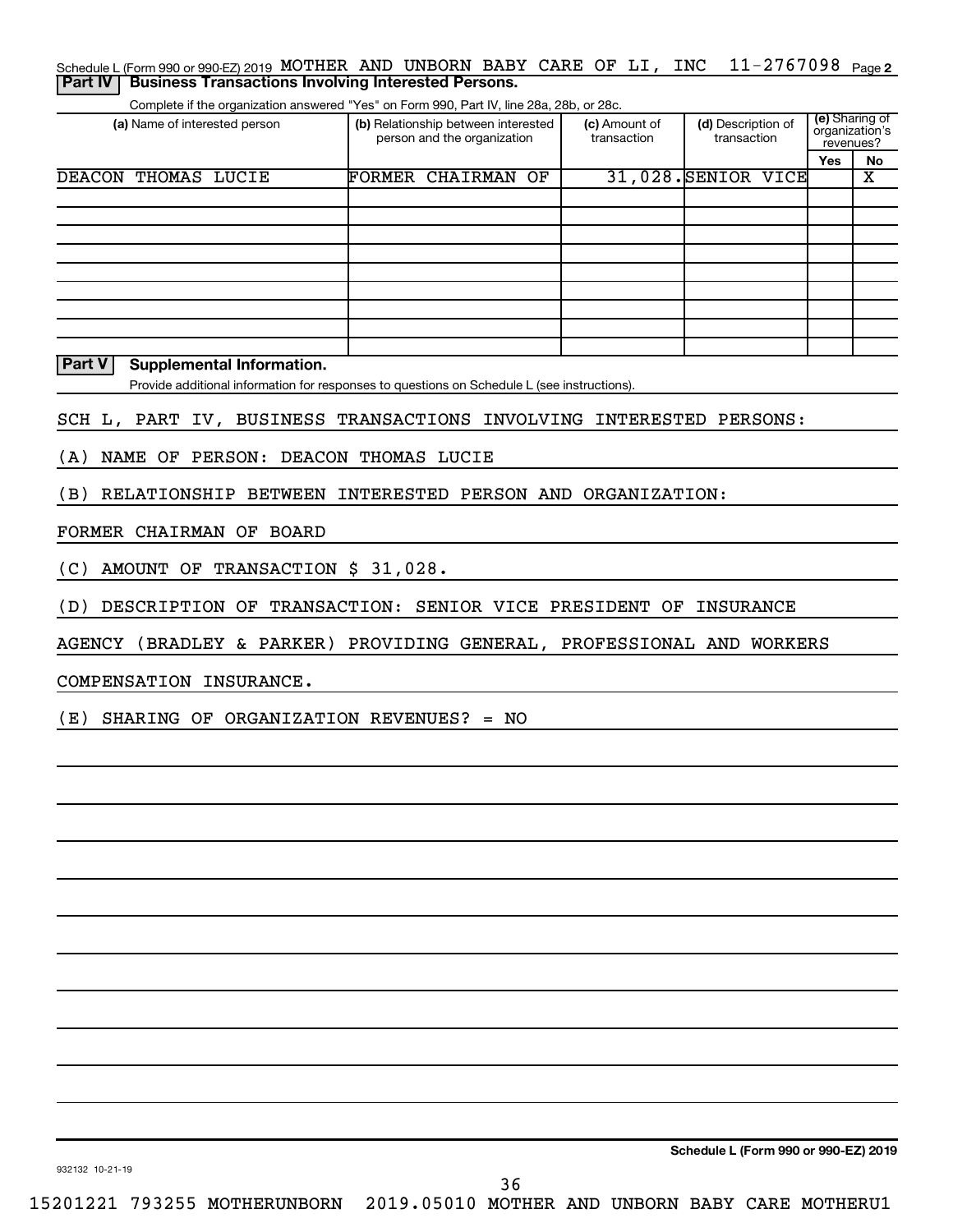|                | Schedule L (Form 990 or 990-EZ) 2019 MOTHER AND UNBORN BABY CARE OF LI, INC                                               |                                                                    |                              | $11 - 2767098$ Page 2             |     |                                               |
|----------------|---------------------------------------------------------------------------------------------------------------------------|--------------------------------------------------------------------|------------------------------|-----------------------------------|-----|-----------------------------------------------|
| <b>Part IV</b> | <b>Business Transactions Involving Interested Persons.</b>                                                                |                                                                    |                              |                                   |     |                                               |
|                | Complete if the organization answered "Yes" on Form 990, Part IV, line 28a, 28b, or 28c.<br>(a) Name of interested person | (b) Relationship between interested<br>person and the organization | (c) Amount of<br>transaction | (d) Description of<br>transaction |     | (e) Sharing of<br>organization's<br>revenues? |
|                |                                                                                                                           |                                                                    |                              |                                   | Yes | No                                            |
|                | DEACON THOMAS LUCIE                                                                                                       | <b>FORMER CHAIRMAN OF</b>                                          |                              | 31,028.SENIOR VICE                |     | $\overline{\textbf{x}}$                       |
|                |                                                                                                                           |                                                                    |                              |                                   |     |                                               |
|                |                                                                                                                           |                                                                    |                              |                                   |     |                                               |
|                |                                                                                                                           |                                                                    |                              |                                   |     |                                               |
|                |                                                                                                                           |                                                                    |                              |                                   |     |                                               |
|                |                                                                                                                           |                                                                    |                              |                                   |     |                                               |
|                |                                                                                                                           |                                                                    |                              |                                   |     |                                               |
|                |                                                                                                                           |                                                                    |                              |                                   |     |                                               |
| Part V         | Supplemental Information.<br>Provide additional information for responses to questions on Schedule L (see instructions).  |                                                                    |                              |                                   |     |                                               |
|                | SCH L, PART IV, BUSINESS TRANSACTIONS INVOLVING INTERESTED PERSONS:                                                       |                                                                    |                              |                                   |     |                                               |
| (A)            | NAME OF PERSON: DEACON THOMAS LUCIE                                                                                       |                                                                    |                              |                                   |     |                                               |
| (B)            | RELATIONSHIP BETWEEN INTERESTED PERSON AND ORGANIZATION:                                                                  |                                                                    |                              |                                   |     |                                               |
|                | FORMER CHAIRMAN OF BOARD                                                                                                  |                                                                    |                              |                                   |     |                                               |
| (C)            | AMOUNT OF TRANSACTION \$ 31,028.                                                                                          |                                                                    |                              |                                   |     |                                               |
|                |                                                                                                                           |                                                                    |                              |                                   |     |                                               |
| (D)            | DESCRIPTION OF                                                                                                            | TRANSACTION: SENIOR VICE PRESIDENT OF                              |                              | <b>INSURANCE</b>                  |     |                                               |
| <b>AGENCY</b>  | (BRADLEY & PARKER)                                                                                                        | PROVIDING GENERAL, PROFESSIONAL AND WORKERS                        |                              |                                   |     |                                               |
|                | COMPENSATION INSURANCE.                                                                                                   |                                                                    |                              |                                   |     |                                               |
| (E)            | SHARING OF ORGANIZATION REVENUES? = NO                                                                                    |                                                                    |                              |                                   |     |                                               |
|                |                                                                                                                           |                                                                    |                              |                                   |     |                                               |
|                |                                                                                                                           |                                                                    |                              |                                   |     |                                               |
|                |                                                                                                                           |                                                                    |                              |                                   |     |                                               |
|                |                                                                                                                           |                                                                    |                              |                                   |     |                                               |
|                |                                                                                                                           |                                                                    |                              |                                   |     |                                               |
|                |                                                                                                                           |                                                                    |                              |                                   |     |                                               |
|                |                                                                                                                           |                                                                    |                              |                                   |     |                                               |
|                |                                                                                                                           |                                                                    |                              |                                   |     |                                               |
|                |                                                                                                                           |                                                                    |                              |                                   |     |                                               |
|                |                                                                                                                           |                                                                    |                              |                                   |     |                                               |
|                |                                                                                                                           |                                                                    |                              |                                   |     |                                               |

932132 10-21-19

**Schedule L (Form 990 or 990-EZ) 2019**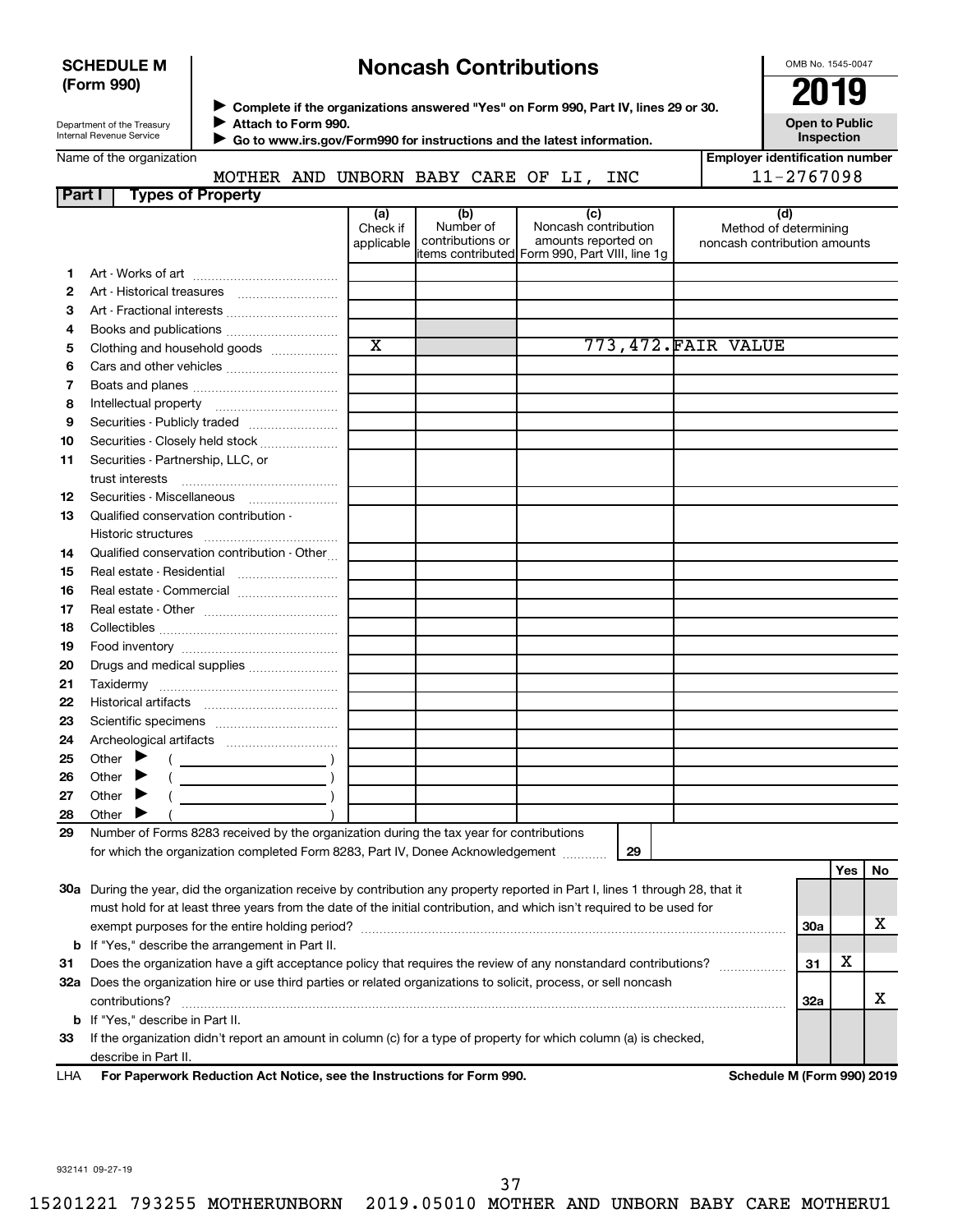## **SCHEDULE M (Form 990)**

## **Noncash Contributions**

OMB No. 1545-0047

**Employer identification number**

| Department of the Treasury |  |
|----------------------------|--|
| Internal Revenue Service   |  |

◆ Complete if the organizations answered "Yes" on Form 990, Part IV, lines 29 or 30.<br>▶ Complete if the organizations answered "Yes" on Form 990, Part IV, lines 29 or 30. **Attach to Form 990.**  $\blacktriangleright$ 

**Open to Public Inspection**

|  | Name of the organization |
|--|--------------------------|

 $\blacktriangleright$ 

 **Go to www.irs.gov/Form990 for instructions and the latest information.**

|                          | MО                                         | AND | UNBORN | <b>BABY</b> | ^ARE | ΟF | - - | INC |  |
|--------------------------|--------------------------------------------|-----|--------|-------------|------|----|-----|-----|--|
| Dor<br><u>— а. </u><br>. | <b>Property</b><br>V<br>- 100<br>, , , , , |     |        |             |      |    |     |     |  |

|    | i jihay at ti nahata                                                                                                           |                         |                                      |                                                    |                              |     |     |     |
|----|--------------------------------------------------------------------------------------------------------------------------------|-------------------------|--------------------------------------|----------------------------------------------------|------------------------------|-----|-----|-----|
|    |                                                                                                                                | (a)<br>Check if         | (b)<br>Number of<br>contributions or | (c)<br>Noncash contribution<br>amounts reported on | (d)<br>Method of determining |     |     |     |
|    |                                                                                                                                | applicable              |                                      | items contributed Form 990, Part VIII, line 1g     | noncash contribution amounts |     |     |     |
| 1. |                                                                                                                                |                         |                                      |                                                    |                              |     |     |     |
| 2  |                                                                                                                                |                         |                                      |                                                    |                              |     |     |     |
| 3  | Art - Fractional interests                                                                                                     |                         |                                      |                                                    |                              |     |     |     |
| 4  |                                                                                                                                |                         |                                      |                                                    |                              |     |     |     |
| 5  | Clothing and household goods                                                                                                   | $\overline{\textbf{x}}$ |                                      |                                                    | 773, 472. FAIR VALUE         |     |     |     |
| 6  |                                                                                                                                |                         |                                      |                                                    |                              |     |     |     |
| 7  |                                                                                                                                |                         |                                      |                                                    |                              |     |     |     |
| 8  |                                                                                                                                |                         |                                      |                                                    |                              |     |     |     |
| 9  | Securities - Publicly traded                                                                                                   |                         |                                      |                                                    |                              |     |     |     |
| 10 | Securities - Closely held stock                                                                                                |                         |                                      |                                                    |                              |     |     |     |
| 11 | Securities - Partnership, LLC, or                                                                                              |                         |                                      |                                                    |                              |     |     |     |
|    | trust interests                                                                                                                |                         |                                      |                                                    |                              |     |     |     |
| 12 | Securities - Miscellaneous                                                                                                     |                         |                                      |                                                    |                              |     |     |     |
| 13 | Qualified conservation contribution -                                                                                          |                         |                                      |                                                    |                              |     |     |     |
|    | Historic structures                                                                                                            |                         |                                      |                                                    |                              |     |     |     |
| 14 | Qualified conservation contribution - Other                                                                                    |                         |                                      |                                                    |                              |     |     |     |
| 15 |                                                                                                                                |                         |                                      |                                                    |                              |     |     |     |
| 16 | Real estate - Commercial                                                                                                       |                         |                                      |                                                    |                              |     |     |     |
| 17 |                                                                                                                                |                         |                                      |                                                    |                              |     |     |     |
| 18 |                                                                                                                                |                         |                                      |                                                    |                              |     |     |     |
| 19 |                                                                                                                                |                         |                                      |                                                    |                              |     |     |     |
| 20 | Drugs and medical supplies                                                                                                     |                         |                                      |                                                    |                              |     |     |     |
| 21 |                                                                                                                                |                         |                                      |                                                    |                              |     |     |     |
| 22 |                                                                                                                                |                         |                                      |                                                    |                              |     |     |     |
| 23 |                                                                                                                                |                         |                                      |                                                    |                              |     |     |     |
| 24 |                                                                                                                                |                         |                                      |                                                    |                              |     |     |     |
| 25 | Other                                                                                                                          |                         |                                      |                                                    |                              |     |     |     |
| 26 | Other                                                                                                                          |                         |                                      |                                                    |                              |     |     |     |
| 27 | Other                                                                                                                          |                         |                                      |                                                    |                              |     |     |     |
| 28 | Other                                                                                                                          |                         |                                      |                                                    |                              |     |     |     |
| 29 | Number of Forms 8283 received by the organization during the tax year for contributions                                        |                         |                                      |                                                    |                              |     |     |     |
|    | for which the organization completed Form 8283, Part IV, Donee Acknowledgement                                                 |                         |                                      | 29                                                 |                              |     |     |     |
|    |                                                                                                                                |                         |                                      |                                                    |                              |     | Yes | No. |
|    | 30a During the year, did the organization receive by contribution any property reported in Part I, lines 1 through 28, that it |                         |                                      |                                                    |                              |     |     |     |
|    | must hold for at least three years from the date of the initial contribution, and which isn't required to be used for          |                         |                                      |                                                    |                              |     |     |     |
|    |                                                                                                                                |                         |                                      |                                                    |                              | 30a |     | x   |
| b  | If "Yes," describe the arrangement in Part II.                                                                                 |                         |                                      |                                                    |                              |     |     |     |
| 31 | Does the organization have a gift acceptance policy that requires the review of any nonstandard contributions?                 |                         |                                      |                                                    |                              | 31  | х   |     |
|    | 32a Does the organization hire or use third parties or related organizations to solicit, process, or sell noncash              |                         |                                      |                                                    |                              |     |     |     |
|    | contributions?                                                                                                                 |                         |                                      |                                                    |                              | 32a |     | х   |
| b  | If "Yes," describe in Part II.                                                                                                 |                         |                                      |                                                    |                              |     |     |     |
| 33 | If the organization didn't report an amount in column (c) for a type of property for which column (a) is checked,              |                         |                                      |                                                    |                              |     |     |     |

| LHA | For Paperwork Reduction Act Notice, see the Instructions for Form 990. |  |  |  |  |  |
|-----|------------------------------------------------------------------------|--|--|--|--|--|
|-----|------------------------------------------------------------------------|--|--|--|--|--|

**Schedule M (Form 990) 2019** 

932141 09-27-19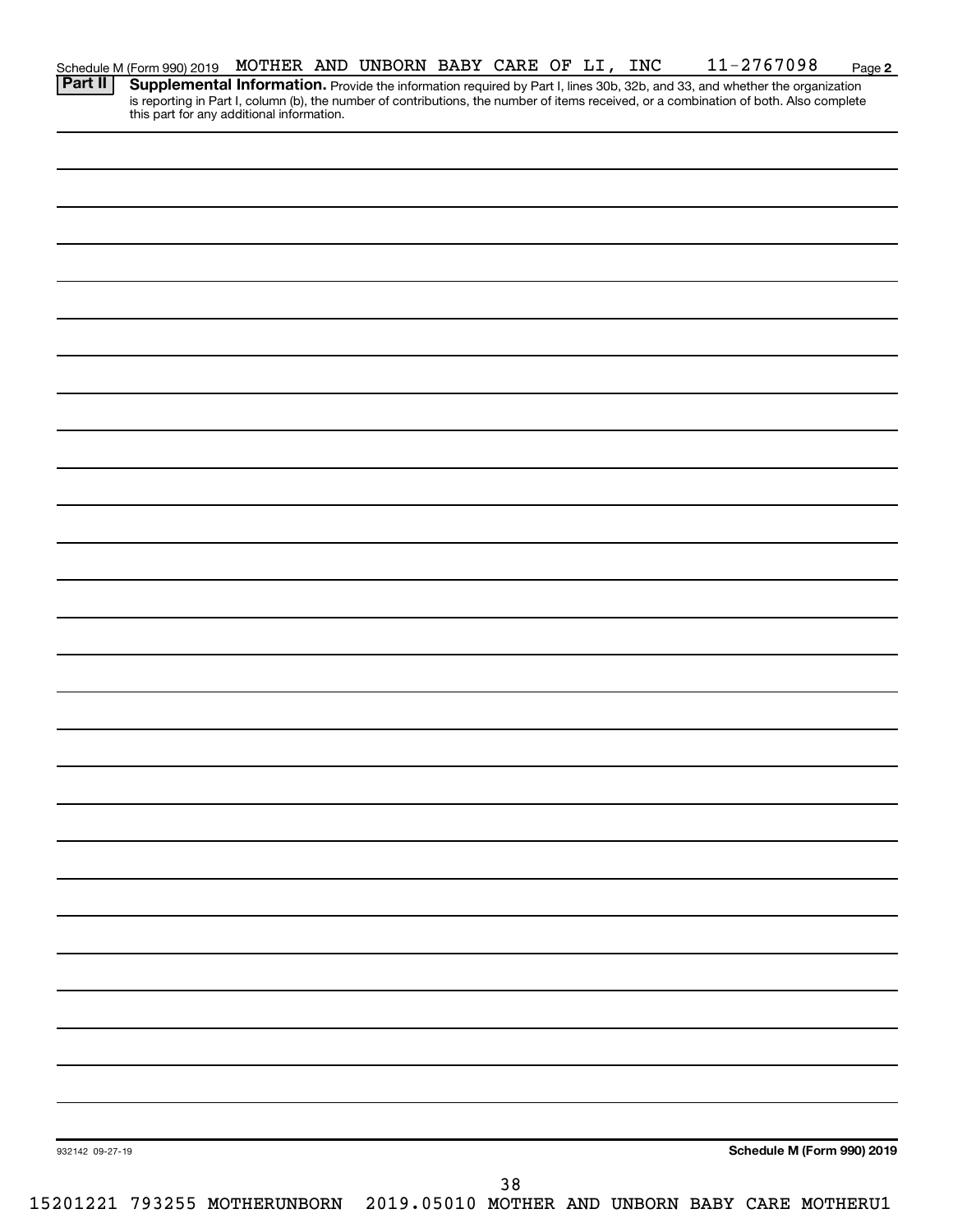|                 | Schedule M (Form 990) 2019 MOTHER AND UNBORN BABY CARE OF LI, INC |  |  |    |  | $11 - 2767098$                                                                                                                                                                                                                                                                                                 | Page 2 |
|-----------------|-------------------------------------------------------------------|--|--|----|--|----------------------------------------------------------------------------------------------------------------------------------------------------------------------------------------------------------------------------------------------------------------------------------------------------------------|--------|
| Part II         |                                                                   |  |  |    |  | Supplemental Information. Provide the information required by Part I, lines 30b, 32b, and 33, and whether the organization<br>is reporting in Part I, column (b), the number of contributions, the number of items received, or a combination of both. Also complete this part for any additional information. |        |
|                 |                                                                   |  |  |    |  |                                                                                                                                                                                                                                                                                                                |        |
|                 |                                                                   |  |  |    |  |                                                                                                                                                                                                                                                                                                                |        |
|                 |                                                                   |  |  |    |  |                                                                                                                                                                                                                                                                                                                |        |
|                 |                                                                   |  |  |    |  |                                                                                                                                                                                                                                                                                                                |        |
|                 |                                                                   |  |  |    |  |                                                                                                                                                                                                                                                                                                                |        |
|                 |                                                                   |  |  |    |  |                                                                                                                                                                                                                                                                                                                |        |
|                 |                                                                   |  |  |    |  |                                                                                                                                                                                                                                                                                                                |        |
|                 |                                                                   |  |  |    |  |                                                                                                                                                                                                                                                                                                                |        |
|                 |                                                                   |  |  |    |  |                                                                                                                                                                                                                                                                                                                |        |
|                 |                                                                   |  |  |    |  |                                                                                                                                                                                                                                                                                                                |        |
|                 |                                                                   |  |  |    |  |                                                                                                                                                                                                                                                                                                                |        |
|                 |                                                                   |  |  |    |  |                                                                                                                                                                                                                                                                                                                |        |
|                 |                                                                   |  |  |    |  |                                                                                                                                                                                                                                                                                                                |        |
|                 |                                                                   |  |  |    |  |                                                                                                                                                                                                                                                                                                                |        |
|                 |                                                                   |  |  |    |  |                                                                                                                                                                                                                                                                                                                |        |
|                 |                                                                   |  |  |    |  |                                                                                                                                                                                                                                                                                                                |        |
|                 |                                                                   |  |  |    |  |                                                                                                                                                                                                                                                                                                                |        |
|                 |                                                                   |  |  |    |  |                                                                                                                                                                                                                                                                                                                |        |
|                 |                                                                   |  |  |    |  |                                                                                                                                                                                                                                                                                                                |        |
|                 |                                                                   |  |  |    |  |                                                                                                                                                                                                                                                                                                                |        |
|                 |                                                                   |  |  |    |  |                                                                                                                                                                                                                                                                                                                |        |
|                 |                                                                   |  |  |    |  |                                                                                                                                                                                                                                                                                                                |        |
|                 |                                                                   |  |  |    |  |                                                                                                                                                                                                                                                                                                                |        |
|                 |                                                                   |  |  |    |  |                                                                                                                                                                                                                                                                                                                |        |
|                 |                                                                   |  |  |    |  |                                                                                                                                                                                                                                                                                                                |        |
|                 |                                                                   |  |  |    |  |                                                                                                                                                                                                                                                                                                                |        |
|                 |                                                                   |  |  |    |  |                                                                                                                                                                                                                                                                                                                |        |
|                 |                                                                   |  |  |    |  |                                                                                                                                                                                                                                                                                                                |        |
| 932142 09-27-19 |                                                                   |  |  |    |  | Schedule M (Form 990) 2019                                                                                                                                                                                                                                                                                     |        |
|                 |                                                                   |  |  | 38 |  |                                                                                                                                                                                                                                                                                                                |        |
|                 |                                                                   |  |  |    |  |                                                                                                                                                                                                                                                                                                                |        |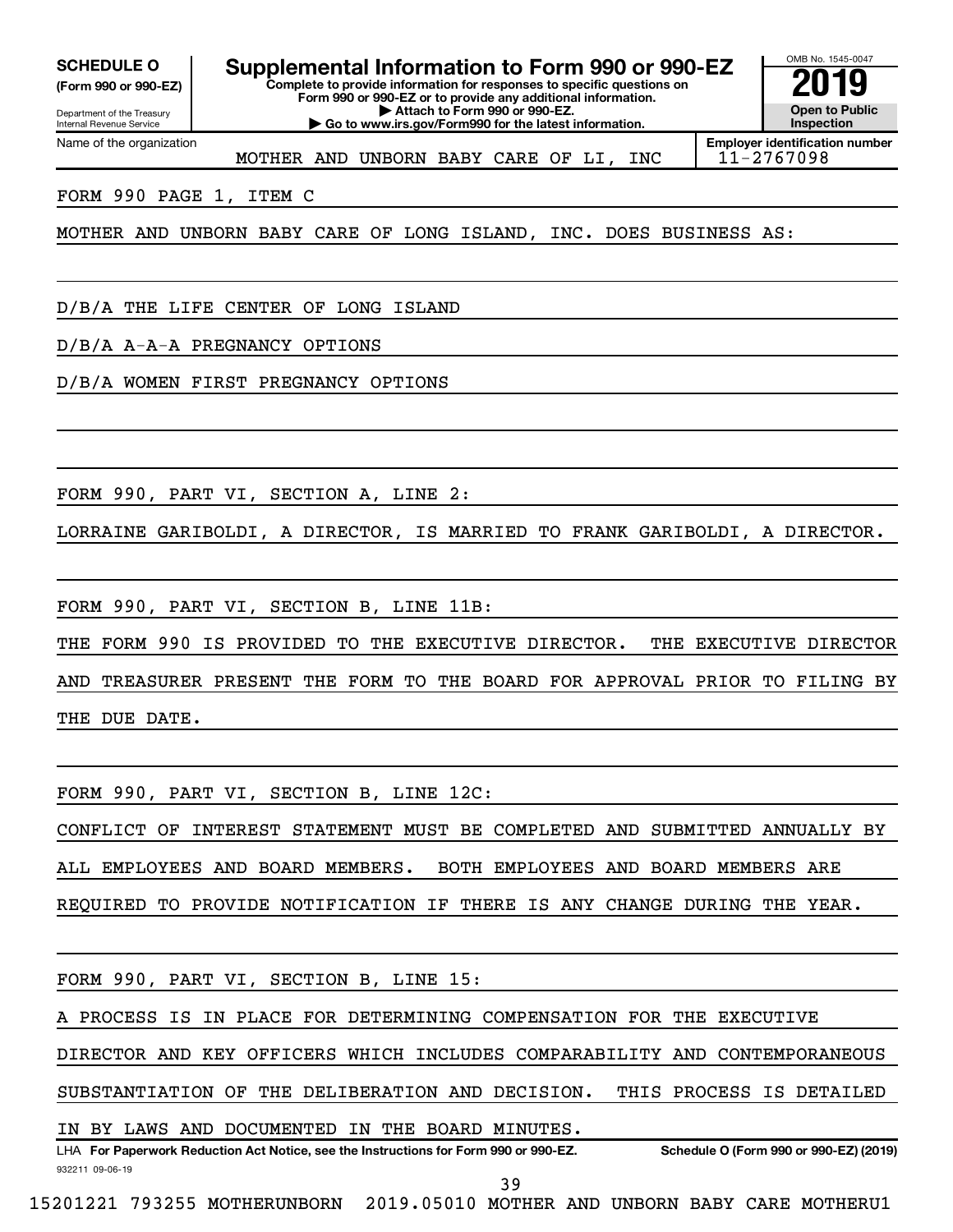**(Form 990 or 990-EZ)**

**Complete to provide information for responses to specific questions on Form 990 or 990-EZ or to provide any additional information. | Attach to Form 990 or 990-EZ. SCHEDULE O Supplemental Information to Form 990 or 990-EZ 2019** 



Department of the Treasury Internal Revenue Service Name of the organization

MOTHER AND UNBORN BABY CARE OF LI, INC  $\vert$  11-2767098

**| Go to www.irs.gov/Form990 for the latest information.**

**Employer identification number**

## FORM 990 PAGE 1, ITEM C

MOTHER AND UNBORN BABY CARE OF LONG ISLAND, INC. DOES BUSINESS AS:

D/B/A THE LIFE CENTER OF LONG ISLAND

D/B/A A-A-A PREGNANCY OPTIONS

D/B/A WOMEN FIRST PREGNANCY OPTIONS

FORM 990, PART VI, SECTION A, LINE 2:

LORRAINE GARIBOLDI, A DIRECTOR, IS MARRIED TO FRANK GARIBOLDI, A DIRECTOR.

FORM 990, PART VI, SECTION B, LINE 11B:

THE FORM 990 IS PROVIDED TO THE EXECUTIVE DIRECTOR. THE EXECUTIVE DIRECTOR AND TREASURER PRESENT THE FORM TO THE BOARD FOR APPROVAL PRIOR TO FILING BY THE DUE DATE.

FORM 990, PART VI, SECTION B, LINE 12C:

CONFLICT OF INTEREST STATEMENT MUST BE COMPLETED AND SUBMITTED ANNUALLY BY

ALL EMPLOYEES AND BOARD MEMBERS. BOTH EMPLOYEES AND BOARD MEMBERS ARE

REQUIRED TO PROVIDE NOTIFICATION IF THERE IS ANY CHANGE DURING THE YEAR.

FORM 990, PART VI, SECTION B, LINE 15:

A PROCESS IS IN PLACE FOR DETERMINING COMPENSATION FOR THE EXECUTIVE

DIRECTOR AND KEY OFFICERS WHICH INCLUDES COMPARABILITY AND CONTEMPORANEOUS

SUBSTANTIATION OF THE DELIBERATION AND DECISION. THIS PROCESS IS DETAILED

IN BY LAWS AND DOCUMENTED IN THE BOARD MINUTES.

932211 09-06-19 LHA For Paperwork Reduction Act Notice, see the Instructions for Form 990 or 990-EZ. Schedule O (Form 990 or 990-EZ) (2019)

39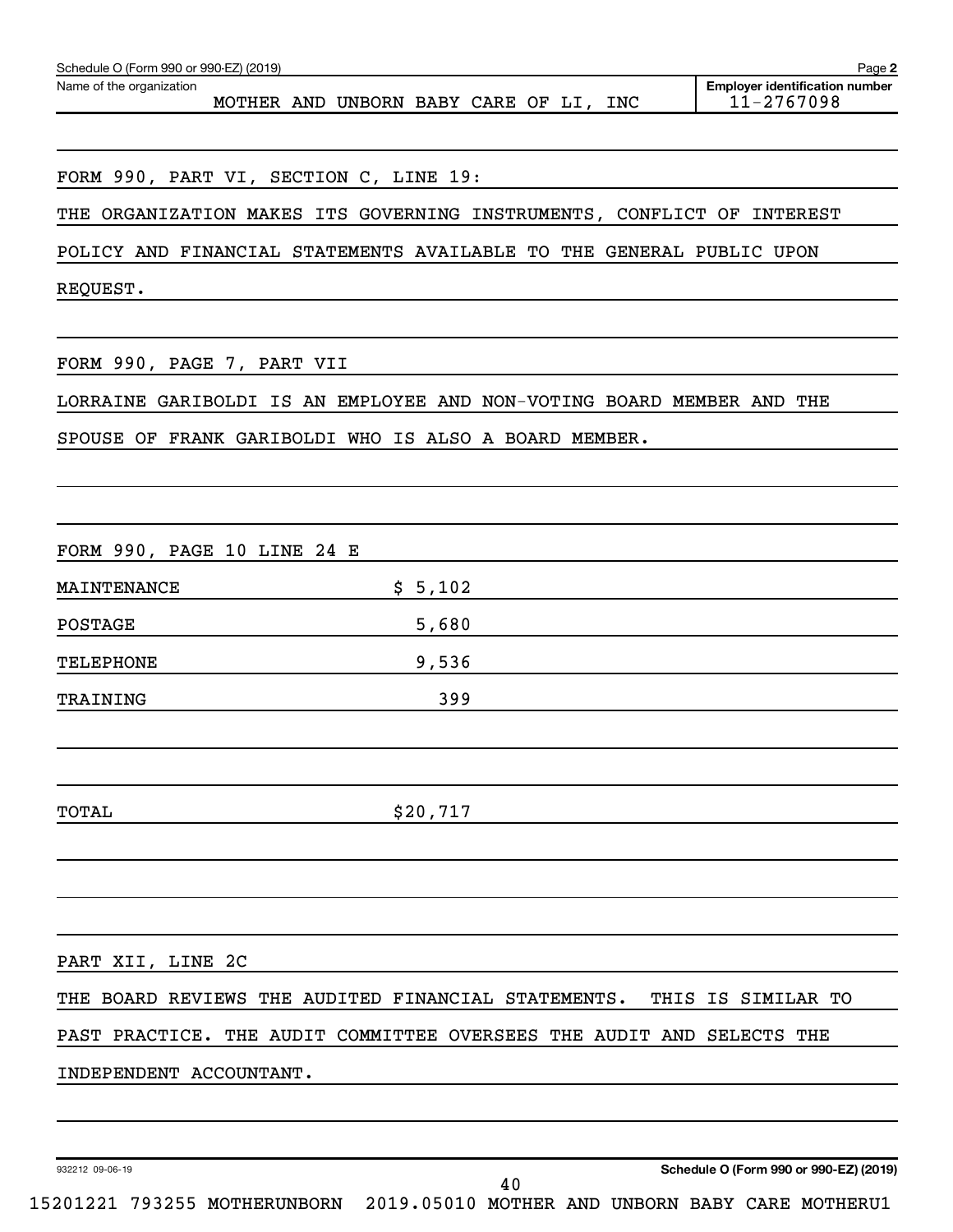| Schedule O (Form 990 or 990-EZ) (2019)                                    | Page 2                                                  |
|---------------------------------------------------------------------------|---------------------------------------------------------|
| Name of the organization<br>MOTHER AND UNBORN BABY CARE OF LI, INC        | <b>Employer identification number</b><br>$11 - 2767098$ |
|                                                                           |                                                         |
|                                                                           |                                                         |
| FORM 990, PART VI, SECTION C, LINE 19:                                    |                                                         |
| ORGANIZATION MAKES ITS GOVERNING INSTRUMENTS, CONFLICT OF INTEREST<br>THE |                                                         |
| POLICY AND FINANCIAL STATEMENTS AVAILABLE TO THE GENERAL PUBLIC UPON      |                                                         |
| REQUEST.                                                                  |                                                         |
|                                                                           |                                                         |
| FORM 990, PAGE 7, PART VII                                                |                                                         |
| LORRAINE GARIBOLDI IS AN EMPLOYEE AND NON-VOTING BOARD MEMBER AND THE     |                                                         |
| FRANK GARIBOLDI WHO IS ALSO A BOARD MEMBER.<br>SPOUSE OF                  |                                                         |
|                                                                           |                                                         |
|                                                                           |                                                         |

| <b>MAINTENANCE</b> | \$5,102 |  |
|--------------------|---------|--|
| POSTAGE            | 5,680   |  |
| TELEPHONE          | 9,536   |  |
| TRAINING           | 399     |  |

TOTAL \$20,717

PART XII, LINE 2C

THE BOARD REVIEWS THE AUDITED FINANCIAL STATEMENTS. THIS IS SIMILAR TO

PAST PRACTICE. THE AUDIT COMMITTEE OVERSEES THE AUDIT AND SELECTS THE

INDEPENDENT ACCOUNTANT.

932212 09-06-19